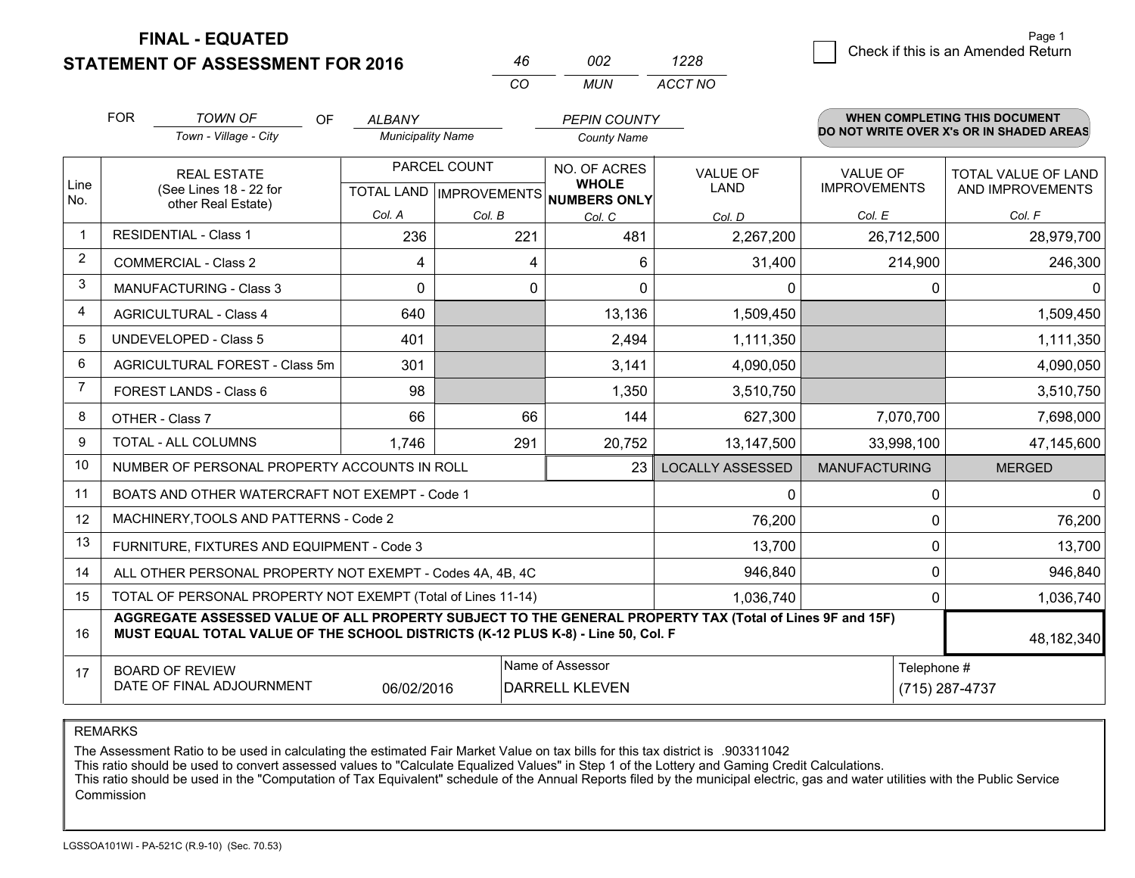**FINAL - EQUATED**

**STATEMENT OF ASSESSMENT FOR 2016** 

|          | פחח   | 1228    |
|----------|-------|---------|
| $\cdots$ | MI IN | ACCT NO |

|                | <b>FOR</b>                                                                                                                                                                                   | <b>TOWN OF</b><br><b>OF</b>                               | <b>ALBANY</b>            |              | <b>PEPIN COUNTY</b>                                  |                         |                      | <b>WHEN COMPLETING THIS DOCUMENT</b>     |
|----------------|----------------------------------------------------------------------------------------------------------------------------------------------------------------------------------------------|-----------------------------------------------------------|--------------------------|--------------|------------------------------------------------------|-------------------------|----------------------|------------------------------------------|
|                |                                                                                                                                                                                              | Town - Village - City                                     | <b>Municipality Name</b> |              | <b>County Name</b>                                   |                         |                      | DO NOT WRITE OVER X's OR IN SHADED AREAS |
|                | <b>REAL ESTATE</b>                                                                                                                                                                           |                                                           |                          | PARCEL COUNT | NO. OF ACRES                                         | <b>VALUE OF</b>         | <b>VALUE OF</b>      | TOTAL VALUE OF LAND                      |
| Line<br>No.    |                                                                                                                                                                                              | (See Lines 18 - 22 for<br>other Real Estate)              |                          |              | <b>WHOLE</b><br>TOTAL LAND IMPROVEMENTS NUMBERS ONLY | <b>LAND</b>             | <b>IMPROVEMENTS</b>  | AND IMPROVEMENTS                         |
|                |                                                                                                                                                                                              |                                                           | Col. A                   | Col. B       | Col. C                                               | Col. D                  | Col. E               | Col. F                                   |
| $\mathbf 1$    |                                                                                                                                                                                              | <b>RESIDENTIAL - Class 1</b>                              | 236                      | 221          | 481                                                  | 2,267,200               | 26,712,500           | 28,979,700                               |
| 2              |                                                                                                                                                                                              | <b>COMMERCIAL - Class 2</b>                               | 4                        | 4            | 6                                                    | 31,400                  | 214,900              | 246,300                                  |
| 3              |                                                                                                                                                                                              | <b>MANUFACTURING - Class 3</b>                            | 0                        | $\mathbf{0}$ | 0                                                    | $\mathbf{0}$            | 0                    | $\Omega$                                 |
| 4              |                                                                                                                                                                                              | <b>AGRICULTURAL - Class 4</b>                             | 640                      |              | 13,136                                               | 1,509,450               |                      | 1,509,450                                |
| 5              |                                                                                                                                                                                              | <b>UNDEVELOPED - Class 5</b>                              | 401                      |              | 2,494                                                | 1,111,350               |                      | 1,111,350                                |
| 6              |                                                                                                                                                                                              | AGRICULTURAL FOREST - Class 5m                            | 301                      |              | 3,141                                                | 4,090,050               |                      | 4,090,050                                |
| $\overline{7}$ | FOREST LANDS - Class 6                                                                                                                                                                       |                                                           | 98                       |              | 1,350                                                | 3,510,750               |                      | 3,510,750                                |
| 8              |                                                                                                                                                                                              | OTHER - Class 7                                           | 66                       | 66           | 144                                                  | 627,300                 | 7,070,700            | 7,698,000                                |
| 9              |                                                                                                                                                                                              | TOTAL - ALL COLUMNS                                       | 1,746                    | 291          | 20,752                                               | 13,147,500              | 33,998,100           | 47,145,600                               |
| 10             |                                                                                                                                                                                              | NUMBER OF PERSONAL PROPERTY ACCOUNTS IN ROLL              |                          |              | 23                                                   | <b>LOCALLY ASSESSED</b> | <b>MANUFACTURING</b> | <b>MERGED</b>                            |
| 11             |                                                                                                                                                                                              | BOATS AND OTHER WATERCRAFT NOT EXEMPT - Code 1            |                          |              |                                                      | 0                       | 0                    | $\overline{0}$                           |
| 12             |                                                                                                                                                                                              | MACHINERY, TOOLS AND PATTERNS - Code 2                    |                          |              |                                                      | 76,200                  | 0                    | 76,200                                   |
| 13             |                                                                                                                                                                                              | FURNITURE, FIXTURES AND EQUIPMENT - Code 3                |                          |              |                                                      | 13,700                  | 0                    | 13,700                                   |
| 14             |                                                                                                                                                                                              | ALL OTHER PERSONAL PROPERTY NOT EXEMPT - Codes 4A, 4B, 4C |                          |              |                                                      | 946,840                 | 0                    | 946,840                                  |
| 15             | TOTAL OF PERSONAL PROPERTY NOT EXEMPT (Total of Lines 11-14)<br>1,036,740<br>0                                                                                                               |                                                           |                          |              |                                                      |                         | 1,036,740            |                                          |
| 16             | AGGREGATE ASSESSED VALUE OF ALL PROPERTY SUBJECT TO THE GENERAL PROPERTY TAX (Total of Lines 9F and 15F)<br>MUST EQUAL TOTAL VALUE OF THE SCHOOL DISTRICTS (K-12 PLUS K-8) - Line 50, Col. F |                                                           |                          |              |                                                      |                         | 48,182,340           |                                          |
| 17             |                                                                                                                                                                                              | <b>BOARD OF REVIEW</b>                                    |                          |              | Name of Assessor                                     |                         | Telephone #          |                                          |
|                |                                                                                                                                                                                              | DATE OF FINAL ADJOURNMENT                                 | 06/02/2016               |              | <b>DARRELL KLEVEN</b>                                |                         |                      | (715) 287-4737                           |

REMARKS

The Assessment Ratio to be used in calculating the estimated Fair Market Value on tax bills for this tax district is .903311042

This ratio should be used to convert assessed values to "Calculate Equalized Values" in Step 1 of the Lottery and Gaming Credit Calculations.<br>This ratio should be used in the "Computation of Tax Equivalent" schedule of the Commission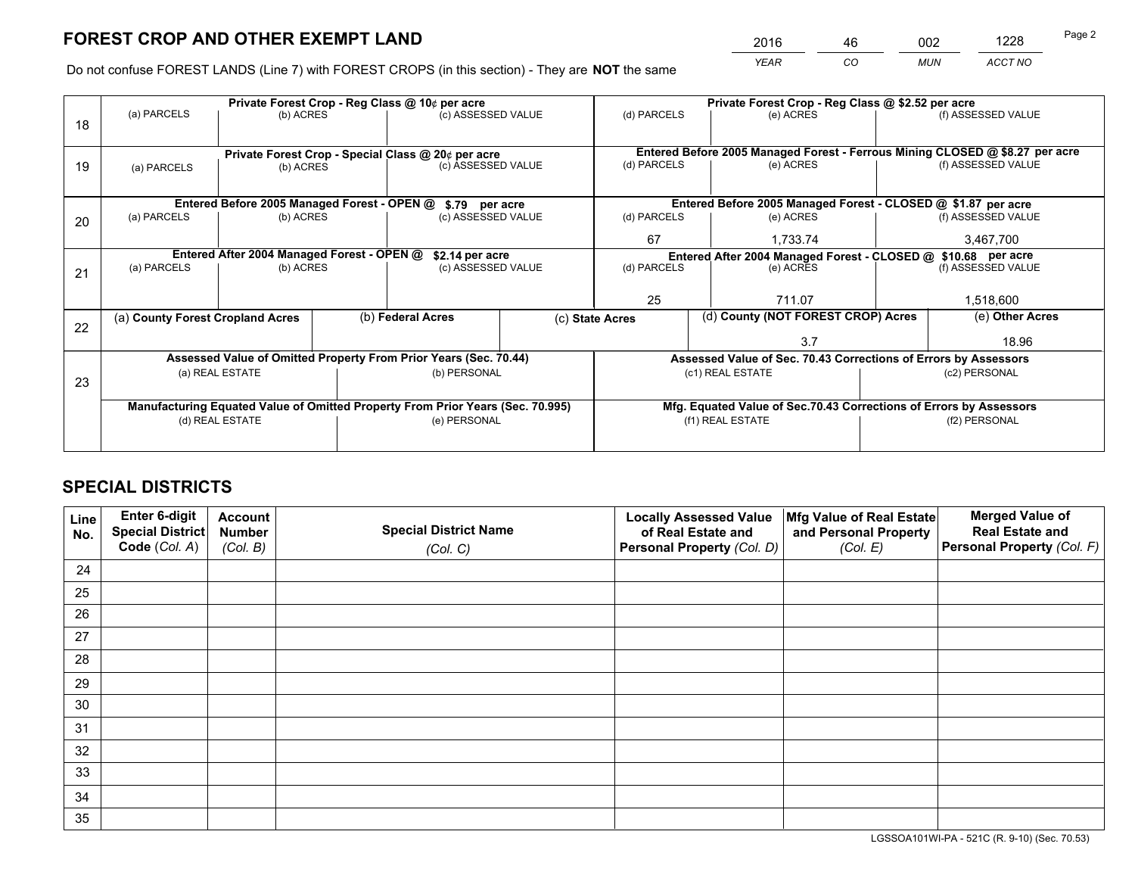*YEAR CO MUN ACCT NO* <sup>2016</sup> <sup>46</sup> <sup>002</sup> <sup>1228</sup>

Do not confuse FOREST LANDS (Line 7) with FOREST CROPS (in this section) - They are **NOT** the same

|    |                                                                  |                                             |  | Private Forest Crop - Reg Class @ 10¢ per acre                                 |  | Private Forest Crop - Reg Class @ \$2.52 per acre             |                                                                              |                    |                    |  |
|----|------------------------------------------------------------------|---------------------------------------------|--|--------------------------------------------------------------------------------|--|---------------------------------------------------------------|------------------------------------------------------------------------------|--------------------|--------------------|--|
| 18 | (a) PARCELS                                                      | (b) ACRES                                   |  | (c) ASSESSED VALUE                                                             |  | (d) PARCELS                                                   | (e) ACRES                                                                    |                    | (f) ASSESSED VALUE |  |
|    |                                                                  |                                             |  |                                                                                |  |                                                               |                                                                              |                    |                    |  |
|    |                                                                  |                                             |  | Private Forest Crop - Special Class @ 20¢ per acre                             |  |                                                               | Entered Before 2005 Managed Forest - Ferrous Mining CLOSED @ \$8.27 per acre |                    |                    |  |
| 19 | (a) PARCELS                                                      | (b) ACRES                                   |  | (c) ASSESSED VALUE                                                             |  | (d) PARCELS                                                   | (e) ACRES                                                                    |                    | (f) ASSESSED VALUE |  |
|    |                                                                  |                                             |  |                                                                                |  |                                                               |                                                                              |                    |                    |  |
|    |                                                                  | Entered Before 2005 Managed Forest - OPEN @ |  | \$.79 per acre                                                                 |  |                                                               | Entered Before 2005 Managed Forest - CLOSED @ \$1.87 per acre                |                    |                    |  |
| 20 | (a) PARCELS                                                      | (b) ACRES                                   |  | (c) ASSESSED VALUE                                                             |  | (d) PARCELS                                                   | (e) ACRES                                                                    |                    | (f) ASSESSED VALUE |  |
|    |                                                                  |                                             |  |                                                                                |  | 67                                                            | 1,733.74                                                                     |                    | 3,467,700          |  |
|    | Entered After 2004 Managed Forest - OPEN @                       |                                             |  | \$2.14 per acre                                                                |  | Entered After 2004 Managed Forest - CLOSED @ \$10.68 per acre |                                                                              |                    |                    |  |
| 21 | (a) PARCELS                                                      | (b) ACRES                                   |  | (c) ASSESSED VALUE                                                             |  | (d) PARCELS<br>(e) ACRES                                      |                                                                              | (f) ASSESSED VALUE |                    |  |
|    |                                                                  |                                             |  |                                                                                |  |                                                               |                                                                              |                    |                    |  |
|    |                                                                  |                                             |  |                                                                                |  | 25                                                            | 711.07                                                                       |                    | 1,518,600          |  |
| 22 | (a) County Forest Cropland Acres                                 |                                             |  | (b) Federal Acres                                                              |  | (c) State Acres                                               | (d) County (NOT FOREST CROP) Acres                                           |                    | (e) Other Acres    |  |
|    |                                                                  |                                             |  |                                                                                |  |                                                               | 3.7                                                                          |                    | 18.96              |  |
|    | Assessed Value of Omitted Property From Prior Years (Sec. 70.44) |                                             |  |                                                                                |  |                                                               | Assessed Value of Sec. 70.43 Corrections of Errors by Assessors              |                    |                    |  |
| 23 |                                                                  | (a) REAL ESTATE                             |  | (b) PERSONAL                                                                   |  | (c1) REAL ESTATE                                              |                                                                              | (c2) PERSONAL      |                    |  |
|    |                                                                  |                                             |  |                                                                                |  |                                                               |                                                                              |                    |                    |  |
|    |                                                                  |                                             |  | Manufacturing Equated Value of Omitted Property From Prior Years (Sec. 70.995) |  |                                                               | Mfg. Equated Value of Sec.70.43 Corrections of Errors by Assessors           |                    |                    |  |
|    | (d) REAL ESTATE                                                  |                                             |  | (e) PERSONAL                                                                   |  |                                                               | (f1) REAL ESTATE                                                             |                    | (f2) PERSONAL      |  |
|    |                                                                  |                                             |  |                                                                                |  |                                                               |                                                                              |                    |                    |  |

## **SPECIAL DISTRICTS**

| Line<br>No. | Enter 6-digit<br>Special District<br>Code (Col. A) | <b>Account</b><br><b>Number</b> | <b>Special District Name</b> | <b>Locally Assessed Value</b><br>of Real Estate and | Mfg Value of Real Estate<br>and Personal Property | <b>Merged Value of</b><br><b>Real Estate and</b><br>Personal Property (Col. F) |
|-------------|----------------------------------------------------|---------------------------------|------------------------------|-----------------------------------------------------|---------------------------------------------------|--------------------------------------------------------------------------------|
|             |                                                    | (Col. B)                        | (Col. C)                     | Personal Property (Col. D)                          | (Col. E)                                          |                                                                                |
| 24          |                                                    |                                 |                              |                                                     |                                                   |                                                                                |
| 25          |                                                    |                                 |                              |                                                     |                                                   |                                                                                |
| 26          |                                                    |                                 |                              |                                                     |                                                   |                                                                                |
| 27          |                                                    |                                 |                              |                                                     |                                                   |                                                                                |
| 28          |                                                    |                                 |                              |                                                     |                                                   |                                                                                |
| 29          |                                                    |                                 |                              |                                                     |                                                   |                                                                                |
| 30          |                                                    |                                 |                              |                                                     |                                                   |                                                                                |
| 31          |                                                    |                                 |                              |                                                     |                                                   |                                                                                |
| 32          |                                                    |                                 |                              |                                                     |                                                   |                                                                                |
| 33          |                                                    |                                 |                              |                                                     |                                                   |                                                                                |
| 34          |                                                    |                                 |                              |                                                     |                                                   |                                                                                |
| 35          |                                                    |                                 |                              |                                                     |                                                   |                                                                                |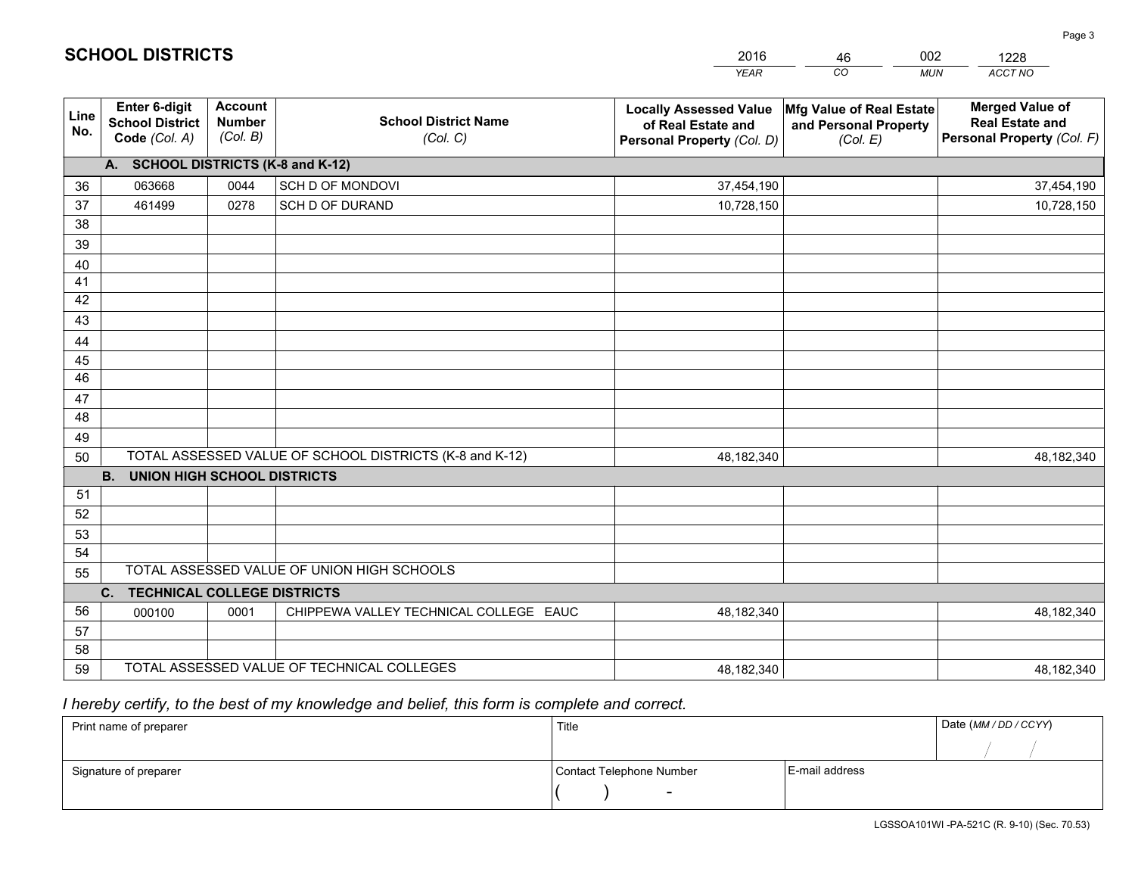|                 |                                                          |                                             |                                                         | <b>YEAR</b>                                                                       | CO<br><b>MUN</b>                                              | ACCT NO                                                                        |
|-----------------|----------------------------------------------------------|---------------------------------------------|---------------------------------------------------------|-----------------------------------------------------------------------------------|---------------------------------------------------------------|--------------------------------------------------------------------------------|
| Line<br>No.     | Enter 6-digit<br><b>School District</b><br>Code (Col. A) | <b>Account</b><br><b>Number</b><br>(Col. B) | <b>School District Name</b><br>(Col. C)                 | <b>Locally Assessed Value</b><br>of Real Estate and<br>Personal Property (Col. D) | Mfg Value of Real Estate<br>and Personal Property<br>(Col. E) | <b>Merged Value of</b><br><b>Real Estate and</b><br>Personal Property (Col. F) |
|                 | A. SCHOOL DISTRICTS (K-8 and K-12)                       |                                             |                                                         |                                                                                   |                                                               |                                                                                |
| 36              | 063668                                                   | 0044                                        | SCH D OF MONDOVI                                        | 37,454,190                                                                        |                                                               | 37,454,190                                                                     |
| 37              | 461499                                                   | 0278                                        | SCH D OF DURAND                                         | 10,728,150                                                                        |                                                               | 10,728,150                                                                     |
| 38              |                                                          |                                             |                                                         |                                                                                   |                                                               |                                                                                |
| 39              |                                                          |                                             |                                                         |                                                                                   |                                                               |                                                                                |
| 40              |                                                          |                                             |                                                         |                                                                                   |                                                               |                                                                                |
| 41              |                                                          |                                             |                                                         |                                                                                   |                                                               |                                                                                |
| 42              |                                                          |                                             |                                                         |                                                                                   |                                                               |                                                                                |
| 43              |                                                          |                                             |                                                         |                                                                                   |                                                               |                                                                                |
| 44<br>45        |                                                          |                                             |                                                         |                                                                                   |                                                               |                                                                                |
| $\overline{46}$ |                                                          |                                             |                                                         |                                                                                   |                                                               |                                                                                |
| 47              |                                                          |                                             |                                                         |                                                                                   |                                                               |                                                                                |
| 48              |                                                          |                                             |                                                         |                                                                                   |                                                               |                                                                                |
| 49              |                                                          |                                             |                                                         |                                                                                   |                                                               |                                                                                |
| 50              |                                                          |                                             | TOTAL ASSESSED VALUE OF SCHOOL DISTRICTS (K-8 and K-12) | 48,182,340                                                                        |                                                               | 48,182,340                                                                     |
|                 | <b>B.</b><br><b>UNION HIGH SCHOOL DISTRICTS</b>          |                                             |                                                         |                                                                                   |                                                               |                                                                                |
| 51              |                                                          |                                             |                                                         |                                                                                   |                                                               |                                                                                |
| 52              |                                                          |                                             |                                                         |                                                                                   |                                                               |                                                                                |
| 53              |                                                          |                                             |                                                         |                                                                                   |                                                               |                                                                                |
| 54              |                                                          |                                             |                                                         |                                                                                   |                                                               |                                                                                |
| 55              |                                                          |                                             | TOTAL ASSESSED VALUE OF UNION HIGH SCHOOLS              |                                                                                   |                                                               |                                                                                |
|                 | C.<br><b>TECHNICAL COLLEGE DISTRICTS</b>                 |                                             |                                                         |                                                                                   |                                                               |                                                                                |
| 56              | 000100                                                   | 0001                                        | CHIPPEWA VALLEY TECHNICAL COLLEGE EAUC                  | 48,182,340                                                                        |                                                               | 48,182,340                                                                     |
| 57              |                                                          |                                             |                                                         |                                                                                   |                                                               |                                                                                |
| 58              |                                                          |                                             |                                                         |                                                                                   |                                                               |                                                                                |
| 59              |                                                          |                                             | TOTAL ASSESSED VALUE OF TECHNICAL COLLEGES              | 48,182,340                                                                        |                                                               | 48,182,340                                                                     |

 *I hereby certify, to the best of my knowledge and belief, this form is complete and correct.*

| Print name of preparer | Title                    |                | Date (MM / DD / CCYY) |
|------------------------|--------------------------|----------------|-----------------------|
|                        |                          |                |                       |
| Signature of preparer  | Contact Telephone Number | E-mail address |                       |
|                        | $\overline{\phantom{0}}$ |                |                       |

201646002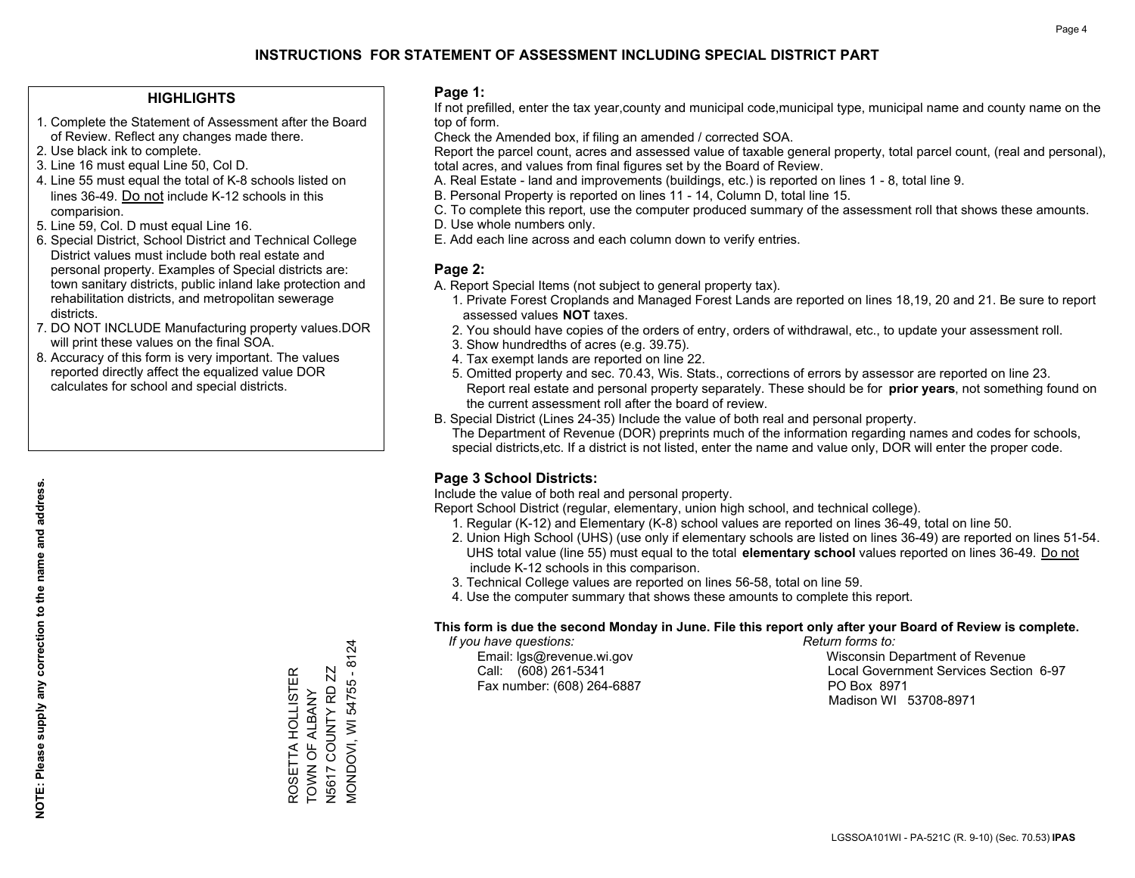### **HIGHLIGHTS**

- 1. Complete the Statement of Assessment after the Board of Review. Reflect any changes made there.
- 2. Use black ink to complete.
- 3. Line 16 must equal Line 50, Col D.
- 4. Line 55 must equal the total of K-8 schools listed on lines 36-49. Do not include K-12 schools in this comparision.
- 5. Line 59, Col. D must equal Line 16.
- 6. Special District, School District and Technical College District values must include both real estate and personal property. Examples of Special districts are: town sanitary districts, public inland lake protection and rehabilitation districts, and metropolitan sewerage districts.
- 7. DO NOT INCLUDE Manufacturing property values.DOR will print these values on the final SOA.

ROSETTA HOLLISTER TOWN OF ALBANY N5617 COUNTY RD ZZ MONDOVI, WI 54755 - 8124

**MONDOVI, WI 54755 - 8124** ROSETTA HOLLISTER<br>TOWN OF ALBANY

 8. Accuracy of this form is very important. The values reported directly affect the equalized value DOR calculates for school and special districts.

### **Page 1:**

 If not prefilled, enter the tax year,county and municipal code,municipal type, municipal name and county name on the top of form.

Check the Amended box, if filing an amended / corrected SOA.

 Report the parcel count, acres and assessed value of taxable general property, total parcel count, (real and personal), total acres, and values from final figures set by the Board of Review.

- A. Real Estate land and improvements (buildings, etc.) is reported on lines 1 8, total line 9.
- B. Personal Property is reported on lines 11 14, Column D, total line 15.
- C. To complete this report, use the computer produced summary of the assessment roll that shows these amounts.
- D. Use whole numbers only.
- E. Add each line across and each column down to verify entries.

### **Page 2:**

- A. Report Special Items (not subject to general property tax).
- 1. Private Forest Croplands and Managed Forest Lands are reported on lines 18,19, 20 and 21. Be sure to report assessed values **NOT** taxes.
- 2. You should have copies of the orders of entry, orders of withdrawal, etc., to update your assessment roll.
	- 3. Show hundredths of acres (e.g. 39.75).
- 4. Tax exempt lands are reported on line 22.
- 5. Omitted property and sec. 70.43, Wis. Stats., corrections of errors by assessor are reported on line 23. Report real estate and personal property separately. These should be for **prior years**, not something found on the current assessment roll after the board of review.
- B. Special District (Lines 24-35) Include the value of both real and personal property.
- The Department of Revenue (DOR) preprints much of the information regarding names and codes for schools, special districts,etc. If a district is not listed, enter the name and value only, DOR will enter the proper code.

## **Page 3 School Districts:**

Include the value of both real and personal property.

Report School District (regular, elementary, union high school, and technical college).

- 1. Regular (K-12) and Elementary (K-8) school values are reported on lines 36-49, total on line 50.
- 2. Union High School (UHS) (use only if elementary schools are listed on lines 36-49) are reported on lines 51-54. UHS total value (line 55) must equal to the total **elementary school** values reported on lines 36-49. Do notinclude K-12 schools in this comparison.
- 3. Technical College values are reported on lines 56-58, total on line 59.
- 4. Use the computer summary that shows these amounts to complete this report.

### **This form is due the second Monday in June. File this report only after your Board of Review is complete.**

 *If you have questions: Return forms to:*

Fax number: (608) 264-6887 PO Box 8971

 Email: lgs@revenue.wi.gov Wisconsin Department of Revenue Call: (608) 261-5341 Local Government Services Section 6-97Madison WI 53708-8971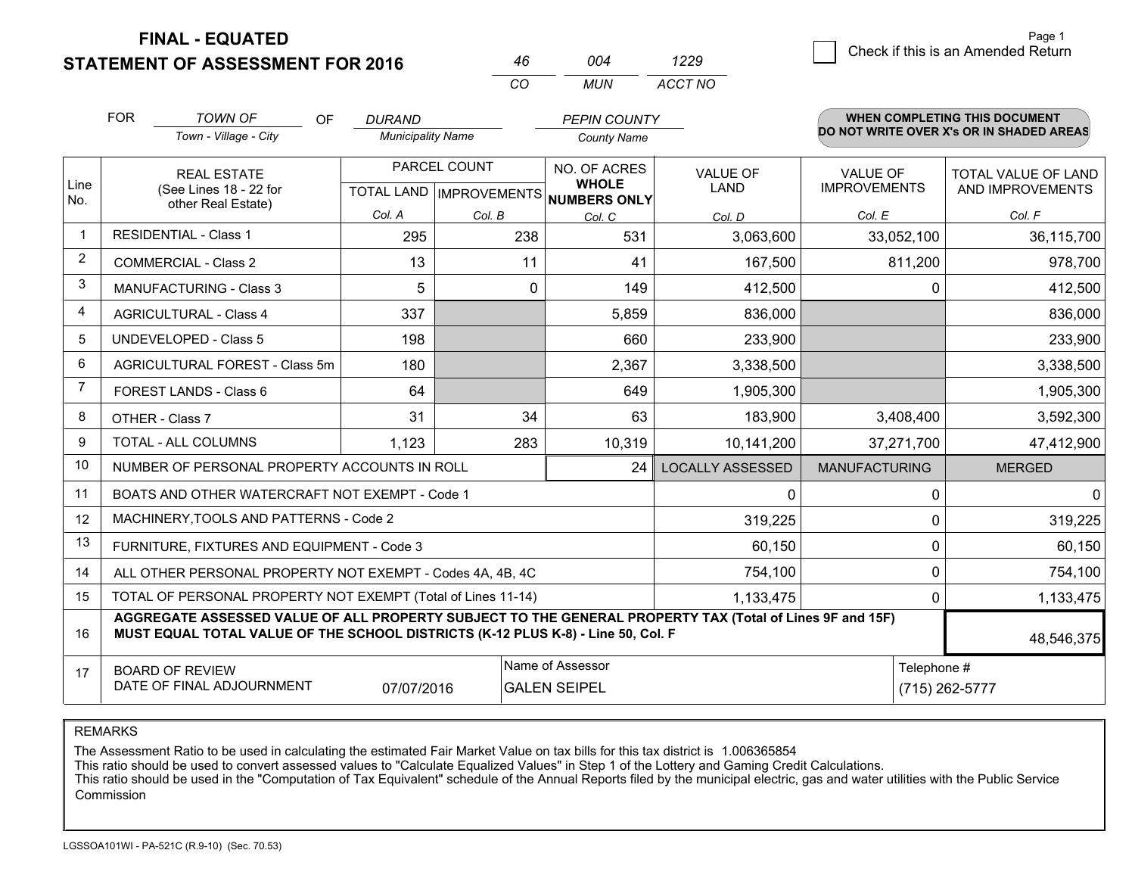**FINAL - EQUATED**

**STATEMENT OF ASSESSMENT FOR 2016** 

| 46.      | በበ4 | 1229    |
|----------|-----|---------|
| $\alpha$ | MUN | ACCT NO |

|                | <b>FOR</b><br><b>TOWN OF</b><br>OF<br>Town - Village - City                                                                                                                                  | <b>DURAND</b><br><b>Municipality Name</b> |                                           | <b>PEPIN COUNTY</b><br><b>County Name</b> |                                |                                        | <b>WHEN COMPLETING THIS DOCUMENT</b><br>DO NOT WRITE OVER X's OR IN SHADED AREAS |
|----------------|----------------------------------------------------------------------------------------------------------------------------------------------------------------------------------------------|-------------------------------------------|-------------------------------------------|-------------------------------------------|--------------------------------|----------------------------------------|----------------------------------------------------------------------------------|
| Line<br>No.    | <b>REAL ESTATE</b><br>(See Lines 18 - 22 for                                                                                                                                                 |                                           | PARCEL COUNT<br>TOTAL LAND   IMPROVEMENTS |                                           | <b>VALUE OF</b><br><b>LAND</b> | <b>VALUE OF</b><br><b>IMPROVEMENTS</b> | TOTAL VALUE OF LAND<br>AND IMPROVEMENTS                                          |
|                | other Real Estate)                                                                                                                                                                           | Col. A                                    | Col. B                                    | NUMBERS ONLY<br>Col. C                    | Col. D                         | Col. E                                 | Col. F                                                                           |
| $\mathbf 1$    | <b>RESIDENTIAL - Class 1</b>                                                                                                                                                                 | 295                                       | 238                                       | 531                                       | 3,063,600                      | 33,052,100                             | 36,115,700                                                                       |
| 2              | <b>COMMERCIAL - Class 2</b>                                                                                                                                                                  | 13                                        | 11                                        | 41                                        | 167,500                        | 811,200                                | 978,700                                                                          |
| 3              | <b>MANUFACTURING - Class 3</b>                                                                                                                                                               | 5                                         | 0                                         | 149                                       | 412,500                        | $\Omega$                               | 412,500                                                                          |
| 4              | <b>AGRICULTURAL - Class 4</b>                                                                                                                                                                | 337                                       |                                           | 5,859                                     | 836,000                        |                                        | 836,000                                                                          |
| 5              | <b>UNDEVELOPED - Class 5</b>                                                                                                                                                                 | 198                                       |                                           | 660                                       | 233,900                        |                                        | 233,900                                                                          |
| 6              | AGRICULTURAL FOREST - Class 5m                                                                                                                                                               | 180                                       |                                           | 2,367                                     | 3,338,500                      |                                        | 3,338,500                                                                        |
| $\overline{7}$ | FOREST LANDS - Class 6                                                                                                                                                                       | 64                                        |                                           | 649                                       | 1,905,300                      |                                        | 1,905,300                                                                        |
| 8              | OTHER - Class 7                                                                                                                                                                              | 31                                        | 34                                        | 63                                        | 183,900                        | 3,408,400                              | 3,592,300                                                                        |
| 9              | TOTAL - ALL COLUMNS                                                                                                                                                                          | 1,123                                     | 283                                       | 10,319                                    | 10,141,200                     | 37,271,700                             | 47,412,900                                                                       |
| 10             | NUMBER OF PERSONAL PROPERTY ACCOUNTS IN ROLL                                                                                                                                                 |                                           |                                           | 24                                        | <b>LOCALLY ASSESSED</b>        | <b>MANUFACTURING</b>                   | <b>MERGED</b>                                                                    |
| 11             | BOATS AND OTHER WATERCRAFT NOT EXEMPT - Code 1                                                                                                                                               |                                           |                                           |                                           | 0                              | 0                                      | $\mathbf{0}$                                                                     |
| 12             | MACHINERY, TOOLS AND PATTERNS - Code 2                                                                                                                                                       |                                           |                                           |                                           | 319,225                        | $\Omega$                               | 319,225                                                                          |
| 13             | FURNITURE, FIXTURES AND EQUIPMENT - Code 3                                                                                                                                                   |                                           |                                           |                                           | 60,150                         | 0                                      | 60,150                                                                           |
| 14             | ALL OTHER PERSONAL PROPERTY NOT EXEMPT - Codes 4A, 4B, 4C                                                                                                                                    | $\Omega$                                  | 754,100                                   |                                           |                                |                                        |                                                                                  |
| 15             | TOTAL OF PERSONAL PROPERTY NOT EXEMPT (Total of Lines 11-14)<br>1,133,475                                                                                                                    |                                           |                                           |                                           |                                |                                        | $\mathbf{0}$<br>1,133,475                                                        |
| 16             | AGGREGATE ASSESSED VALUE OF ALL PROPERTY SUBJECT TO THE GENERAL PROPERTY TAX (Total of Lines 9F and 15F)<br>MUST EQUAL TOTAL VALUE OF THE SCHOOL DISTRICTS (K-12 PLUS K-8) - Line 50, Col. F |                                           |                                           |                                           |                                |                                        | 48,546,375                                                                       |
| 17             | Name of Assessor<br>Telephone #<br><b>BOARD OF REVIEW</b><br>DATE OF FINAL ADJOURNMENT<br><b>GALEN SEIPEL</b><br>07/07/2016                                                                  |                                           |                                           |                                           |                                | (715) 262-5777                         |                                                                                  |

REMARKS

The Assessment Ratio to be used in calculating the estimated Fair Market Value on tax bills for this tax district is 1.006365854<br>This ratio should be used to convert assessed values to "Calculate Equalized Values" in Step Commission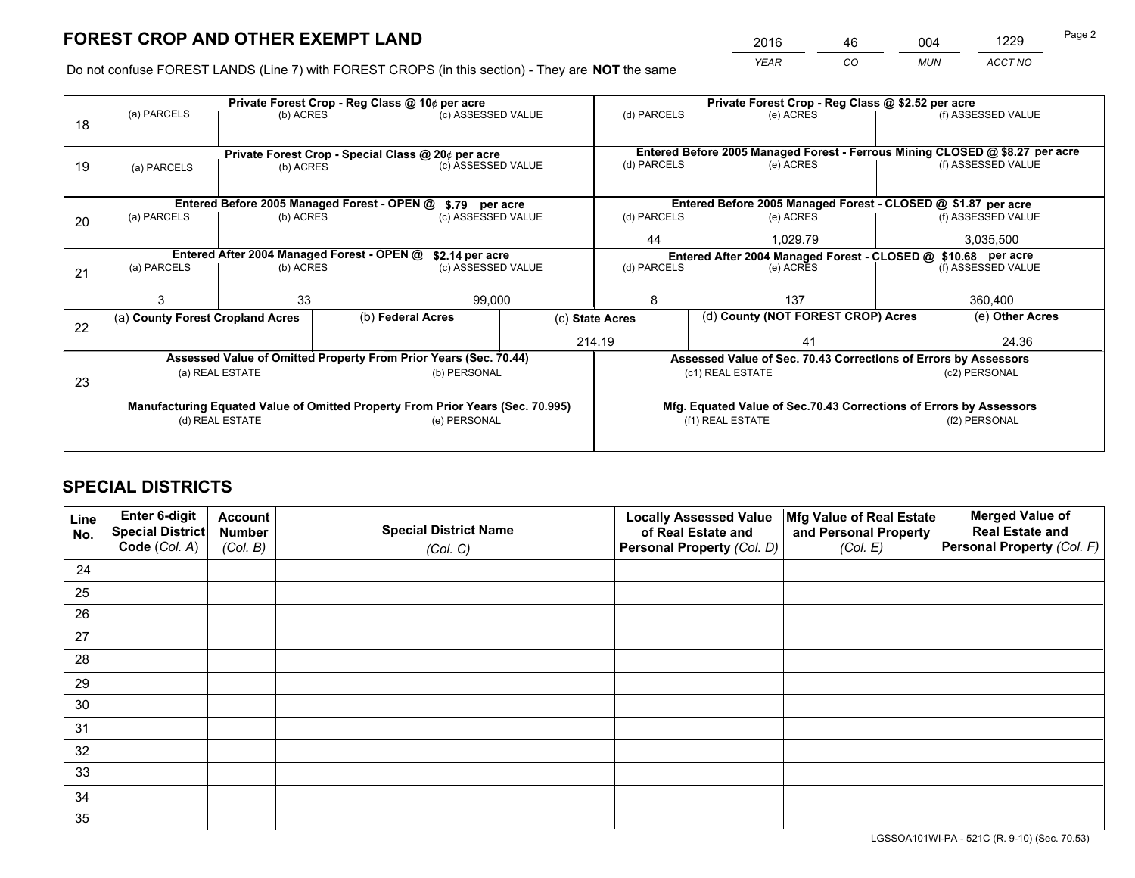*YEAR CO MUN ACCT NO* 2016 <u>46 004 1229</u>

Do not confuse FOREST LANDS (Line 7) with FOREST CROPS (in this section) - They are **NOT** the same

|    |                                                                                |                                             |  | Private Forest Crop - Reg Class @ 10¢ per acre                   |              |                                                               | Private Forest Crop - Reg Class @ \$2.52 per acre                            |  |                    |  |
|----|--------------------------------------------------------------------------------|---------------------------------------------|--|------------------------------------------------------------------|--------------|---------------------------------------------------------------|------------------------------------------------------------------------------|--|--------------------|--|
| 18 | (a) PARCELS                                                                    | (b) ACRES                                   |  | (c) ASSESSED VALUE                                               |              | (d) PARCELS                                                   | (e) ACRES                                                                    |  | (f) ASSESSED VALUE |  |
|    |                                                                                |                                             |  | Private Forest Crop - Special Class @ 20¢ per acre               |              |                                                               | Entered Before 2005 Managed Forest - Ferrous Mining CLOSED @ \$8.27 per acre |  |                    |  |
| 19 | (a) PARCELS                                                                    | (b) ACRES                                   |  | (c) ASSESSED VALUE                                               |              | (d) PARCELS                                                   | (e) ACRES                                                                    |  | (f) ASSESSED VALUE |  |
|    |                                                                                | Entered Before 2005 Managed Forest - OPEN @ |  | \$.79 per acre                                                   |              |                                                               | Entered Before 2005 Managed Forest - CLOSED @ \$1.87 per acre                |  |                    |  |
| 20 | (a) PARCELS                                                                    | (b) ACRES                                   |  | (c) ASSESSED VALUE                                               |              | (d) PARCELS                                                   | (e) ACRES                                                                    |  | (f) ASSESSED VALUE |  |
|    |                                                                                |                                             |  |                                                                  |              | 44                                                            | 1.029.79                                                                     |  | 3,035,500          |  |
|    |                                                                                | Entered After 2004 Managed Forest - OPEN @  |  | \$2.14 per acre                                                  |              | Entered After 2004 Managed Forest - CLOSED @ \$10.68 per acre |                                                                              |  |                    |  |
| 21 | (a) PARCELS                                                                    | (b) ACRES                                   |  | (c) ASSESSED VALUE                                               |              | (d) PARCELS<br>(e) ACRES                                      |                                                                              |  | (f) ASSESSED VALUE |  |
|    |                                                                                | 33                                          |  | 99,000                                                           |              | 8                                                             | 137                                                                          |  | 360,400            |  |
|    | (a) County Forest Cropland Acres                                               |                                             |  | (b) Federal Acres                                                |              | (c) State Acres                                               | (d) County (NOT FOREST CROP) Acres                                           |  | (e) Other Acres    |  |
| 22 |                                                                                |                                             |  |                                                                  | 214.19<br>41 |                                                               |                                                                              |  | 24.36              |  |
|    |                                                                                |                                             |  | Assessed Value of Omitted Property From Prior Years (Sec. 70.44) |              |                                                               | Assessed Value of Sec. 70.43 Corrections of Errors by Assessors              |  |                    |  |
| 23 | (a) REAL ESTATE                                                                |                                             |  | (b) PERSONAL                                                     |              | (c1) REAL ESTATE                                              |                                                                              |  | (c2) PERSONAL      |  |
|    | Manufacturing Equated Value of Omitted Property From Prior Years (Sec. 70.995) |                                             |  |                                                                  |              |                                                               | Mfg. Equated Value of Sec.70.43 Corrections of Errors by Assessors           |  |                    |  |
|    | (d) REAL ESTATE                                                                |                                             |  | (e) PERSONAL                                                     |              |                                                               | (f1) REAL ESTATE                                                             |  | (f2) PERSONAL      |  |
|    |                                                                                |                                             |  |                                                                  |              |                                                               |                                                                              |  |                    |  |

## **SPECIAL DISTRICTS**

| Line<br>No. | Enter 6-digit<br><b>Special District</b> | <b>Account</b><br><b>Number</b> | <b>Special District Name</b> | <b>Locally Assessed Value</b><br>of Real Estate and | Mfg Value of Real Estate<br>and Personal Property | <b>Merged Value of</b><br><b>Real Estate and</b> |
|-------------|------------------------------------------|---------------------------------|------------------------------|-----------------------------------------------------|---------------------------------------------------|--------------------------------------------------|
|             | Code (Col. A)                            | (Col. B)                        | (Col. C)                     | Personal Property (Col. D)                          | (Col. E)                                          | Personal Property (Col. F)                       |
| 24          |                                          |                                 |                              |                                                     |                                                   |                                                  |
| 25          |                                          |                                 |                              |                                                     |                                                   |                                                  |
| 26          |                                          |                                 |                              |                                                     |                                                   |                                                  |
| 27          |                                          |                                 |                              |                                                     |                                                   |                                                  |
| 28          |                                          |                                 |                              |                                                     |                                                   |                                                  |
| 29          |                                          |                                 |                              |                                                     |                                                   |                                                  |
| 30          |                                          |                                 |                              |                                                     |                                                   |                                                  |
| 31          |                                          |                                 |                              |                                                     |                                                   |                                                  |
| 32          |                                          |                                 |                              |                                                     |                                                   |                                                  |
| 33          |                                          |                                 |                              |                                                     |                                                   |                                                  |
| 34          |                                          |                                 |                              |                                                     |                                                   |                                                  |
| 35          |                                          |                                 |                              |                                                     |                                                   |                                                  |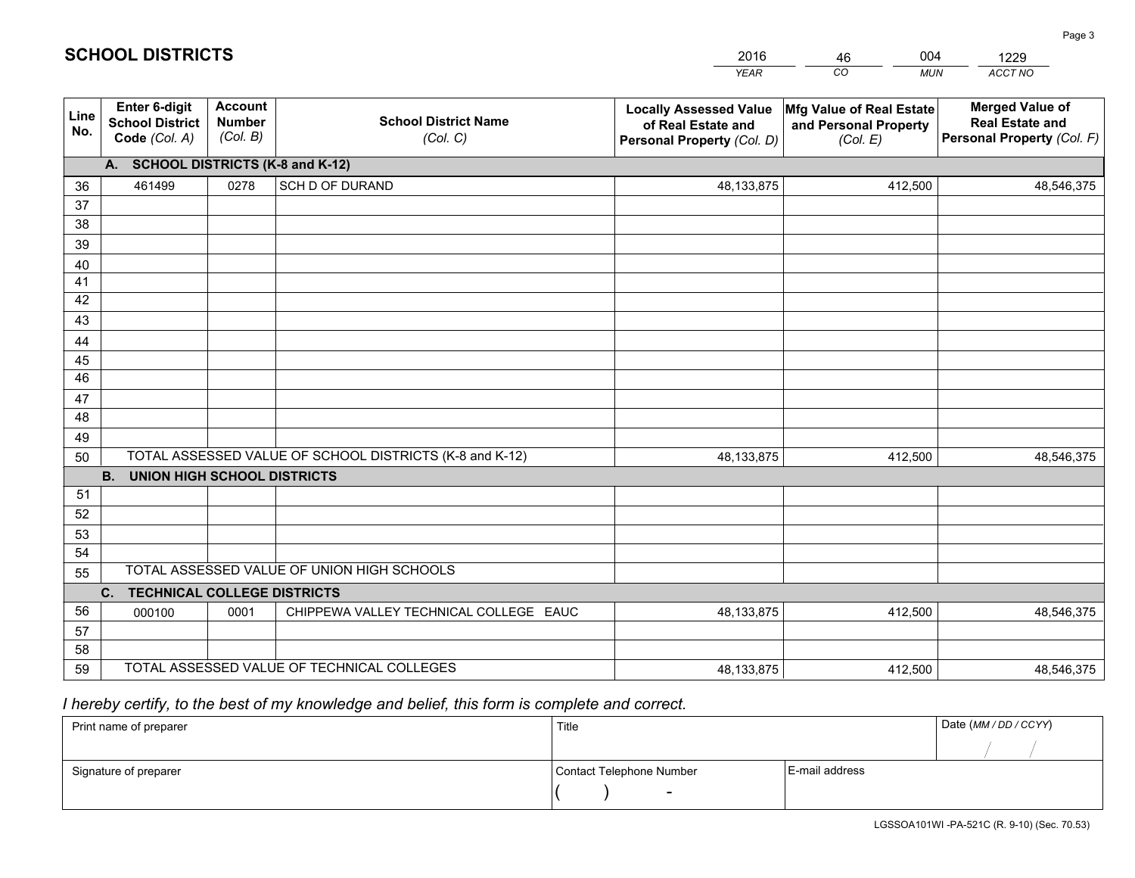|             |                                                                 |                                             |                                                         | YEAR                                                                              | CO<br><b>MUN</b>                                              | ACCT NO                                                                        |
|-------------|-----------------------------------------------------------------|---------------------------------------------|---------------------------------------------------------|-----------------------------------------------------------------------------------|---------------------------------------------------------------|--------------------------------------------------------------------------------|
| Line<br>No. | <b>Enter 6-digit</b><br><b>School District</b><br>Code (Col. A) | <b>Account</b><br><b>Number</b><br>(Col. B) | <b>School District Name</b><br>(Col. C)                 | <b>Locally Assessed Value</b><br>of Real Estate and<br>Personal Property (Col. D) | Mfg Value of Real Estate<br>and Personal Property<br>(Col. E) | <b>Merged Value of</b><br><b>Real Estate and</b><br>Personal Property (Col. F) |
|             | A. SCHOOL DISTRICTS (K-8 and K-12)                              |                                             |                                                         |                                                                                   |                                                               |                                                                                |
| 36          | 461499                                                          | 0278                                        | <b>SCH D OF DURAND</b>                                  | 48,133,875                                                                        | 412,500                                                       | 48,546,375                                                                     |
| 37          |                                                                 |                                             |                                                         |                                                                                   |                                                               |                                                                                |
| 38          |                                                                 |                                             |                                                         |                                                                                   |                                                               |                                                                                |
| 39          |                                                                 |                                             |                                                         |                                                                                   |                                                               |                                                                                |
| 40          |                                                                 |                                             |                                                         |                                                                                   |                                                               |                                                                                |
| 41<br>42    |                                                                 |                                             |                                                         |                                                                                   |                                                               |                                                                                |
| 43          |                                                                 |                                             |                                                         |                                                                                   |                                                               |                                                                                |
| 44          |                                                                 |                                             |                                                         |                                                                                   |                                                               |                                                                                |
| 45          |                                                                 |                                             |                                                         |                                                                                   |                                                               |                                                                                |
| 46          |                                                                 |                                             |                                                         |                                                                                   |                                                               |                                                                                |
| 47          |                                                                 |                                             |                                                         |                                                                                   |                                                               |                                                                                |
| 48          |                                                                 |                                             |                                                         |                                                                                   |                                                               |                                                                                |
| 49          |                                                                 |                                             |                                                         |                                                                                   |                                                               |                                                                                |
| 50          |                                                                 |                                             | TOTAL ASSESSED VALUE OF SCHOOL DISTRICTS (K-8 and K-12) | 48,133,875                                                                        | 412,500                                                       | 48,546,375                                                                     |
|             | <b>B.</b><br><b>UNION HIGH SCHOOL DISTRICTS</b>                 |                                             |                                                         |                                                                                   |                                                               |                                                                                |
| 51          |                                                                 |                                             |                                                         |                                                                                   |                                                               |                                                                                |
| 52          |                                                                 |                                             |                                                         |                                                                                   |                                                               |                                                                                |
| 53<br>54    |                                                                 |                                             |                                                         |                                                                                   |                                                               |                                                                                |
| 55          |                                                                 |                                             | TOTAL ASSESSED VALUE OF UNION HIGH SCHOOLS              |                                                                                   |                                                               |                                                                                |
|             | C.<br><b>TECHNICAL COLLEGE DISTRICTS</b>                        |                                             |                                                         |                                                                                   |                                                               |                                                                                |
| 56          | 000100                                                          | 0001                                        | CHIPPEWA VALLEY TECHNICAL COLLEGE EAUC                  | 48,133,875                                                                        | 412,500                                                       | 48,546,375                                                                     |
| 57          |                                                                 |                                             |                                                         |                                                                                   |                                                               |                                                                                |
| 58          |                                                                 |                                             |                                                         |                                                                                   |                                                               |                                                                                |
| 59          |                                                                 |                                             | TOTAL ASSESSED VALUE OF TECHNICAL COLLEGES              | 48,133,875                                                                        | 412,500                                                       | 48,546,375                                                                     |

46

004

 *I hereby certify, to the best of my knowledge and belief, this form is complete and correct.*

**SCHOOL DISTRICTS**

| Print name of preparer | Title                    |                | Date (MM / DD / CCYY) |
|------------------------|--------------------------|----------------|-----------------------|
|                        |                          |                |                       |
| Signature of preparer  | Contact Telephone Number | E-mail address |                       |
|                        | $\sim$                   |                |                       |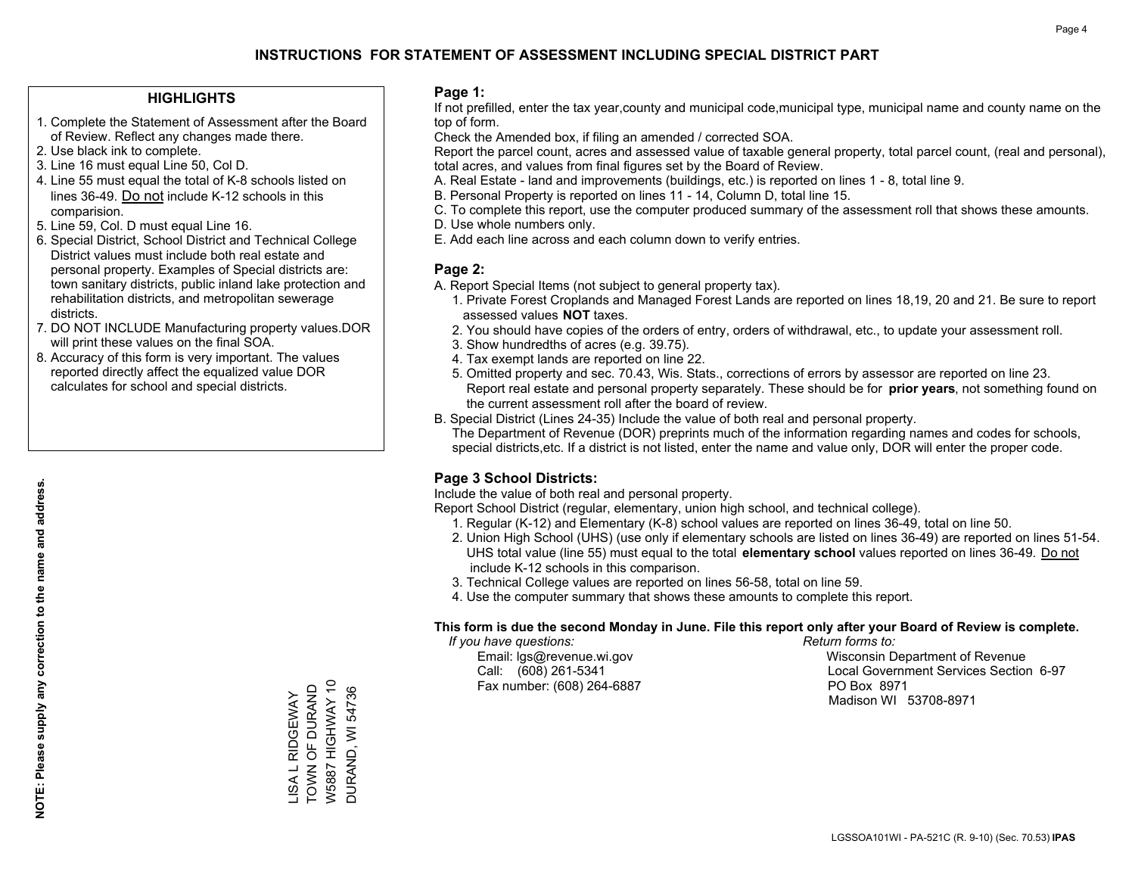## **HIGHLIGHTS**

- 1. Complete the Statement of Assessment after the Board of Review. Reflect any changes made there.
- 2. Use black ink to complete.
- 3. Line 16 must equal Line 50, Col D.
- 4. Line 55 must equal the total of K-8 schools listed on lines 36-49. Do not include K-12 schools in this comparision.
- 5. Line 59, Col. D must equal Line 16.
- 6. Special District, School District and Technical College District values must include both real estate and personal property. Examples of Special districts are: town sanitary districts, public inland lake protection and rehabilitation districts, and metropolitan sewerage districts.
- 7. DO NOT INCLUDE Manufacturing property values.DOR will print these values on the final SOA.
- 8. Accuracy of this form is very important. The values reported directly affect the equalized value DOR calculates for school and special districts.

### **Page 1:**

 If not prefilled, enter the tax year,county and municipal code,municipal type, municipal name and county name on the top of form.

Check the Amended box, if filing an amended / corrected SOA.

 Report the parcel count, acres and assessed value of taxable general property, total parcel count, (real and personal), total acres, and values from final figures set by the Board of Review.

- A. Real Estate land and improvements (buildings, etc.) is reported on lines 1 8, total line 9.
- B. Personal Property is reported on lines 11 14, Column D, total line 15.
- C. To complete this report, use the computer produced summary of the assessment roll that shows these amounts.
- D. Use whole numbers only.
- E. Add each line across and each column down to verify entries.

## **Page 2:**

- A. Report Special Items (not subject to general property tax).
- 1. Private Forest Croplands and Managed Forest Lands are reported on lines 18,19, 20 and 21. Be sure to report assessed values **NOT** taxes.
- 2. You should have copies of the orders of entry, orders of withdrawal, etc., to update your assessment roll.
	- 3. Show hundredths of acres (e.g. 39.75).
- 4. Tax exempt lands are reported on line 22.
- 5. Omitted property and sec. 70.43, Wis. Stats., corrections of errors by assessor are reported on line 23. Report real estate and personal property separately. These should be for **prior years**, not something found on the current assessment roll after the board of review.
- B. Special District (Lines 24-35) Include the value of both real and personal property.
- The Department of Revenue (DOR) preprints much of the information regarding names and codes for schools, special districts,etc. If a district is not listed, enter the name and value only, DOR will enter the proper code.

## **Page 3 School Districts:**

Include the value of both real and personal property.

Report School District (regular, elementary, union high school, and technical college).

- 1. Regular (K-12) and Elementary (K-8) school values are reported on lines 36-49, total on line 50.
- 2. Union High School (UHS) (use only if elementary schools are listed on lines 36-49) are reported on lines 51-54. UHS total value (line 55) must equal to the total **elementary school** values reported on lines 36-49. Do notinclude K-12 schools in this comparison.
- 3. Technical College values are reported on lines 56-58, total on line 59.
- 4. Use the computer summary that shows these amounts to complete this report.

### **This form is due the second Monday in June. File this report only after your Board of Review is complete.**

 *If you have questions: Return forms to:*

Fax number: (608) 264-6887 PO Box 8971

 Email: lgs@revenue.wi.gov Wisconsin Department of Revenue Call: (608) 261-5341 Local Government Services Section 6-97Madison WI 53708-8971

W5887 HIGHWAY 10 LISA L RIDGEWAY<br>TOWN OF DURAND TOWN OF DURAND W5887 HIGHWAY 10 **DURAND, WI 54736** DURAND, WI 54736 LISA L RIDGEWAY

**NOTE: Please supply any correction to the name and address.**

NOTE: Please supply any correction to the name and address.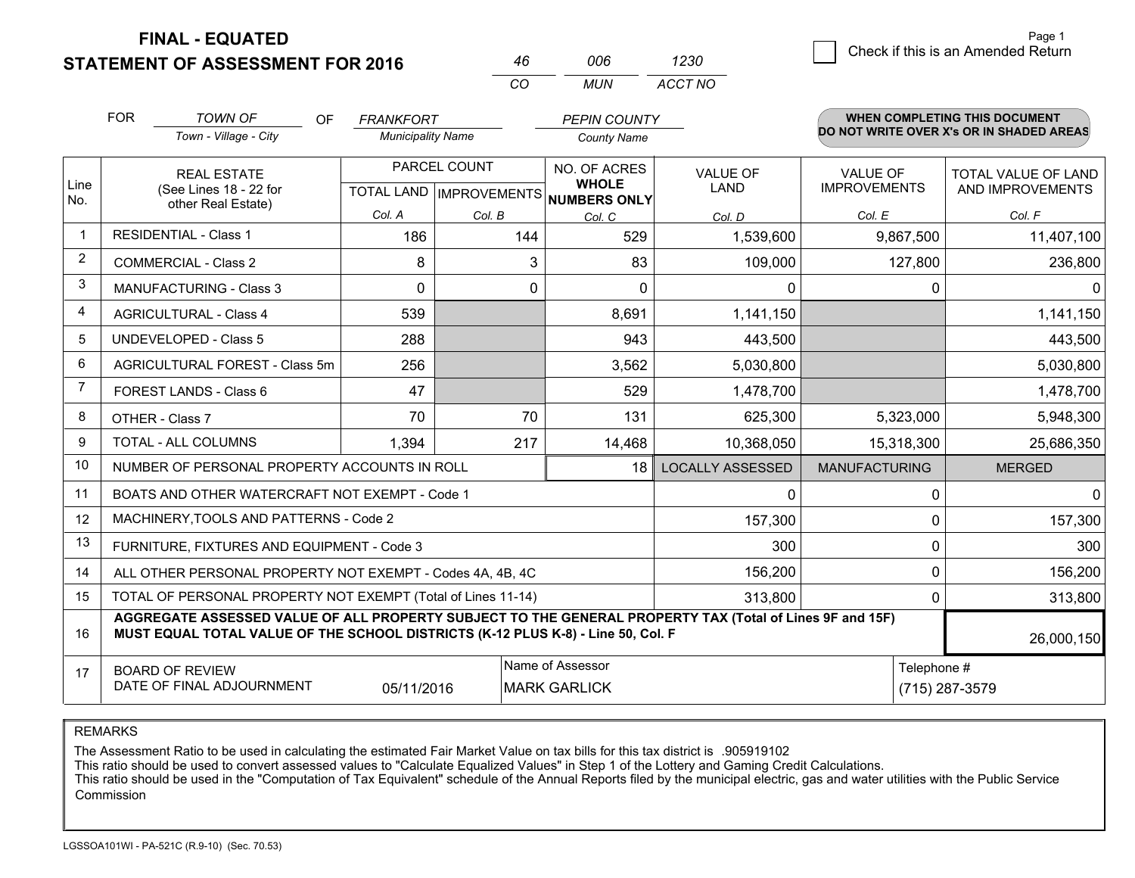**STATEMENT OF ASSESSMENT FOR 2016** 

**FINAL - EQUATED**

|                | <b>FOR</b>                                                                                                                                                                                   | <b>TOWN OF</b><br>OF                                         | <b>FRANKFORT</b>         |                                  | <b>PEPIN COUNTY</b>          |                         |                      | <b>WHEN COMPLETING THIS DOCUMENT</b>     |
|----------------|----------------------------------------------------------------------------------------------------------------------------------------------------------------------------------------------|--------------------------------------------------------------|--------------------------|----------------------------------|------------------------------|-------------------------|----------------------|------------------------------------------|
|                |                                                                                                                                                                                              | Town - Village - City                                        | <b>Municipality Name</b> |                                  | <b>County Name</b>           |                         |                      | DO NOT WRITE OVER X's OR IN SHADED AREAS |
|                |                                                                                                                                                                                              | <b>REAL ESTATE</b>                                           | PARCEL COUNT             |                                  | NO. OF ACRES                 | <b>VALUE OF</b>         | <b>VALUE OF</b>      | TOTAL VALUE OF LAND                      |
| Line<br>No.    |                                                                                                                                                                                              | (See Lines 18 - 22 for<br>other Real Estate)                 |                          | <b>TOTAL LAND   IMPROVEMENTS</b> | <b>WHOLE</b><br>NUMBERS ONLY | <b>LAND</b>             | <b>IMPROVEMENTS</b>  | AND IMPROVEMENTS                         |
|                |                                                                                                                                                                                              |                                                              | Col. A                   | Col. B                           | Col. C                       | Col. D                  | Col. E               | Col. F                                   |
| $\mathbf 1$    | <b>RESIDENTIAL - Class 1</b>                                                                                                                                                                 |                                                              | 186                      | 144                              | 529                          | 1,539,600               | 9,867,500            | 11,407,100                               |
| $\overline{2}$ |                                                                                                                                                                                              | <b>COMMERCIAL - Class 2</b>                                  | 8                        | 3                                | 83                           | 109,000                 | 127,800              | 236,800                                  |
| 3              |                                                                                                                                                                                              | <b>MANUFACTURING - Class 3</b>                               | 0                        | $\mathbf{0}$                     | $\Omega$                     | 0                       | 0                    | $\Omega$                                 |
| 4              |                                                                                                                                                                                              | <b>AGRICULTURAL - Class 4</b>                                | 539                      |                                  | 8,691                        | 1,141,150               |                      | 1,141,150                                |
| 5              |                                                                                                                                                                                              | <b>UNDEVELOPED - Class 5</b>                                 | 288                      |                                  | 943                          | 443,500                 |                      | 443,500                                  |
| 6              | AGRICULTURAL FOREST - Class 5m                                                                                                                                                               |                                                              | 256                      |                                  | 3,562                        | 5,030,800               |                      | 5,030,800                                |
| 7              | <b>FOREST LANDS - Class 6</b>                                                                                                                                                                |                                                              | 47                       |                                  | 529                          | 1,478,700               |                      | 1,478,700                                |
| 8              |                                                                                                                                                                                              | OTHER - Class 7                                              | 70                       | 70                               | 131                          | 625,300                 | 5,323,000            | 5,948,300                                |
| 9              |                                                                                                                                                                                              | <b>TOTAL - ALL COLUMNS</b>                                   | 1,394                    | 217                              | 14,468                       | 10,368,050              | 15,318,300           | 25,686,350                               |
| 10             |                                                                                                                                                                                              | NUMBER OF PERSONAL PROPERTY ACCOUNTS IN ROLL                 |                          |                                  | 18                           | <b>LOCALLY ASSESSED</b> | <b>MANUFACTURING</b> | <b>MERGED</b>                            |
| 11             |                                                                                                                                                                                              | BOATS AND OTHER WATERCRAFT NOT EXEMPT - Code 1               |                          |                                  |                              | 0                       | 0                    | $\Omega$                                 |
| 12             |                                                                                                                                                                                              | MACHINERY, TOOLS AND PATTERNS - Code 2                       |                          |                                  |                              | 157,300                 | 0                    | 157,300                                  |
| 13             |                                                                                                                                                                                              | FURNITURE, FIXTURES AND EQUIPMENT - Code 3                   |                          |                                  |                              | 300                     | 0                    | 300                                      |
| 14             |                                                                                                                                                                                              | ALL OTHER PERSONAL PROPERTY NOT EXEMPT - Codes 4A, 4B, 4C    |                          |                                  |                              | 156,200                 | 0                    | 156,200                                  |
| 15             |                                                                                                                                                                                              | TOTAL OF PERSONAL PROPERTY NOT EXEMPT (Total of Lines 11-14) |                          |                                  | 313,800                      | 0                       | 313,800              |                                          |
| 16             | AGGREGATE ASSESSED VALUE OF ALL PROPERTY SUBJECT TO THE GENERAL PROPERTY TAX (Total of Lines 9F and 15F)<br>MUST EQUAL TOTAL VALUE OF THE SCHOOL DISTRICTS (K-12 PLUS K-8) - Line 50, Col. F |                                                              |                          |                                  |                              |                         | 26,000,150           |                                          |
| 17             |                                                                                                                                                                                              | <b>BOARD OF REVIEW</b>                                       |                          |                                  | Name of Assessor             |                         | Telephone #          |                                          |
|                | DATE OF FINAL ADJOURNMENT<br>05/11/2016<br><b>MARK GARLICK</b><br>(715) 287-3579                                                                                                             |                                                              |                          |                                  |                              |                         |                      |                                          |

*CO*

*MUN*

*ACCT NO1230*

*<sup>46</sup> <sup>006</sup>*

REMARKS

The Assessment Ratio to be used in calculating the estimated Fair Market Value on tax bills for this tax district is .905919102<br>This ratio should be used to convert assessed values to "Calculate Equalized Values" in Step 1 Commission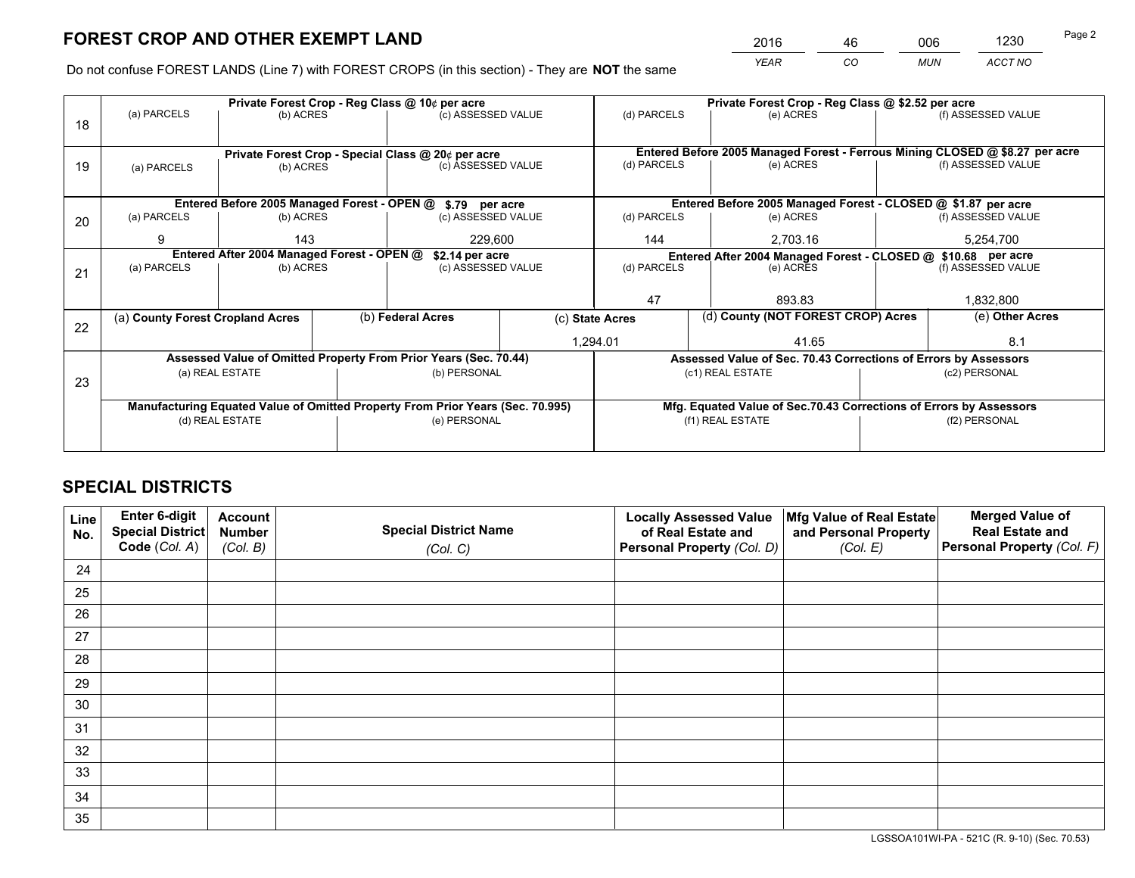*YEAR CO MUN ACCT NO* <sup>2016</sup> <sup>46</sup> <sup>006</sup> <sup>1230</sup>

Do not confuse FOREST LANDS (Line 7) with FOREST CROPS (in this section) - They are **NOT** the same

|    | Private Forest Crop - Reg Class @ 10¢ per acre     |                                             |                    |                                                                                |                                                                              |                  | Private Forest Crop - Reg Class @ \$2.52 per acre                                   |               |                    |  |
|----|----------------------------------------------------|---------------------------------------------|--------------------|--------------------------------------------------------------------------------|------------------------------------------------------------------------------|------------------|-------------------------------------------------------------------------------------|---------------|--------------------|--|
| 18 | (a) PARCELS                                        | (b) ACRES                                   |                    | (c) ASSESSED VALUE                                                             |                                                                              | (d) PARCELS      | (e) ACRES                                                                           |               | (f) ASSESSED VALUE |  |
|    |                                                    |                                             |                    |                                                                                |                                                                              |                  |                                                                                     |               |                    |  |
|    | Private Forest Crop - Special Class @ 20¢ per acre |                                             |                    |                                                                                | Entered Before 2005 Managed Forest - Ferrous Mining CLOSED @ \$8.27 per acre |                  |                                                                                     |               |                    |  |
| 19 | (a) PARCELS                                        | (b) ACRES                                   | (c) ASSESSED VALUE |                                                                                |                                                                              | (d) PARCELS      | (e) ACRES                                                                           |               | (f) ASSESSED VALUE |  |
|    |                                                    |                                             |                    |                                                                                |                                                                              |                  |                                                                                     |               |                    |  |
|    |                                                    | Entered Before 2005 Managed Forest - OPEN @ |                    | \$.79 per acre                                                                 |                                                                              |                  | Entered Before 2005 Managed Forest - CLOSED @ \$1.87 per acre                       |               |                    |  |
| 20 | (a) PARCELS                                        | (b) ACRES                                   |                    | (c) ASSESSED VALUE                                                             |                                                                              | (d) PARCELS      | (e) ACRES                                                                           |               | (f) ASSESSED VALUE |  |
|    | 9                                                  | 143<br>229,600                              |                    |                                                                                | 144<br>2.703.16                                                              |                  | 5,254,700                                                                           |               |                    |  |
|    | Entered After 2004 Managed Forest - OPEN @         |                                             |                    |                                                                                | \$2.14 per acre                                                              |                  | Entered After 2004 Managed Forest - CLOSED @ \$10.68 per acre<br>(f) ASSESSED VALUE |               |                    |  |
| 21 | (a) PARCELS                                        | (b) ACRES                                   |                    | (c) ASSESSED VALUE                                                             | (d) PARCELS                                                                  |                  | (e) ACRES                                                                           |               |                    |  |
|    |                                                    |                                             |                    |                                                                                |                                                                              |                  |                                                                                     |               |                    |  |
|    |                                                    |                                             |                    |                                                                                |                                                                              | 47<br>893.83     |                                                                                     | 1,832,800     |                    |  |
| 22 | (a) County Forest Cropland Acres                   |                                             |                    | (b) Federal Acres                                                              |                                                                              | (c) State Acres  | (d) County (NOT FOREST CROP) Acres                                                  |               | (e) Other Acres    |  |
|    |                                                    |                                             |                    |                                                                                |                                                                              | 1,294.01         | 41.65                                                                               |               | 8.1                |  |
|    |                                                    |                                             |                    | Assessed Value of Omitted Property From Prior Years (Sec. 70.44)               |                                                                              |                  | Assessed Value of Sec. 70.43 Corrections of Errors by Assessors                     |               |                    |  |
|    |                                                    | (a) REAL ESTATE                             |                    | (b) PERSONAL                                                                   |                                                                              |                  | (c1) REAL ESTATE                                                                    |               | (c2) PERSONAL      |  |
| 23 |                                                    |                                             |                    |                                                                                |                                                                              |                  |                                                                                     |               |                    |  |
|    |                                                    |                                             |                    | Manufacturing Equated Value of Omitted Property From Prior Years (Sec. 70.995) |                                                                              |                  | Mfg. Equated Value of Sec.70.43 Corrections of Errors by Assessors                  |               |                    |  |
|    |                                                    | (d) REAL ESTATE                             |                    | (e) PERSONAL                                                                   |                                                                              | (f1) REAL ESTATE |                                                                                     | (f2) PERSONAL |                    |  |
|    |                                                    |                                             |                    |                                                                                |                                                                              |                  |                                                                                     |               |                    |  |

## **SPECIAL DISTRICTS**

| Line<br>No. | Enter 6-digit<br>Special District<br>Code (Col. A) | <b>Account</b><br><b>Number</b><br>(Col. B) | <b>Special District Name</b><br>(Col. C) | <b>Locally Assessed Value</b><br>of Real Estate and<br>Personal Property (Col. D) | Mfg Value of Real Estate<br>and Personal Property<br>(Col. E) | <b>Merged Value of</b><br><b>Real Estate and</b><br>Personal Property (Col. F) |
|-------------|----------------------------------------------------|---------------------------------------------|------------------------------------------|-----------------------------------------------------------------------------------|---------------------------------------------------------------|--------------------------------------------------------------------------------|
|             |                                                    |                                             |                                          |                                                                                   |                                                               |                                                                                |
| 24          |                                                    |                                             |                                          |                                                                                   |                                                               |                                                                                |
| 25          |                                                    |                                             |                                          |                                                                                   |                                                               |                                                                                |
| 26          |                                                    |                                             |                                          |                                                                                   |                                                               |                                                                                |
| 27          |                                                    |                                             |                                          |                                                                                   |                                                               |                                                                                |
| 28          |                                                    |                                             |                                          |                                                                                   |                                                               |                                                                                |
| 29          |                                                    |                                             |                                          |                                                                                   |                                                               |                                                                                |
| 30          |                                                    |                                             |                                          |                                                                                   |                                                               |                                                                                |
| 31          |                                                    |                                             |                                          |                                                                                   |                                                               |                                                                                |
| 32          |                                                    |                                             |                                          |                                                                                   |                                                               |                                                                                |
| 33          |                                                    |                                             |                                          |                                                                                   |                                                               |                                                                                |
| 34          |                                                    |                                             |                                          |                                                                                   |                                                               |                                                                                |
| 35          |                                                    |                                             |                                          |                                                                                   |                                                               |                                                                                |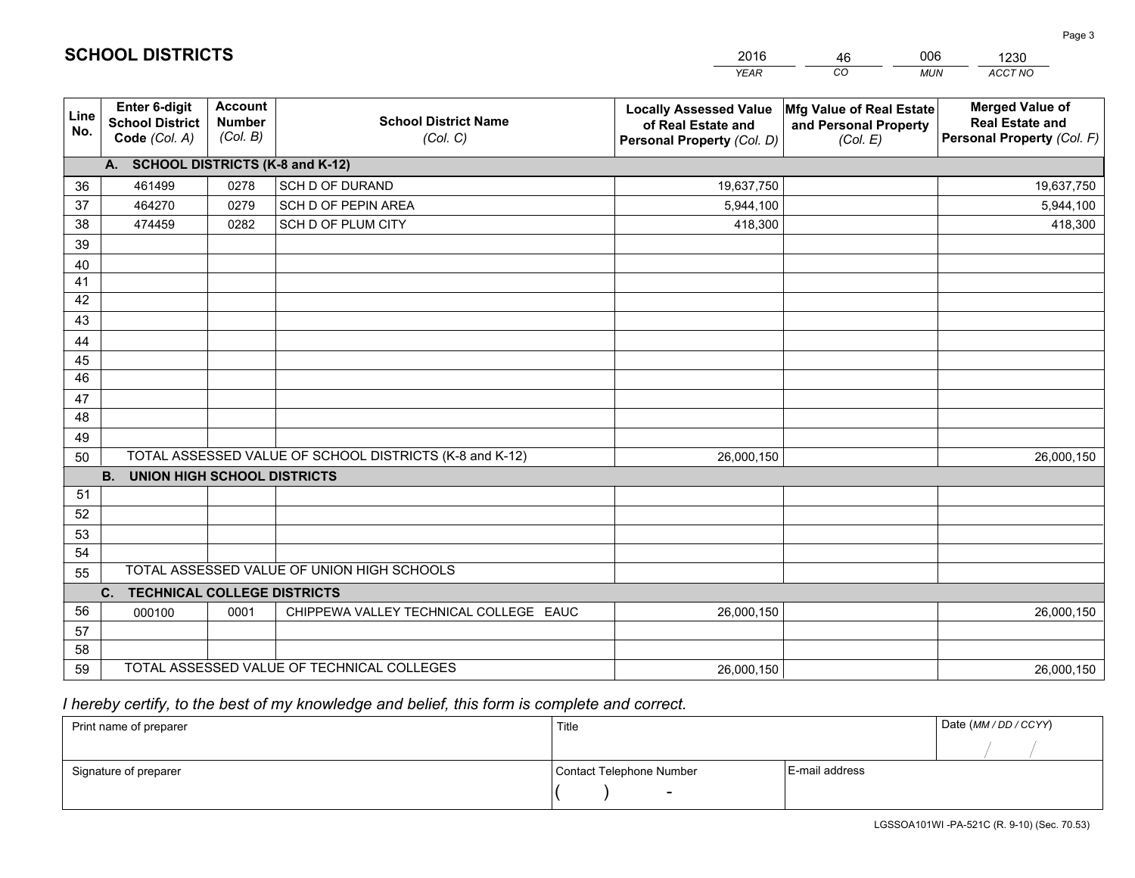|             |                                                          |                                             |                                                         | <b>YEAR</b>                                                                       | CO<br><b>MUN</b>                                              | ACCT NO                                                                        |
|-------------|----------------------------------------------------------|---------------------------------------------|---------------------------------------------------------|-----------------------------------------------------------------------------------|---------------------------------------------------------------|--------------------------------------------------------------------------------|
| Line<br>No. | Enter 6-digit<br><b>School District</b><br>Code (Col. A) | <b>Account</b><br><b>Number</b><br>(Col. B) | <b>School District Name</b><br>(Col. C)                 | <b>Locally Assessed Value</b><br>of Real Estate and<br>Personal Property (Col. D) | Mfg Value of Real Estate<br>and Personal Property<br>(Col. E) | <b>Merged Value of</b><br><b>Real Estate and</b><br>Personal Property (Col. F) |
|             | A. SCHOOL DISTRICTS (K-8 and K-12)                       |                                             |                                                         |                                                                                   |                                                               |                                                                                |
| 36          | 461499                                                   | 0278                                        | SCH D OF DURAND                                         | 19,637,750                                                                        |                                                               | 19,637,750                                                                     |
| 37          | 464270                                                   | 0279                                        | SCH D OF PEPIN AREA                                     | 5,944,100                                                                         |                                                               | 5,944,100                                                                      |
| 38          | 474459                                                   | 0282                                        | SCH D OF PLUM CITY                                      | 418,300                                                                           |                                                               | 418,300                                                                        |
| 39          |                                                          |                                             |                                                         |                                                                                   |                                                               |                                                                                |
| 40          |                                                          |                                             |                                                         |                                                                                   |                                                               |                                                                                |
| 41          |                                                          |                                             |                                                         |                                                                                   |                                                               |                                                                                |
| 42          |                                                          |                                             |                                                         |                                                                                   |                                                               |                                                                                |
| 43          |                                                          |                                             |                                                         |                                                                                   |                                                               |                                                                                |
| 44          |                                                          |                                             |                                                         |                                                                                   |                                                               |                                                                                |
| 45          |                                                          |                                             |                                                         |                                                                                   |                                                               |                                                                                |
| 46          |                                                          |                                             |                                                         |                                                                                   |                                                               |                                                                                |
| 47          |                                                          |                                             |                                                         |                                                                                   |                                                               |                                                                                |
| 48          |                                                          |                                             |                                                         |                                                                                   |                                                               |                                                                                |
| 49          |                                                          |                                             | TOTAL ASSESSED VALUE OF SCHOOL DISTRICTS (K-8 and K-12) | 26,000,150                                                                        |                                                               | 26,000,150                                                                     |
| 50          | <b>B.</b><br><b>UNION HIGH SCHOOL DISTRICTS</b>          |                                             |                                                         |                                                                                   |                                                               |                                                                                |
| 51          |                                                          |                                             |                                                         |                                                                                   |                                                               |                                                                                |
| 52          |                                                          |                                             |                                                         |                                                                                   |                                                               |                                                                                |
| 53          |                                                          |                                             |                                                         |                                                                                   |                                                               |                                                                                |
| 54          |                                                          |                                             |                                                         |                                                                                   |                                                               |                                                                                |
| 55          |                                                          |                                             | TOTAL ASSESSED VALUE OF UNION HIGH SCHOOLS              |                                                                                   |                                                               |                                                                                |
|             | <b>TECHNICAL COLLEGE DISTRICTS</b><br>C.                 |                                             |                                                         |                                                                                   |                                                               |                                                                                |
| 56          | 000100                                                   | 0001                                        | CHIPPEWA VALLEY TECHNICAL COLLEGE EAUC                  | 26,000,150                                                                        |                                                               | 26,000,150                                                                     |
| 57          |                                                          |                                             |                                                         |                                                                                   |                                                               |                                                                                |
| 58          |                                                          |                                             |                                                         |                                                                                   |                                                               |                                                                                |
| 59          |                                                          |                                             | TOTAL ASSESSED VALUE OF TECHNICAL COLLEGES              | 26,000,150                                                                        |                                                               | 26,000,150                                                                     |

46

006

 *I hereby certify, to the best of my knowledge and belief, this form is complete and correct.*

**SCHOOL DISTRICTS**

| Print name of preparer | Title                    |                | Date (MM / DD / CCYY) |
|------------------------|--------------------------|----------------|-----------------------|
|                        |                          |                |                       |
| Signature of preparer  | Contact Telephone Number | E-mail address |                       |
|                        | $\overline{\phantom{a}}$ |                |                       |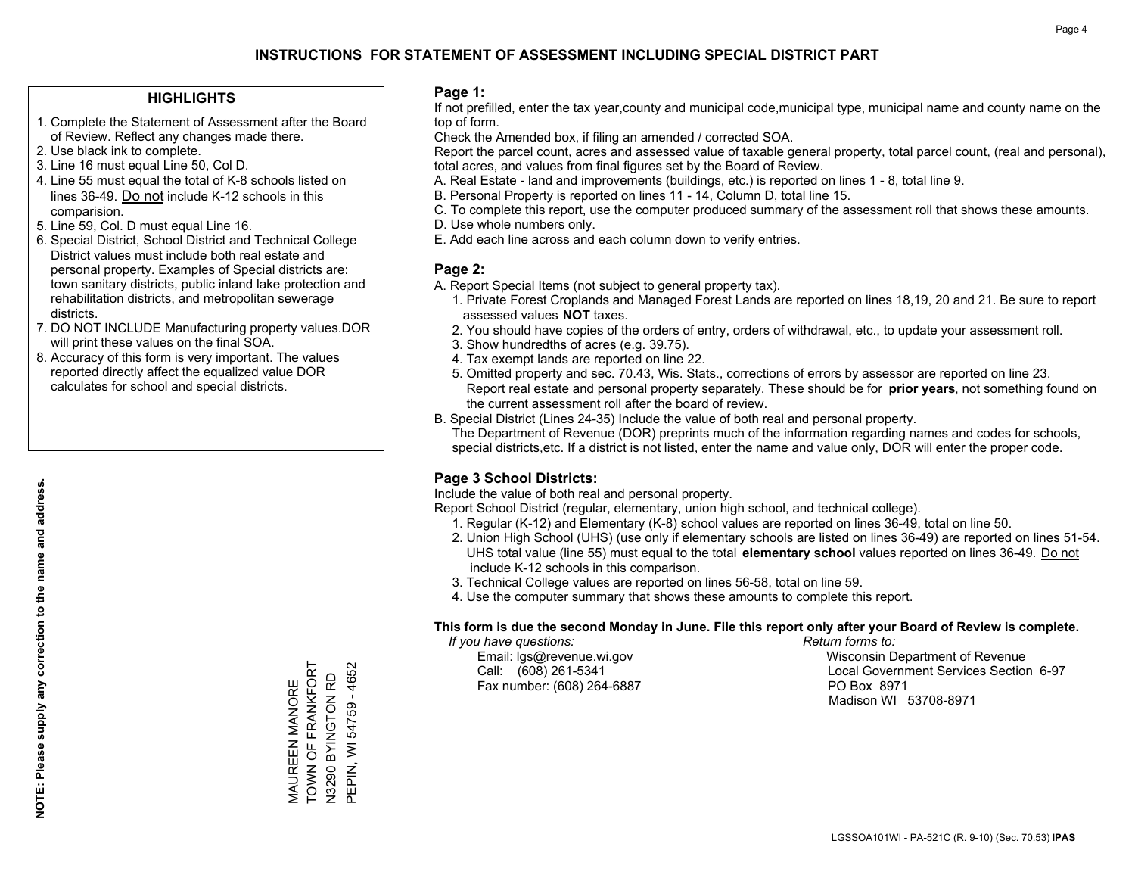### **HIGHLIGHTS**

- 1. Complete the Statement of Assessment after the Board of Review. Reflect any changes made there.
- 2. Use black ink to complete.
- 3. Line 16 must equal Line 50, Col D.
- 4. Line 55 must equal the total of K-8 schools listed on lines 36-49. Do not include K-12 schools in this comparision.
- 5. Line 59, Col. D must equal Line 16.
- 6. Special District, School District and Technical College District values must include both real estate and personal property. Examples of Special districts are: town sanitary districts, public inland lake protection and rehabilitation districts, and metropolitan sewerage districts.
- 7. DO NOT INCLUDE Manufacturing property values.DOR will print these values on the final SOA.

MAUREEN MANORE TOWN OF FRANKFORT N3290 BYINGTON RD PEPIN, WI 54759 - 4652

MAUREEN MANORE<br>TOWN OF FRANKFORT

PEPIN, WI 54759 - 4652 N3290 BYINGTON RD

 8. Accuracy of this form is very important. The values reported directly affect the equalized value DOR calculates for school and special districts.

### **Page 1:**

 If not prefilled, enter the tax year,county and municipal code,municipal type, municipal name and county name on the top of form.

Check the Amended box, if filing an amended / corrected SOA.

 Report the parcel count, acres and assessed value of taxable general property, total parcel count, (real and personal), total acres, and values from final figures set by the Board of Review.

- A. Real Estate land and improvements (buildings, etc.) is reported on lines 1 8, total line 9.
- B. Personal Property is reported on lines 11 14, Column D, total line 15.
- C. To complete this report, use the computer produced summary of the assessment roll that shows these amounts.
- D. Use whole numbers only.
- E. Add each line across and each column down to verify entries.

## **Page 2:**

- A. Report Special Items (not subject to general property tax).
- 1. Private Forest Croplands and Managed Forest Lands are reported on lines 18,19, 20 and 21. Be sure to report assessed values **NOT** taxes.
- 2. You should have copies of the orders of entry, orders of withdrawal, etc., to update your assessment roll.
	- 3. Show hundredths of acres (e.g. 39.75).
- 4. Tax exempt lands are reported on line 22.
- 5. Omitted property and sec. 70.43, Wis. Stats., corrections of errors by assessor are reported on line 23. Report real estate and personal property separately. These should be for **prior years**, not something found on the current assessment roll after the board of review.
- B. Special District (Lines 24-35) Include the value of both real and personal property.
- The Department of Revenue (DOR) preprints much of the information regarding names and codes for schools, special districts,etc. If a district is not listed, enter the name and value only, DOR will enter the proper code.

## **Page 3 School Districts:**

Include the value of both real and personal property.

Report School District (regular, elementary, union high school, and technical college).

- 1. Regular (K-12) and Elementary (K-8) school values are reported on lines 36-49, total on line 50.
- 2. Union High School (UHS) (use only if elementary schools are listed on lines 36-49) are reported on lines 51-54. UHS total value (line 55) must equal to the total **elementary school** values reported on lines 36-49. Do notinclude K-12 schools in this comparison.
- 3. Technical College values are reported on lines 56-58, total on line 59.
- 4. Use the computer summary that shows these amounts to complete this report.

### **This form is due the second Monday in June. File this report only after your Board of Review is complete.**

 *If you have questions: Return forms to:*

Fax number: (608) 264-6887 PO Box 8971

 Email: lgs@revenue.wi.gov Wisconsin Department of Revenue Call: (608) 261-5341 Local Government Services Section 6-97Madison WI 53708-8971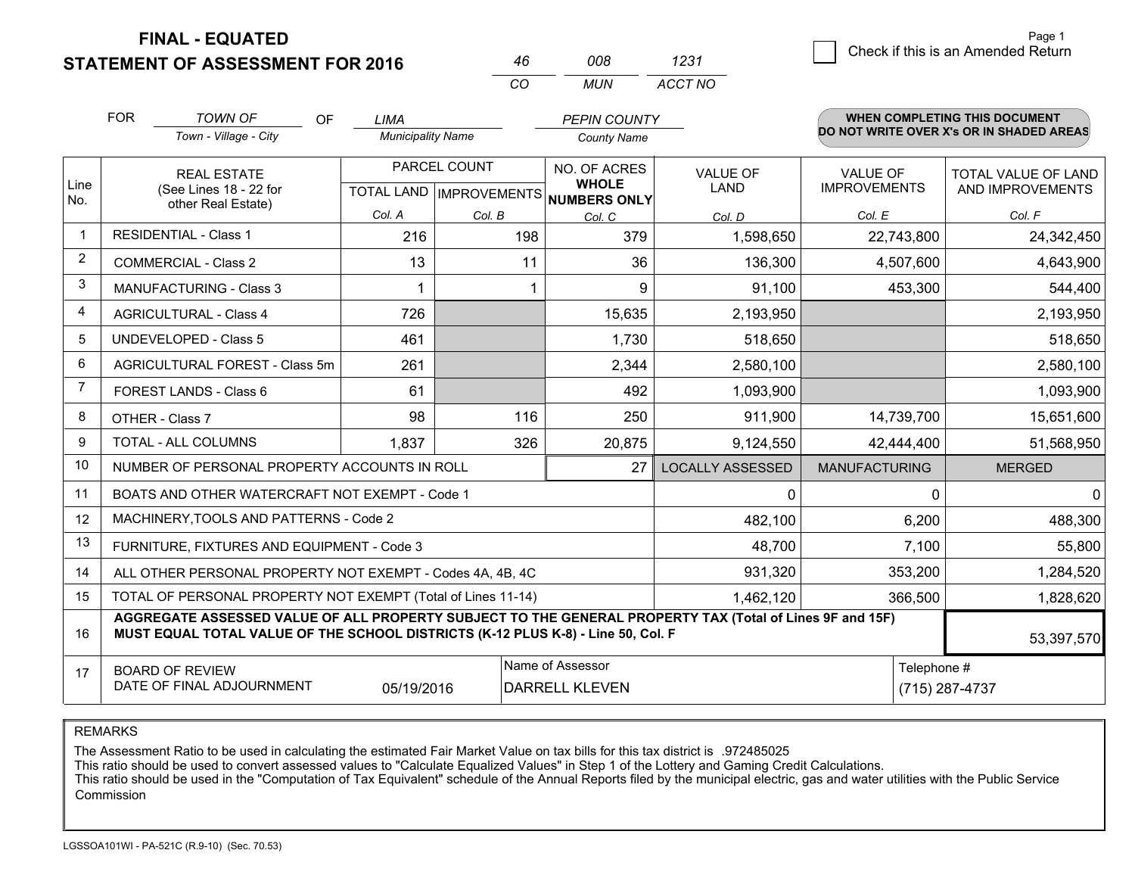**FINAL - EQUATED**

**STATEMENT OF ASSESSMENT FOR 2016** 

| 46 | 008. | 1231    |
|----|------|---------|
| ΩO | MUN  | ACCT NO |

|                | <b>FOR</b>                                                                                                                                                                                   | <b>TOWN OF</b><br>OF                                         | <b>LIMA</b>              |                                                      | <b>PEPIN COUNTY</b> |                                |                                 | <b>WHEN COMPLETING THIS DOCUMENT</b>     |
|----------------|----------------------------------------------------------------------------------------------------------------------------------------------------------------------------------------------|--------------------------------------------------------------|--------------------------|------------------------------------------------------|---------------------|--------------------------------|---------------------------------|------------------------------------------|
|                |                                                                                                                                                                                              | Town - Village - City                                        | <b>Municipality Name</b> |                                                      | <b>County Name</b>  |                                |                                 | DO NOT WRITE OVER X's OR IN SHADED AREAS |
| Line<br>No.    | <b>REAL ESTATE</b><br>(See Lines 18 - 22 for<br>other Real Estate)                                                                                                                           |                                                              |                          | PARCEL COUNT<br>TOTAL LAND IMPROVEMENTS NUMBERS ONLY |                     | <b>VALUE OF</b><br><b>LAND</b> | VALUE OF<br><b>IMPROVEMENTS</b> | TOTAL VALUE OF LAND<br>AND IMPROVEMENTS  |
|                |                                                                                                                                                                                              |                                                              | Col. A                   | Col. B                                               | Col. C              | Col. D                         | Col. E                          | Col. F                                   |
| -1             |                                                                                                                                                                                              | <b>RESIDENTIAL - Class 1</b>                                 | 216                      | 198                                                  | 379                 | 1,598,650                      | 22,743,800                      | 24,342,450                               |
| 2              |                                                                                                                                                                                              | <b>COMMERCIAL - Class 2</b>                                  | 13                       | 11                                                   | 36                  | 136,300                        | 4,507,600                       | 4,643,900                                |
| 3              |                                                                                                                                                                                              | <b>MANUFACTURING - Class 3</b>                               |                          |                                                      | 9                   | 91,100                         | 453,300                         | 544,400                                  |
| 4              |                                                                                                                                                                                              | <b>AGRICULTURAL - Class 4</b>                                | 726                      |                                                      | 15,635              | 2,193,950                      |                                 | 2,193,950                                |
| 5              |                                                                                                                                                                                              | <b>UNDEVELOPED - Class 5</b>                                 | 461                      |                                                      | 1,730               | 518,650                        |                                 | 518,650                                  |
| 6              |                                                                                                                                                                                              | AGRICULTURAL FOREST - Class 5m                               | 261                      |                                                      | 2,344               | 2,580,100                      |                                 | 2,580,100                                |
| $\overline{7}$ |                                                                                                                                                                                              | FOREST LANDS - Class 6                                       | 61                       |                                                      | 492                 | 1,093,900                      |                                 | 1,093,900                                |
| 8              |                                                                                                                                                                                              | OTHER - Class 7                                              | 98                       | 116                                                  | 250                 | 911,900                        | 14,739,700                      | 15,651,600                               |
| 9              |                                                                                                                                                                                              | TOTAL - ALL COLUMNS                                          | 1,837                    | 326                                                  | 20,875              | 9,124,550                      | 42,444,400                      | 51,568,950                               |
| 10             |                                                                                                                                                                                              | NUMBER OF PERSONAL PROPERTY ACCOUNTS IN ROLL                 |                          |                                                      | 27                  | <b>LOCALLY ASSESSED</b>        | <b>MANUFACTURING</b>            | <b>MERGED</b>                            |
| 11             |                                                                                                                                                                                              | BOATS AND OTHER WATERCRAFT NOT EXEMPT - Code 1               |                          |                                                      |                     | 0                              | 0                               | $\Omega$                                 |
| 12             |                                                                                                                                                                                              | MACHINERY, TOOLS AND PATTERNS - Code 2                       |                          |                                                      |                     | 482,100                        | 6,200                           | 488,300                                  |
| 13             |                                                                                                                                                                                              | FURNITURE, FIXTURES AND EQUIPMENT - Code 3                   |                          |                                                      |                     | 48,700                         | 7,100                           | 55,800                                   |
| 14             |                                                                                                                                                                                              | ALL OTHER PERSONAL PROPERTY NOT EXEMPT - Codes 4A, 4B, 4C    |                          |                                                      |                     | 931,320                        | 353,200                         | 1,284,520                                |
| 15             |                                                                                                                                                                                              | TOTAL OF PERSONAL PROPERTY NOT EXEMPT (Total of Lines 11-14) |                          |                                                      |                     | 1,462,120                      | 366,500                         | 1,828,620                                |
| 16             | AGGREGATE ASSESSED VALUE OF ALL PROPERTY SUBJECT TO THE GENERAL PROPERTY TAX (Total of Lines 9F and 15F)<br>MUST EQUAL TOTAL VALUE OF THE SCHOOL DISTRICTS (K-12 PLUS K-8) - Line 50, Col. F |                                                              |                          |                                                      |                     |                                | 53,397,570                      |                                          |
| 17             | Name of Assessor<br>Telephone #<br><b>BOARD OF REVIEW</b><br>DATE OF FINAL ADJOURNMENT<br>05/19/2016<br><b>DARRELL KLEVEN</b><br>(715) 287-4737                                              |                                                              |                          |                                                      |                     |                                |                                 |                                          |

REMARKS

The Assessment Ratio to be used in calculating the estimated Fair Market Value on tax bills for this tax district is .972485025<br>This ratio should be used to convert assessed values to "Calculate Equalized Values" in Step 1 Commission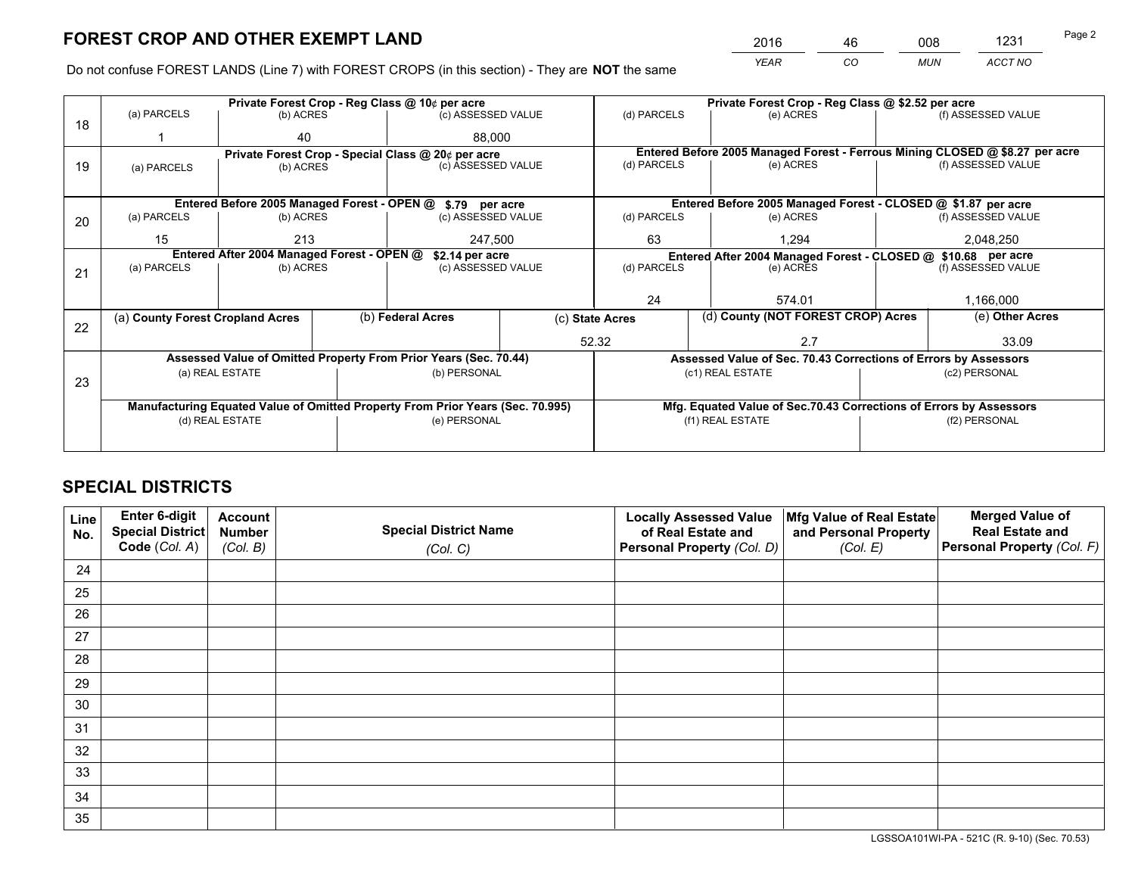*YEAR CO MUN ACCT NO* <sup>2016</sup> <sup>46</sup> <sup>008</sup> <sup>1231</sup>

Do not confuse FOREST LANDS (Line 7) with FOREST CROPS (in this section) - They are **NOT** the same

|    |                                                               |                                  |  | Private Forest Crop - Reg Class @ 10¢ per acre                                 |                 | Private Forest Crop - Reg Class @ \$2.52 per acre             |                                                                              |               |                    |  |
|----|---------------------------------------------------------------|----------------------------------|--|--------------------------------------------------------------------------------|-----------------|---------------------------------------------------------------|------------------------------------------------------------------------------|---------------|--------------------|--|
| 18 | (a) PARCELS                                                   | (b) ACRES                        |  | (c) ASSESSED VALUE                                                             |                 | (d) PARCELS                                                   | (e) ACRES                                                                    |               | (f) ASSESSED VALUE |  |
|    |                                                               | 40                               |  | 88.000                                                                         |                 |                                                               |                                                                              |               |                    |  |
|    |                                                               |                                  |  | Private Forest Crop - Special Class @ 20¢ per acre                             |                 |                                                               | Entered Before 2005 Managed Forest - Ferrous Mining CLOSED @ \$8.27 per acre |               |                    |  |
| 19 | (a) PARCELS                                                   | (b) ACRES                        |  | (c) ASSESSED VALUE                                                             |                 | (d) PARCELS                                                   | (e) ACRES                                                                    |               | (f) ASSESSED VALUE |  |
|    |                                                               |                                  |  |                                                                                |                 |                                                               |                                                                              |               |                    |  |
|    |                                                               |                                  |  | Entered Before 2005 Managed Forest - OPEN @ \$.79 per acre                     |                 |                                                               | Entered Before 2005 Managed Forest - CLOSED @ \$1.87 per acre                |               |                    |  |
| 20 | (a) PARCELS                                                   | (b) ACRES                        |  | (c) ASSESSED VALUE                                                             |                 | (d) PARCELS                                                   | (e) ACRES                                                                    |               | (f) ASSESSED VALUE |  |
|    | 15                                                            | 213<br>247,500                   |  |                                                                                | 63<br>1.294     |                                                               | 2,048,250                                                                    |               |                    |  |
|    | Entered After 2004 Managed Forest - OPEN @<br>\$2.14 per acre |                                  |  |                                                                                |                 | Entered After 2004 Managed Forest - CLOSED @ \$10.68 per acre |                                                                              |               |                    |  |
| 21 | (a) PARCELS                                                   | (b) ACRES                        |  | (c) ASSESSED VALUE                                                             |                 | (d) PARCELS                                                   | (e) ACRES                                                                    |               | (f) ASSESSED VALUE |  |
|    |                                                               |                                  |  |                                                                                |                 |                                                               |                                                                              |               |                    |  |
|    |                                                               |                                  |  |                                                                                | 24              |                                                               | 574.01                                                                       |               | 1,166,000          |  |
| 22 |                                                               | (a) County Forest Cropland Acres |  | (b) Federal Acres                                                              | (c) State Acres |                                                               | (d) County (NOT FOREST CROP) Acres                                           |               | (e) Other Acres    |  |
|    |                                                               |                                  |  |                                                                                |                 | 52.32                                                         | 2.7                                                                          |               | 33.09              |  |
|    |                                                               |                                  |  | Assessed Value of Omitted Property From Prior Years (Sec. 70.44)               |                 |                                                               | Assessed Value of Sec. 70.43 Corrections of Errors by Assessors              |               |                    |  |
|    |                                                               | (a) REAL ESTATE                  |  | (b) PERSONAL                                                                   |                 |                                                               | (c1) REAL ESTATE                                                             |               | (c2) PERSONAL      |  |
| 23 |                                                               |                                  |  |                                                                                |                 |                                                               |                                                                              |               |                    |  |
|    |                                                               |                                  |  | Manufacturing Equated Value of Omitted Property From Prior Years (Sec. 70.995) |                 |                                                               | Mfg. Equated Value of Sec.70.43 Corrections of Errors by Assessors           |               |                    |  |
|    |                                                               | (d) REAL ESTATE                  |  | (e) PERSONAL                                                                   |                 | (f1) REAL ESTATE                                              |                                                                              | (f2) PERSONAL |                    |  |
|    |                                                               |                                  |  |                                                                                |                 |                                                               |                                                                              |               |                    |  |

## **SPECIAL DISTRICTS**

| Line<br>No. | Enter 6-digit<br>Special District<br>Code (Col. A) | <b>Account</b><br><b>Number</b> | <b>Special District Name</b> | <b>Locally Assessed Value</b><br>of Real Estate and | Mfg Value of Real Estate<br>and Personal Property | <b>Merged Value of</b><br><b>Real Estate and</b><br>Personal Property (Col. F) |
|-------------|----------------------------------------------------|---------------------------------|------------------------------|-----------------------------------------------------|---------------------------------------------------|--------------------------------------------------------------------------------|
|             |                                                    | (Col. B)                        | (Col. C)                     | Personal Property (Col. D)                          | (Col. E)                                          |                                                                                |
| 24          |                                                    |                                 |                              |                                                     |                                                   |                                                                                |
| 25          |                                                    |                                 |                              |                                                     |                                                   |                                                                                |
| 26          |                                                    |                                 |                              |                                                     |                                                   |                                                                                |
| 27          |                                                    |                                 |                              |                                                     |                                                   |                                                                                |
| 28          |                                                    |                                 |                              |                                                     |                                                   |                                                                                |
| 29          |                                                    |                                 |                              |                                                     |                                                   |                                                                                |
| 30          |                                                    |                                 |                              |                                                     |                                                   |                                                                                |
| 31          |                                                    |                                 |                              |                                                     |                                                   |                                                                                |
| 32          |                                                    |                                 |                              |                                                     |                                                   |                                                                                |
| 33          |                                                    |                                 |                              |                                                     |                                                   |                                                                                |
| 34          |                                                    |                                 |                              |                                                     |                                                   |                                                                                |
| 35          |                                                    |                                 |                              |                                                     |                                                   |                                                                                |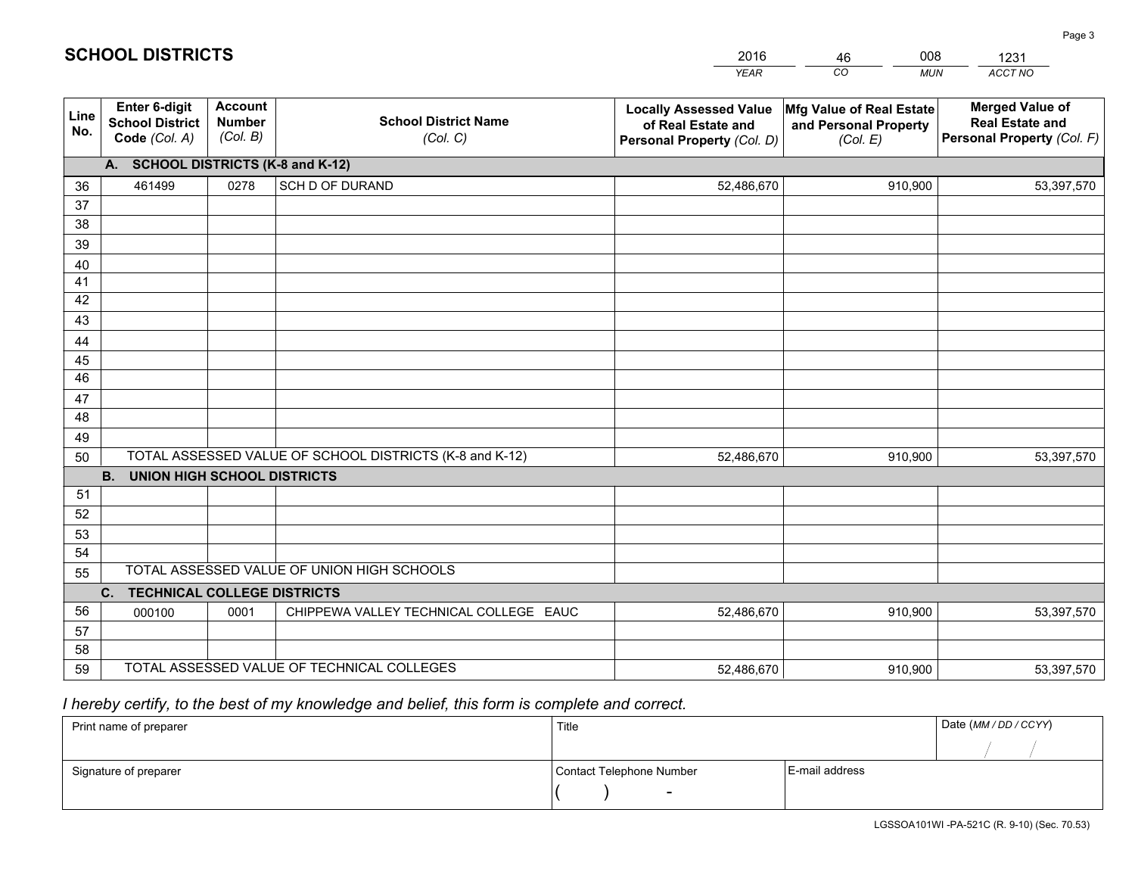|             |                                                                 |                                             |                                                         | <b>YEAR</b>                                                                       | CO<br><b>MUN</b>                                              | ACCT NO                                                                        |
|-------------|-----------------------------------------------------------------|---------------------------------------------|---------------------------------------------------------|-----------------------------------------------------------------------------------|---------------------------------------------------------------|--------------------------------------------------------------------------------|
| Line<br>No. | <b>Enter 6-digit</b><br><b>School District</b><br>Code (Col. A) | <b>Account</b><br><b>Number</b><br>(Col. B) | <b>School District Name</b><br>(Col. C)                 | <b>Locally Assessed Value</b><br>of Real Estate and<br>Personal Property (Col. D) | Mfg Value of Real Estate<br>and Personal Property<br>(Col. E) | <b>Merged Value of</b><br><b>Real Estate and</b><br>Personal Property (Col. F) |
|             | A. SCHOOL DISTRICTS (K-8 and K-12)                              |                                             |                                                         |                                                                                   |                                                               |                                                                                |
| 36          | 461499                                                          | 0278                                        | <b>SCH D OF DURAND</b>                                  | 52,486,670                                                                        | 910,900                                                       | 53,397,570                                                                     |
| 37          |                                                                 |                                             |                                                         |                                                                                   |                                                               |                                                                                |
| 38          |                                                                 |                                             |                                                         |                                                                                   |                                                               |                                                                                |
| 39          |                                                                 |                                             |                                                         |                                                                                   |                                                               |                                                                                |
| 40          |                                                                 |                                             |                                                         |                                                                                   |                                                               |                                                                                |
| 41<br>42    |                                                                 |                                             |                                                         |                                                                                   |                                                               |                                                                                |
| 43          |                                                                 |                                             |                                                         |                                                                                   |                                                               |                                                                                |
|             |                                                                 |                                             |                                                         |                                                                                   |                                                               |                                                                                |
| 44<br>45    |                                                                 |                                             |                                                         |                                                                                   |                                                               |                                                                                |
| 46          |                                                                 |                                             |                                                         |                                                                                   |                                                               |                                                                                |
| 47          |                                                                 |                                             |                                                         |                                                                                   |                                                               |                                                                                |
| 48          |                                                                 |                                             |                                                         |                                                                                   |                                                               |                                                                                |
| 49          |                                                                 |                                             |                                                         |                                                                                   |                                                               |                                                                                |
| 50          |                                                                 |                                             | TOTAL ASSESSED VALUE OF SCHOOL DISTRICTS (K-8 and K-12) | 52,486,670                                                                        | 910,900                                                       | 53,397,570                                                                     |
|             | <b>B.</b><br><b>UNION HIGH SCHOOL DISTRICTS</b>                 |                                             |                                                         |                                                                                   |                                                               |                                                                                |
| 51          |                                                                 |                                             |                                                         |                                                                                   |                                                               |                                                                                |
| 52          |                                                                 |                                             |                                                         |                                                                                   |                                                               |                                                                                |
| 53          |                                                                 |                                             |                                                         |                                                                                   |                                                               |                                                                                |
| 54          |                                                                 |                                             |                                                         |                                                                                   |                                                               |                                                                                |
| 55          |                                                                 |                                             | TOTAL ASSESSED VALUE OF UNION HIGH SCHOOLS              |                                                                                   |                                                               |                                                                                |
|             | C.<br><b>TECHNICAL COLLEGE DISTRICTS</b>                        |                                             |                                                         |                                                                                   |                                                               |                                                                                |
| 56          | 000100                                                          | 0001                                        | CHIPPEWA VALLEY TECHNICAL COLLEGE EAUC                  | 52,486,670                                                                        | 910,900                                                       | 53,397,570                                                                     |
| 57<br>58    |                                                                 |                                             |                                                         |                                                                                   |                                                               |                                                                                |
| 59          |                                                                 |                                             | TOTAL ASSESSED VALUE OF TECHNICAL COLLEGES              | 52,486,670                                                                        | 910,900                                                       | 53,397,570                                                                     |
|             |                                                                 |                                             |                                                         |                                                                                   |                                                               |                                                                                |

 *I hereby certify, to the best of my knowledge and belief, this form is complete and correct.*

| Print name of preparer | Title                    |                | Date (MM / DD / CCYY) |
|------------------------|--------------------------|----------------|-----------------------|
|                        |                          |                |                       |
| Signature of preparer  | Contact Telephone Number | E-mail address |                       |
|                        | $\overline{\phantom{0}}$ |                |                       |

| <b>SCHOOL DISTRICTS</b> |  |
|-------------------------|--|
|-------------------------|--|

201646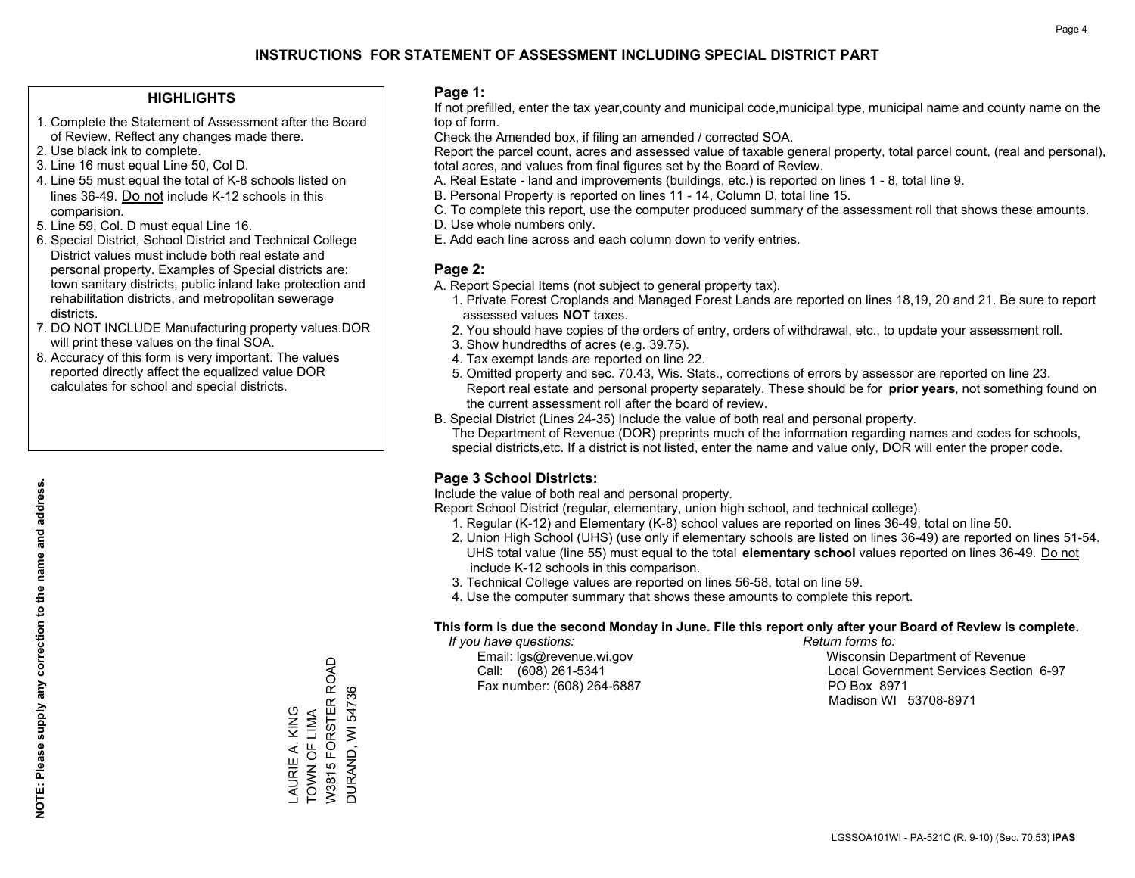## **HIGHLIGHTS**

- 1. Complete the Statement of Assessment after the Board of Review. Reflect any changes made there.
- 2. Use black ink to complete.

**NOTE: Please supply any correction to the name and address.**

NOTE: Please supply any correction to the name and address.

- 3. Line 16 must equal Line 50, Col D.
- 4. Line 55 must equal the total of K-8 schools listed on lines 36-49. Do not include K-12 schools in this comparision.
- 5. Line 59, Col. D must equal Line 16.
- 6. Special District, School District and Technical College District values must include both real estate and personal property. Examples of Special districts are: town sanitary districts, public inland lake protection and rehabilitation districts, and metropolitan sewerage districts.
- 7. DO NOT INCLUDE Manufacturing property values.DOR will print these values on the final SOA.
- 8. Accuracy of this form is very important. The values reported directly affect the equalized value DOR calculates for school and special districts.

### **Page 1:**

 If not prefilled, enter the tax year,county and municipal code,municipal type, municipal name and county name on the top of form.

Check the Amended box, if filing an amended / corrected SOA.

 Report the parcel count, acres and assessed value of taxable general property, total parcel count, (real and personal), total acres, and values from final figures set by the Board of Review.

- A. Real Estate land and improvements (buildings, etc.) is reported on lines 1 8, total line 9.
- B. Personal Property is reported on lines 11 14, Column D, total line 15.
- C. To complete this report, use the computer produced summary of the assessment roll that shows these amounts.
- D. Use whole numbers only.
- E. Add each line across and each column down to verify entries.

## **Page 2:**

- A. Report Special Items (not subject to general property tax).
- 1. Private Forest Croplands and Managed Forest Lands are reported on lines 18,19, 20 and 21. Be sure to report assessed values **NOT** taxes.
- 2. You should have copies of the orders of entry, orders of withdrawal, etc., to update your assessment roll.
	- 3. Show hundredths of acres (e.g. 39.75).
- 4. Tax exempt lands are reported on line 22.
- 5. Omitted property and sec. 70.43, Wis. Stats., corrections of errors by assessor are reported on line 23. Report real estate and personal property separately. These should be for **prior years**, not something found on the current assessment roll after the board of review.
- B. Special District (Lines 24-35) Include the value of both real and personal property.
- The Department of Revenue (DOR) preprints much of the information regarding names and codes for schools, special districts,etc. If a district is not listed, enter the name and value only, DOR will enter the proper code.

## **Page 3 School Districts:**

Include the value of both real and personal property.

Report School District (regular, elementary, union high school, and technical college).

- 1. Regular (K-12) and Elementary (K-8) school values are reported on lines 36-49, total on line 50.
- 2. Union High School (UHS) (use only if elementary schools are listed on lines 36-49) are reported on lines 51-54. UHS total value (line 55) must equal to the total **elementary school** values reported on lines 36-49. Do notinclude K-12 schools in this comparison.
- 3. Technical College values are reported on lines 56-58, total on line 59.
- 4. Use the computer summary that shows these amounts to complete this report.

### **This form is due the second Monday in June. File this report only after your Board of Review is complete.**

 *If you have questions: Return forms to:*

Fax number: (608) 264-6887 PO Box 8971

 Email: lgs@revenue.wi.gov Wisconsin Department of Revenue Call: (608) 261-5341 Local Government Services Section 6-97Madison WI 53708-8971

W3815 FORSTER ROAD W3815 FORSTER ROAD DURAND, WI 54736 LAURIE A. KING<br>TOWN OF LIMA TOWN OF LIMA LAURIE A. KING

DURAND, WI 54736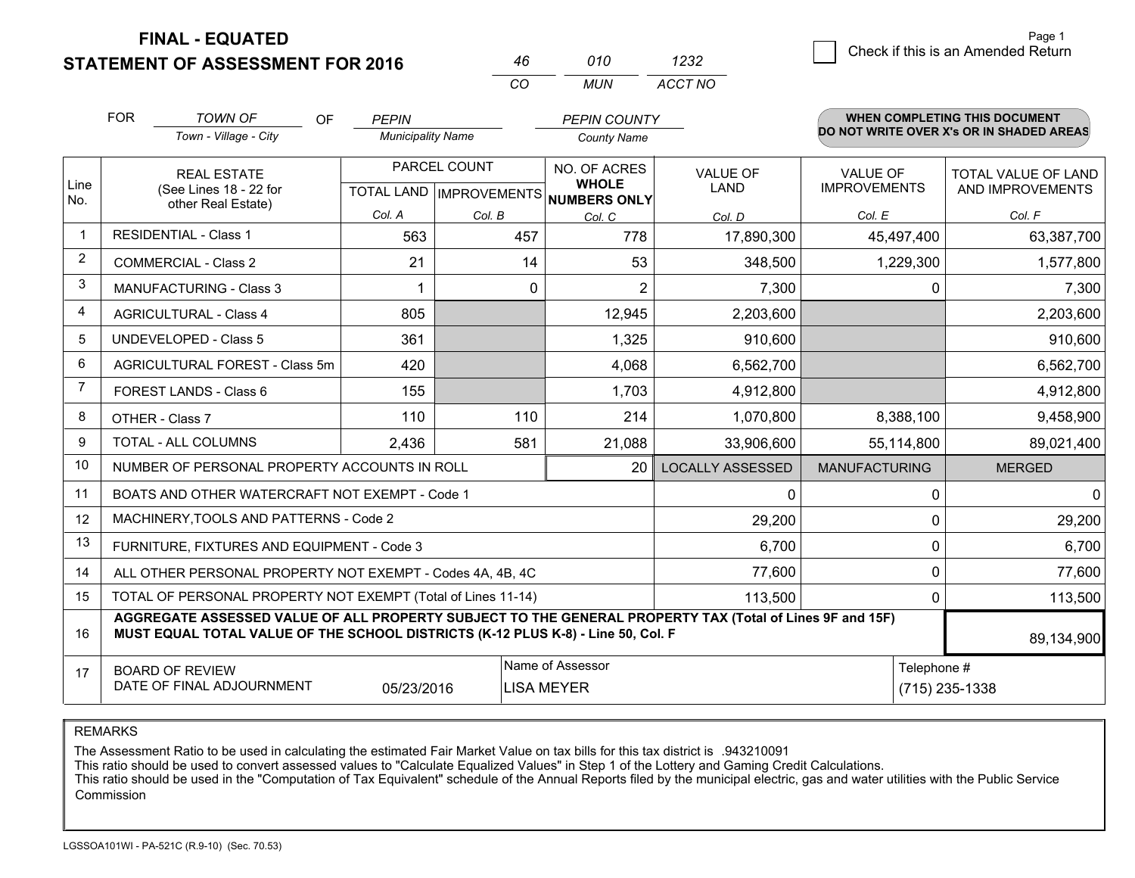**FINAL - EQUATED**

2 Check if this is an Amended Return Page 1

| 46  | 01 O | 1232    |
|-----|------|---------|
| CO. | MUN  | ACCT NO |

|                | <b>FOR</b>                                                                                                                                                                                                 | <b>TOWN OF</b><br>OF                                               | <b>PEPIN</b>                              |          | <b>PEPIN COUNTY</b>                                 |                         |                                        | WHEN COMPLETING THIS DOCUMENT            |  |
|----------------|------------------------------------------------------------------------------------------------------------------------------------------------------------------------------------------------------------|--------------------------------------------------------------------|-------------------------------------------|----------|-----------------------------------------------------|-------------------------|----------------------------------------|------------------------------------------|--|
|                |                                                                                                                                                                                                            | Town - Village - City                                              | <b>Municipality Name</b>                  |          | <b>County Name</b>                                  |                         |                                        | DO NOT WRITE OVER X's OR IN SHADED AREAS |  |
| Line<br>No.    |                                                                                                                                                                                                            | <b>REAL ESTATE</b><br>(See Lines 18 - 22 for<br>other Real Estate) | PARCEL COUNT<br>TOTAL LAND   IMPROVEMENTS |          | NO. OF ACRES<br><b>WHOLE</b><br><b>NUMBERS ONLY</b> | VALUE OF<br><b>LAND</b> | <b>VALUE OF</b><br><b>IMPROVEMENTS</b> | TOTAL VALUE OF LAND<br>AND IMPROVEMENTS  |  |
|                |                                                                                                                                                                                                            |                                                                    | Col. A                                    | Col. B   | Col. C                                              | Col. D                  | Col. E                                 | Col. F                                   |  |
| $\mathbf 1$    |                                                                                                                                                                                                            | <b>RESIDENTIAL - Class 1</b>                                       | 563                                       | 457      | 778                                                 | 17,890,300              | 45,497,400                             | 63,387,700                               |  |
| $\overline{2}$ |                                                                                                                                                                                                            | <b>COMMERCIAL - Class 2</b>                                        | 21                                        | 14       | 53                                                  | 348,500                 | 1,229,300                              | 1,577,800                                |  |
| 3              |                                                                                                                                                                                                            | MANUFACTURING - Class 3                                            |                                           | $\Omega$ | 2                                                   | 7,300                   | 0                                      | 7,300                                    |  |
| 4              |                                                                                                                                                                                                            | <b>AGRICULTURAL - Class 4</b>                                      | 805                                       |          | 12,945                                              | 2,203,600               |                                        | 2,203,600                                |  |
| 5              |                                                                                                                                                                                                            | <b>UNDEVELOPED - Class 5</b>                                       | 361                                       |          | 1,325                                               | 910,600                 |                                        | 910,600                                  |  |
| $6\phantom{1}$ |                                                                                                                                                                                                            | AGRICULTURAL FOREST - Class 5m                                     | 420                                       |          | 4,068                                               | 6,562,700               |                                        | 6,562,700                                |  |
| $\overline{7}$ |                                                                                                                                                                                                            | FOREST LANDS - Class 6                                             | 155                                       |          | 1,703                                               | 4,912,800               |                                        | 4,912,800                                |  |
| $\bf 8$        |                                                                                                                                                                                                            | OTHER - Class 7                                                    | 110                                       | 110      | 214                                                 | 1,070,800               | 8,388,100                              | 9,458,900                                |  |
| 9              |                                                                                                                                                                                                            | TOTAL - ALL COLUMNS                                                | 2,436                                     | 581      | 21,088                                              | 33,906,600              | 55,114,800                             | 89,021,400                               |  |
| 10             |                                                                                                                                                                                                            | NUMBER OF PERSONAL PROPERTY ACCOUNTS IN ROLL                       |                                           |          | 20                                                  | <b>LOCALLY ASSESSED</b> | <b>MANUFACTURING</b>                   | <b>MERGED</b>                            |  |
| 11             |                                                                                                                                                                                                            | BOATS AND OTHER WATERCRAFT NOT EXEMPT - Code 1                     |                                           |          |                                                     | 0                       | $\mathbf{0}$                           | $\overline{0}$                           |  |
| 12             |                                                                                                                                                                                                            | MACHINERY, TOOLS AND PATTERNS - Code 2                             |                                           |          |                                                     | 29,200                  | $\mathbf{0}$                           | 29,200                                   |  |
| 13             |                                                                                                                                                                                                            | FURNITURE, FIXTURES AND EQUIPMENT - Code 3                         |                                           |          |                                                     | 6,700                   | $\mathbf{0}$                           | 6,700                                    |  |
| 14             |                                                                                                                                                                                                            | ALL OTHER PERSONAL PROPERTY NOT EXEMPT - Codes 4A, 4B, 4C          |                                           |          | 77,600                                              | 0                       | 77,600                                 |                                          |  |
| 15             | TOTAL OF PERSONAL PROPERTY NOT EXEMPT (Total of Lines 11-14)<br>113,500<br>$\Omega$                                                                                                                        |                                                                    |                                           |          |                                                     |                         |                                        | 113,500                                  |  |
| 16             | AGGREGATE ASSESSED VALUE OF ALL PROPERTY SUBJECT TO THE GENERAL PROPERTY TAX (Total of Lines 9F and 15F)<br>MUST EQUAL TOTAL VALUE OF THE SCHOOL DISTRICTS (K-12 PLUS K-8) - Line 50, Col. F<br>89,134,900 |                                                                    |                                           |          |                                                     |                         |                                        |                                          |  |
| 17             | Name of Assessor<br>Telephone #<br><b>BOARD OF REVIEW</b><br>DATE OF FINAL ADJOURNMENT<br>05/23/2016<br><b>LISA MEYER</b>                                                                                  |                                                                    |                                           |          |                                                     |                         | (715) 235-1338                         |                                          |  |
|                |                                                                                                                                                                                                            |                                                                    |                                           |          |                                                     |                         |                                        |                                          |  |

REMARKS

The Assessment Ratio to be used in calculating the estimated Fair Market Value on tax bills for this tax district is .943210091

This ratio should be used to convert assessed values to "Calculate Equalized Values" in Step 1 of the Lottery and Gaming Credit Calculations.<br>This ratio should be used in the "Computation of Tax Equivalent" schedule of the Commission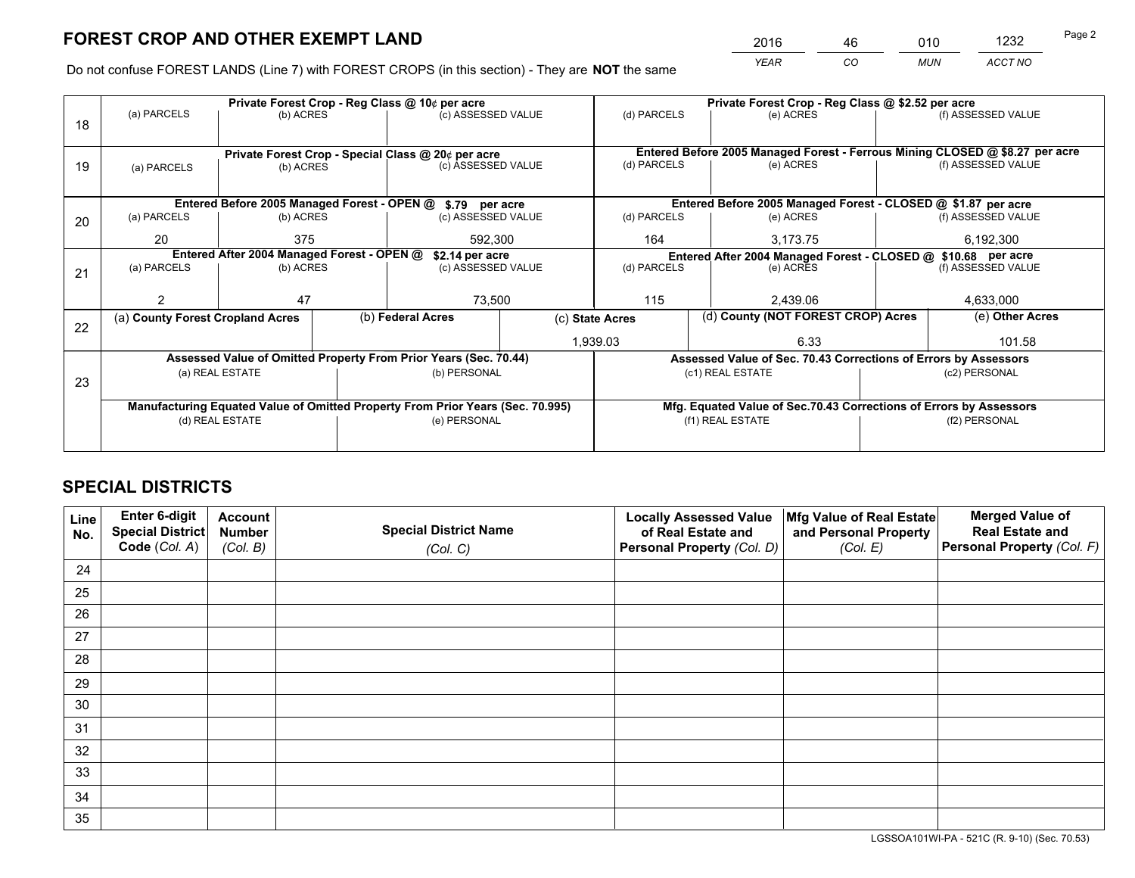*YEAR CO MUN ACCT NO* <sup>2016</sup> <sup>46</sup> <sup>010</sup> <sup>1232</sup>

Do not confuse FOREST LANDS (Line 7) with FOREST CROPS (in this section) - They are **NOT** the same

|    |                                                                  |                                            |  | Private Forest Crop - Reg Class @ 10¢ per acre                                 |  | Private Forest Crop - Reg Class @ \$2.52 per acre             |                                                                    |  |                                                                              |  |
|----|------------------------------------------------------------------|--------------------------------------------|--|--------------------------------------------------------------------------------|--|---------------------------------------------------------------|--------------------------------------------------------------------|--|------------------------------------------------------------------------------|--|
| 18 | (a) PARCELS                                                      | (b) ACRES                                  |  | (c) ASSESSED VALUE                                                             |  | (d) PARCELS                                                   | (e) ACRES                                                          |  | (f) ASSESSED VALUE                                                           |  |
|    |                                                                  |                                            |  | Private Forest Crop - Special Class @ 20¢ per acre                             |  |                                                               |                                                                    |  | Entered Before 2005 Managed Forest - Ferrous Mining CLOSED @ \$8.27 per acre |  |
| 19 | (a) PARCELS                                                      | (b) ACRES                                  |  | (c) ASSESSED VALUE                                                             |  | (d) PARCELS                                                   | (e) ACRES                                                          |  | (f) ASSESSED VALUE                                                           |  |
|    |                                                                  |                                            |  | Entered Before 2005 Managed Forest - OPEN @ \$.79 per acre                     |  |                                                               | Entered Before 2005 Managed Forest - CLOSED @ \$1.87 per acre      |  |                                                                              |  |
| 20 | (a) PARCELS                                                      | (b) ACRES                                  |  | (c) ASSESSED VALUE                                                             |  | (d) PARCELS                                                   | (e) ACRES                                                          |  | (f) ASSESSED VALUE                                                           |  |
|    | 20                                                               | 375                                        |  | 592,300                                                                        |  | 164                                                           | 3.173.75                                                           |  | 6,192,300                                                                    |  |
|    |                                                                  | Entered After 2004 Managed Forest - OPEN @ |  | \$2.14 per acre                                                                |  | Entered After 2004 Managed Forest - CLOSED @ \$10.68 per acre |                                                                    |  |                                                                              |  |
| 21 | (a) PARCELS                                                      | (b) ACRES                                  |  | (c) ASSESSED VALUE                                                             |  | (d) PARCELS                                                   | (e) ACRES                                                          |  | (f) ASSESSED VALUE                                                           |  |
|    |                                                                  |                                            |  |                                                                                |  |                                                               |                                                                    |  |                                                                              |  |
|    |                                                                  | 47                                         |  | 73,500                                                                         |  | 115                                                           | 2,439.06                                                           |  | 4,633,000                                                                    |  |
|    | (a) County Forest Cropland Acres                                 |                                            |  | (b) Federal Acres                                                              |  | (c) State Acres                                               | (d) County (NOT FOREST CROP) Acres                                 |  | (e) Other Acres                                                              |  |
| 22 |                                                                  |                                            |  |                                                                                |  | 1,939.03                                                      | 6.33                                                               |  | 101.58                                                                       |  |
|    | Assessed Value of Omitted Property From Prior Years (Sec. 70.44) |                                            |  |                                                                                |  |                                                               | Assessed Value of Sec. 70.43 Corrections of Errors by Assessors    |  |                                                                              |  |
| 23 |                                                                  | (a) REAL ESTATE                            |  | (b) PERSONAL                                                                   |  |                                                               | (c1) REAL ESTATE                                                   |  | (c2) PERSONAL                                                                |  |
|    |                                                                  |                                            |  |                                                                                |  |                                                               |                                                                    |  |                                                                              |  |
|    |                                                                  |                                            |  | Manufacturing Equated Value of Omitted Property From Prior Years (Sec. 70.995) |  |                                                               | Mfg. Equated Value of Sec.70.43 Corrections of Errors by Assessors |  |                                                                              |  |
|    | (d) REAL ESTATE                                                  |                                            |  | (e) PERSONAL                                                                   |  |                                                               | (f1) REAL ESTATE                                                   |  | (f2) PERSONAL                                                                |  |
|    |                                                                  |                                            |  |                                                                                |  |                                                               |                                                                    |  |                                                                              |  |

## **SPECIAL DISTRICTS**

| Line<br>No. | Enter 6-digit<br><b>Special District</b> | <b>Account</b><br><b>Number</b> | <b>Special District Name</b> | <b>Locally Assessed Value</b><br>of Real Estate and | Mfg Value of Real Estate<br>and Personal Property | <b>Merged Value of</b><br><b>Real Estate and</b> |
|-------------|------------------------------------------|---------------------------------|------------------------------|-----------------------------------------------------|---------------------------------------------------|--------------------------------------------------|
|             | Code (Col. A)                            | (Col. B)                        | (Col. C)                     | Personal Property (Col. D)                          | (Col. E)                                          | Personal Property (Col. F)                       |
| 24          |                                          |                                 |                              |                                                     |                                                   |                                                  |
| 25          |                                          |                                 |                              |                                                     |                                                   |                                                  |
| 26          |                                          |                                 |                              |                                                     |                                                   |                                                  |
| 27          |                                          |                                 |                              |                                                     |                                                   |                                                  |
| 28          |                                          |                                 |                              |                                                     |                                                   |                                                  |
| 29          |                                          |                                 |                              |                                                     |                                                   |                                                  |
| 30          |                                          |                                 |                              |                                                     |                                                   |                                                  |
| 31          |                                          |                                 |                              |                                                     |                                                   |                                                  |
| 32          |                                          |                                 |                              |                                                     |                                                   |                                                  |
| 33          |                                          |                                 |                              |                                                     |                                                   |                                                  |
| 34          |                                          |                                 |                              |                                                     |                                                   |                                                  |
| 35          |                                          |                                 |                              |                                                     |                                                   |                                                  |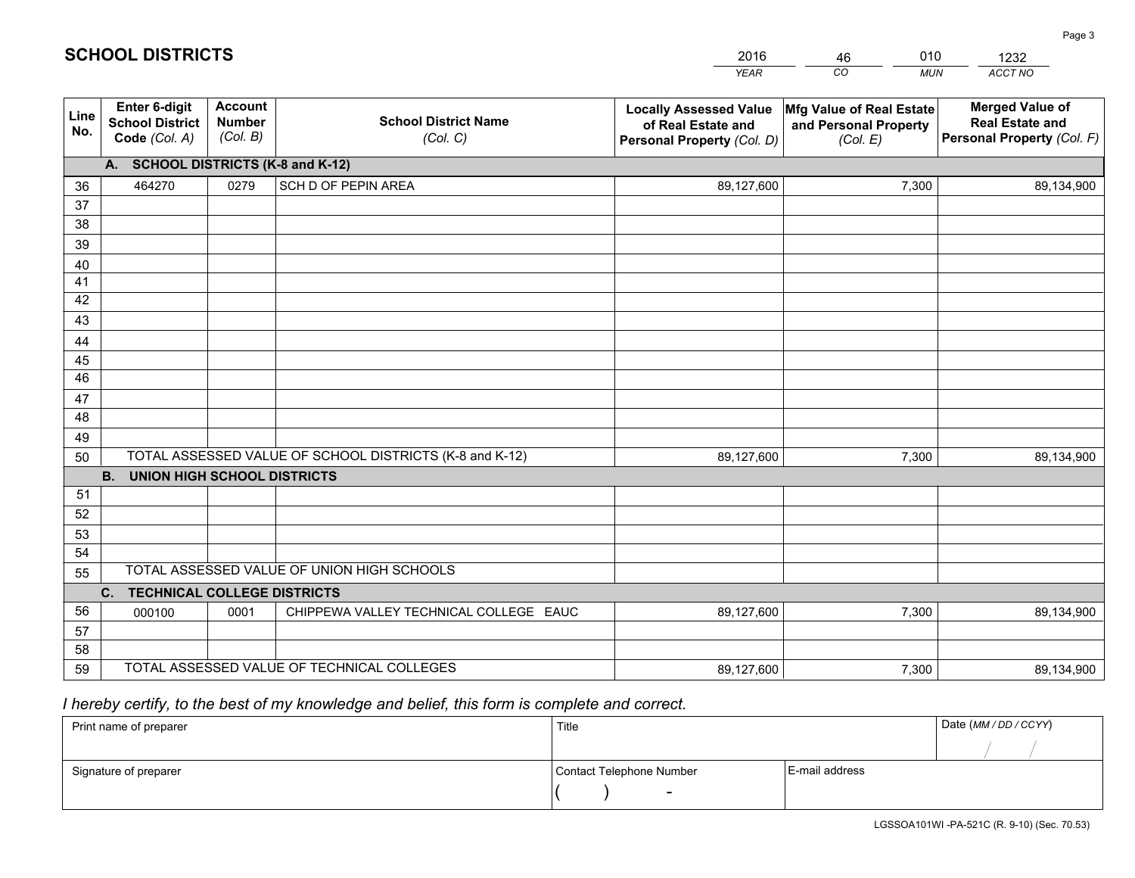|             |                                                                 |                                             |                                                         | <b>YEAR</b>                                                                       | CO<br><b>MUN</b>                                              | ACCT NO                                                                        |
|-------------|-----------------------------------------------------------------|---------------------------------------------|---------------------------------------------------------|-----------------------------------------------------------------------------------|---------------------------------------------------------------|--------------------------------------------------------------------------------|
| Line<br>No. | <b>Enter 6-digit</b><br><b>School District</b><br>Code (Col. A) | <b>Account</b><br><b>Number</b><br>(Col. B) | <b>School District Name</b><br>(Col. C)                 | <b>Locally Assessed Value</b><br>of Real Estate and<br>Personal Property (Col. D) | Mfg Value of Real Estate<br>and Personal Property<br>(Col. E) | <b>Merged Value of</b><br><b>Real Estate and</b><br>Personal Property (Col. F) |
|             | A. SCHOOL DISTRICTS (K-8 and K-12)                              |                                             |                                                         |                                                                                   |                                                               |                                                                                |
| 36          | 464270                                                          | 0279                                        | SCH D OF PEPIN AREA                                     | 89,127,600                                                                        | 7,300                                                         | 89,134,900                                                                     |
| 37          |                                                                 |                                             |                                                         |                                                                                   |                                                               |                                                                                |
| 38          |                                                                 |                                             |                                                         |                                                                                   |                                                               |                                                                                |
| 39          |                                                                 |                                             |                                                         |                                                                                   |                                                               |                                                                                |
| 40          |                                                                 |                                             |                                                         |                                                                                   |                                                               |                                                                                |
| 41<br>42    |                                                                 |                                             |                                                         |                                                                                   |                                                               |                                                                                |
| 43          |                                                                 |                                             |                                                         |                                                                                   |                                                               |                                                                                |
|             |                                                                 |                                             |                                                         |                                                                                   |                                                               |                                                                                |
| 44<br>45    |                                                                 |                                             |                                                         |                                                                                   |                                                               |                                                                                |
| 46          |                                                                 |                                             |                                                         |                                                                                   |                                                               |                                                                                |
| 47          |                                                                 |                                             |                                                         |                                                                                   |                                                               |                                                                                |
| 48          |                                                                 |                                             |                                                         |                                                                                   |                                                               |                                                                                |
| 49          |                                                                 |                                             |                                                         |                                                                                   |                                                               |                                                                                |
| 50          |                                                                 |                                             | TOTAL ASSESSED VALUE OF SCHOOL DISTRICTS (K-8 and K-12) | 89,127,600                                                                        | 7,300                                                         | 89,134,900                                                                     |
|             | <b>B. UNION HIGH SCHOOL DISTRICTS</b>                           |                                             |                                                         |                                                                                   |                                                               |                                                                                |
| 51          |                                                                 |                                             |                                                         |                                                                                   |                                                               |                                                                                |
| 52          |                                                                 |                                             |                                                         |                                                                                   |                                                               |                                                                                |
| 53          |                                                                 |                                             |                                                         |                                                                                   |                                                               |                                                                                |
| 54          |                                                                 |                                             |                                                         |                                                                                   |                                                               |                                                                                |
| 55          |                                                                 |                                             | TOTAL ASSESSED VALUE OF UNION HIGH SCHOOLS              |                                                                                   |                                                               |                                                                                |
|             | C.<br><b>TECHNICAL COLLEGE DISTRICTS</b>                        |                                             |                                                         |                                                                                   |                                                               |                                                                                |
| 56          | 000100                                                          | 0001                                        | CHIPPEWA VALLEY TECHNICAL COLLEGE EAUC                  | 89,127,600                                                                        | 7,300                                                         | 89,134,900                                                                     |
| 57          |                                                                 |                                             |                                                         |                                                                                   |                                                               |                                                                                |
| 58          |                                                                 |                                             |                                                         |                                                                                   |                                                               |                                                                                |
| 59          |                                                                 |                                             | TOTAL ASSESSED VALUE OF TECHNICAL COLLEGES              | 89,127,600                                                                        | 7,300                                                         | 89,134,900                                                                     |

46

010

 *I hereby certify, to the best of my knowledge and belief, this form is complete and correct.*

**SCHOOL DISTRICTS**

| Print name of preparer | Title                    | Date (MM / DD / CCYY) |  |
|------------------------|--------------------------|-----------------------|--|
|                        |                          |                       |  |
| Signature of preparer  | Contact Telephone Number | E-mail address        |  |
|                        | $\sim$                   |                       |  |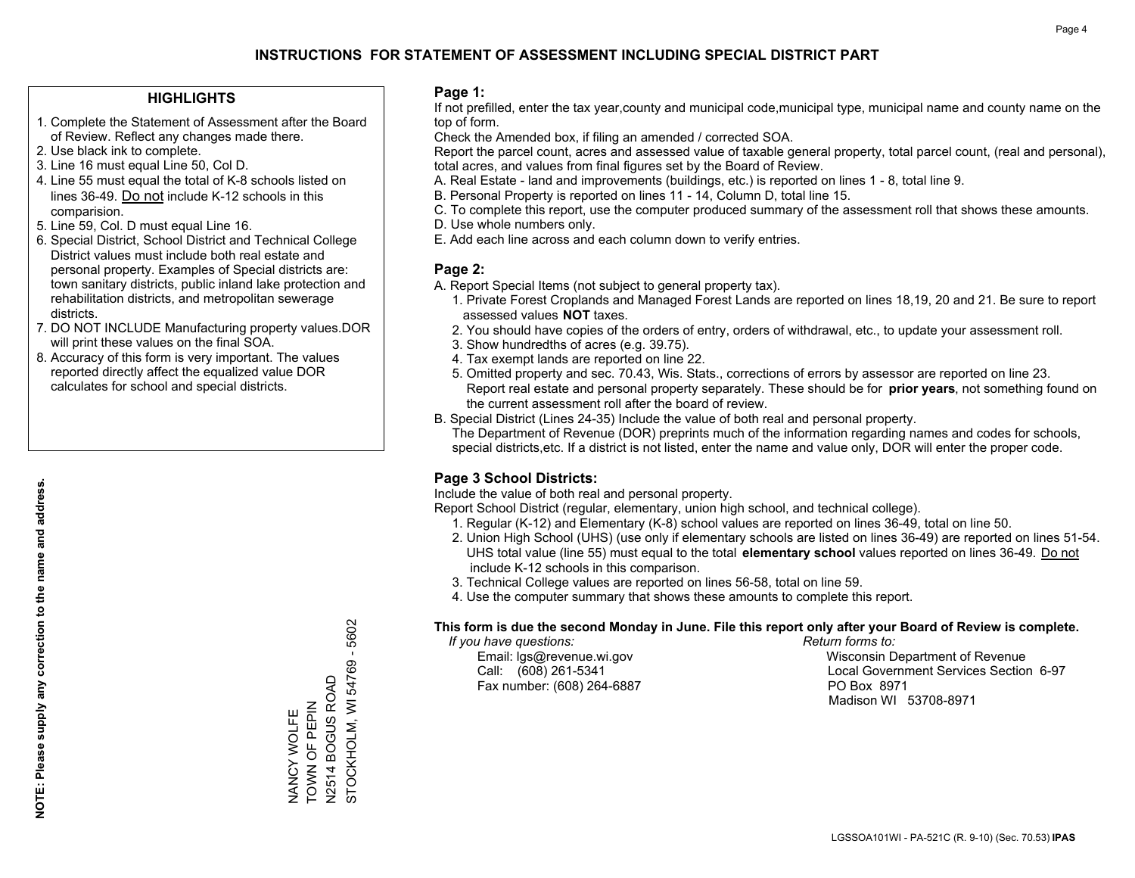## **HIGHLIGHTS**

- 1. Complete the Statement of Assessment after the Board of Review. Reflect any changes made there.
- 2. Use black ink to complete.
- 3. Line 16 must equal Line 50, Col D.
- 4. Line 55 must equal the total of K-8 schools listed on lines 36-49. Do not include K-12 schools in this comparision.
- 5. Line 59, Col. D must equal Line 16.
- 6. Special District, School District and Technical College District values must include both real estate and personal property. Examples of Special districts are: town sanitary districts, public inland lake protection and rehabilitation districts, and metropolitan sewerage districts.
- 7. DO NOT INCLUDE Manufacturing property values.DOR will print these values on the final SOA.

NANCY WOLFE TOWN OF PEPIN N2514 BOGUS ROAD

NANCY WOLFE<br>TOWN OF PEPIN

STOCKHOLM, WI 54769 - 5602

STOCKHOLM, WI 54769 - 5602

N2514 BOGUS ROAD

 8. Accuracy of this form is very important. The values reported directly affect the equalized value DOR calculates for school and special districts.

### **Page 1:**

 If not prefilled, enter the tax year,county and municipal code,municipal type, municipal name and county name on the top of form.

Check the Amended box, if filing an amended / corrected SOA.

 Report the parcel count, acres and assessed value of taxable general property, total parcel count, (real and personal), total acres, and values from final figures set by the Board of Review.

- A. Real Estate land and improvements (buildings, etc.) is reported on lines 1 8, total line 9.
- B. Personal Property is reported on lines 11 14, Column D, total line 15.
- C. To complete this report, use the computer produced summary of the assessment roll that shows these amounts.
- D. Use whole numbers only.
- E. Add each line across and each column down to verify entries.

## **Page 2:**

- A. Report Special Items (not subject to general property tax).
- 1. Private Forest Croplands and Managed Forest Lands are reported on lines 18,19, 20 and 21. Be sure to report assessed values **NOT** taxes.
- 2. You should have copies of the orders of entry, orders of withdrawal, etc., to update your assessment roll.
	- 3. Show hundredths of acres (e.g. 39.75).
- 4. Tax exempt lands are reported on line 22.
- 5. Omitted property and sec. 70.43, Wis. Stats., corrections of errors by assessor are reported on line 23. Report real estate and personal property separately. These should be for **prior years**, not something found on the current assessment roll after the board of review.
- B. Special District (Lines 24-35) Include the value of both real and personal property.
- The Department of Revenue (DOR) preprints much of the information regarding names and codes for schools, special districts,etc. If a district is not listed, enter the name and value only, DOR will enter the proper code.

## **Page 3 School Districts:**

Include the value of both real and personal property.

Report School District (regular, elementary, union high school, and technical college).

- 1. Regular (K-12) and Elementary (K-8) school values are reported on lines 36-49, total on line 50.
- 2. Union High School (UHS) (use only if elementary schools are listed on lines 36-49) are reported on lines 51-54. UHS total value (line 55) must equal to the total **elementary school** values reported on lines 36-49. Do notinclude K-12 schools in this comparison.
- 3. Technical College values are reported on lines 56-58, total on line 59.
- 4. Use the computer summary that shows these amounts to complete this report.

### **This form is due the second Monday in June. File this report only after your Board of Review is complete.**

 *If you have questions: Return forms to:*

Fax number: (608) 264-6887 PO Box 8971

 Email: lgs@revenue.wi.gov Wisconsin Department of Revenue Call: (608) 261-5341 Local Government Services Section 6-97Madison WI 53708-8971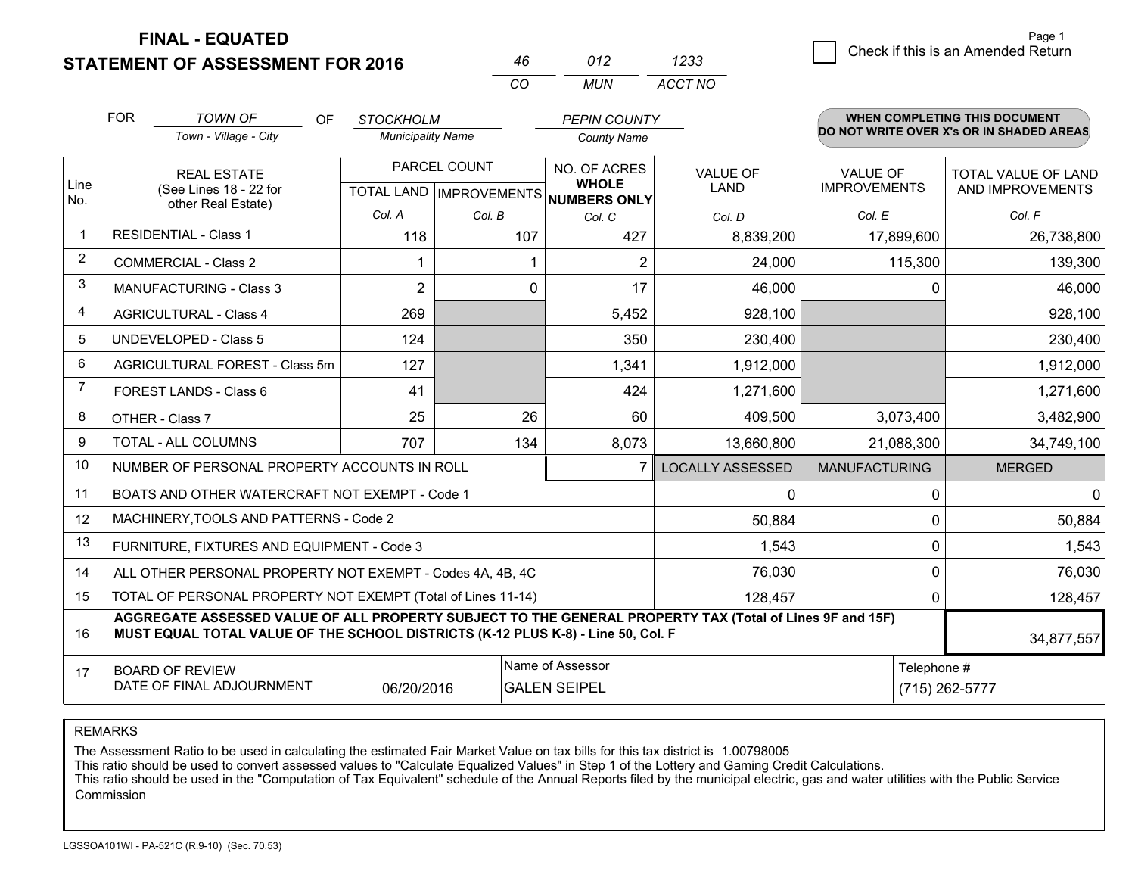**STATEMENT OF ASSESSMENT FOR 2016** 

**FINAL - EQUATED**

| 46  | 012 | 1233    |  |
|-----|-----|---------|--|
| -CO | MUN | ACCT NO |  |

|                | <b>FOR</b>                                                                                                                                                                                                 | <b>TOWN OF</b><br><b>OF</b><br><b>STOCKHOLM</b><br><b>PEPIN COUNTY</b><br>Town - Village - City<br><b>Municipality Name</b><br><b>County Name</b> |                |              |                                      | <b>WHEN COMPLETING THIS DOCUMENT</b><br>DO NOT WRITE OVER X's OR IN SHADED AREAS |                      |                     |
|----------------|------------------------------------------------------------------------------------------------------------------------------------------------------------------------------------------------------------|---------------------------------------------------------------------------------------------------------------------------------------------------|----------------|--------------|--------------------------------------|----------------------------------------------------------------------------------|----------------------|---------------------|
|                |                                                                                                                                                                                                            |                                                                                                                                                   |                |              |                                      |                                                                                  |                      |                     |
| Line           |                                                                                                                                                                                                            | <b>REAL ESTATE</b>                                                                                                                                |                | PARCEL COUNT | NO. OF ACRES<br><b>WHOLE</b>         | <b>VALUE OF</b>                                                                  | <b>VALUE OF</b>      | TOTAL VALUE OF LAND |
| No.            |                                                                                                                                                                                                            | (See Lines 18 - 22 for<br>other Real Estate)                                                                                                      |                |              | TOTAL LAND IMPROVEMENTS NUMBERS ONLY | <b>LAND</b>                                                                      | <b>IMPROVEMENTS</b>  | AND IMPROVEMENTS    |
|                |                                                                                                                                                                                                            |                                                                                                                                                   | Col. A         | Col. B       | Col. C                               | Col. D                                                                           | Col. E               | Col. F              |
| $\mathbf{1}$   |                                                                                                                                                                                                            | <b>RESIDENTIAL - Class 1</b>                                                                                                                      | 118            | 107          | 427                                  | 8,839,200                                                                        | 17,899,600           | 26,738,800          |
| $\overline{2}$ |                                                                                                                                                                                                            | COMMERCIAL - Class 2                                                                                                                              |                |              | $\overline{2}$                       | 24,000                                                                           | 115,300              | 139,300             |
| 3              |                                                                                                                                                                                                            | <b>MANUFACTURING - Class 3</b>                                                                                                                    | $\overline{2}$ | 0            | 17                                   | 46,000                                                                           | 0                    | 46,000              |
| 4              |                                                                                                                                                                                                            | <b>AGRICULTURAL - Class 4</b>                                                                                                                     | 269            |              | 5,452                                | 928,100                                                                          |                      | 928,100             |
| 5              |                                                                                                                                                                                                            | <b>UNDEVELOPED - Class 5</b>                                                                                                                      | 124            |              | 350                                  | 230,400                                                                          |                      | 230,400             |
| 6              |                                                                                                                                                                                                            | AGRICULTURAL FOREST - Class 5m                                                                                                                    | 127            |              | 1,341                                | 1,912,000                                                                        |                      | 1,912,000           |
| $\overline{7}$ |                                                                                                                                                                                                            | FOREST LANDS - Class 6                                                                                                                            | 41             |              | 424                                  | 1,271,600                                                                        |                      | 1,271,600           |
| 8              |                                                                                                                                                                                                            | OTHER - Class 7                                                                                                                                   | 25             | 26           | 60                                   | 409,500                                                                          | 3,073,400            | 3,482,900           |
| 9              |                                                                                                                                                                                                            | TOTAL - ALL COLUMNS                                                                                                                               | 707            | 134          | 8,073                                | 13,660,800                                                                       | 21,088,300           | 34,749,100          |
| 10             |                                                                                                                                                                                                            | NUMBER OF PERSONAL PROPERTY ACCOUNTS IN ROLL                                                                                                      |                |              | 7                                    | <b>LOCALLY ASSESSED</b>                                                          | <b>MANUFACTURING</b> | <b>MERGED</b>       |
| 11             |                                                                                                                                                                                                            | BOATS AND OTHER WATERCRAFT NOT EXEMPT - Code 1                                                                                                    |                |              |                                      | 0                                                                                | 0                    | $\Omega$            |
| 12             |                                                                                                                                                                                                            | MACHINERY, TOOLS AND PATTERNS - Code 2                                                                                                            |                |              |                                      | 50,884                                                                           | 0                    | 50,884              |
| 13             |                                                                                                                                                                                                            | FURNITURE, FIXTURES AND EQUIPMENT - Code 3                                                                                                        |                |              |                                      | 1,543                                                                            | 0                    | 1,543               |
| 14             | 76,030<br>ALL OTHER PERSONAL PROPERTY NOT EXEMPT - Codes 4A, 4B, 4C                                                                                                                                        |                                                                                                                                                   |                |              |                                      |                                                                                  |                      | 76,030              |
| 15             | TOTAL OF PERSONAL PROPERTY NOT EXEMPT (Total of Lines 11-14)<br>128,457<br>0                                                                                                                               |                                                                                                                                                   |                |              |                                      |                                                                                  | 128,457              |                     |
| 16             | AGGREGATE ASSESSED VALUE OF ALL PROPERTY SUBJECT TO THE GENERAL PROPERTY TAX (Total of Lines 9F and 15F)<br>MUST EQUAL TOTAL VALUE OF THE SCHOOL DISTRICTS (K-12 PLUS K-8) - Line 50, Col. F<br>34,877,557 |                                                                                                                                                   |                |              |                                      |                                                                                  |                      |                     |
| 17             | <b>BOARD OF REVIEW</b>                                                                                                                                                                                     |                                                                                                                                                   |                |              | Name of Assessor                     |                                                                                  | Telephone #          |                     |
|                |                                                                                                                                                                                                            | DATE OF FINAL ADJOURNMENT                                                                                                                         | 06/20/2016     |              | <b>GALEN SEIPEL</b>                  |                                                                                  |                      | (715) 262-5777      |

REMARKS

The Assessment Ratio to be used in calculating the estimated Fair Market Value on tax bills for this tax district is 1.00798005

This ratio should be used to convert assessed values to "Calculate Equalized Values" in Step 1 of the Lottery and Gaming Credit Calculations.

 This ratio should be used in the "Computation of Tax Equivalent" schedule of the Annual Reports filed by the municipal electric, gas and water utilities with the Public Service Commission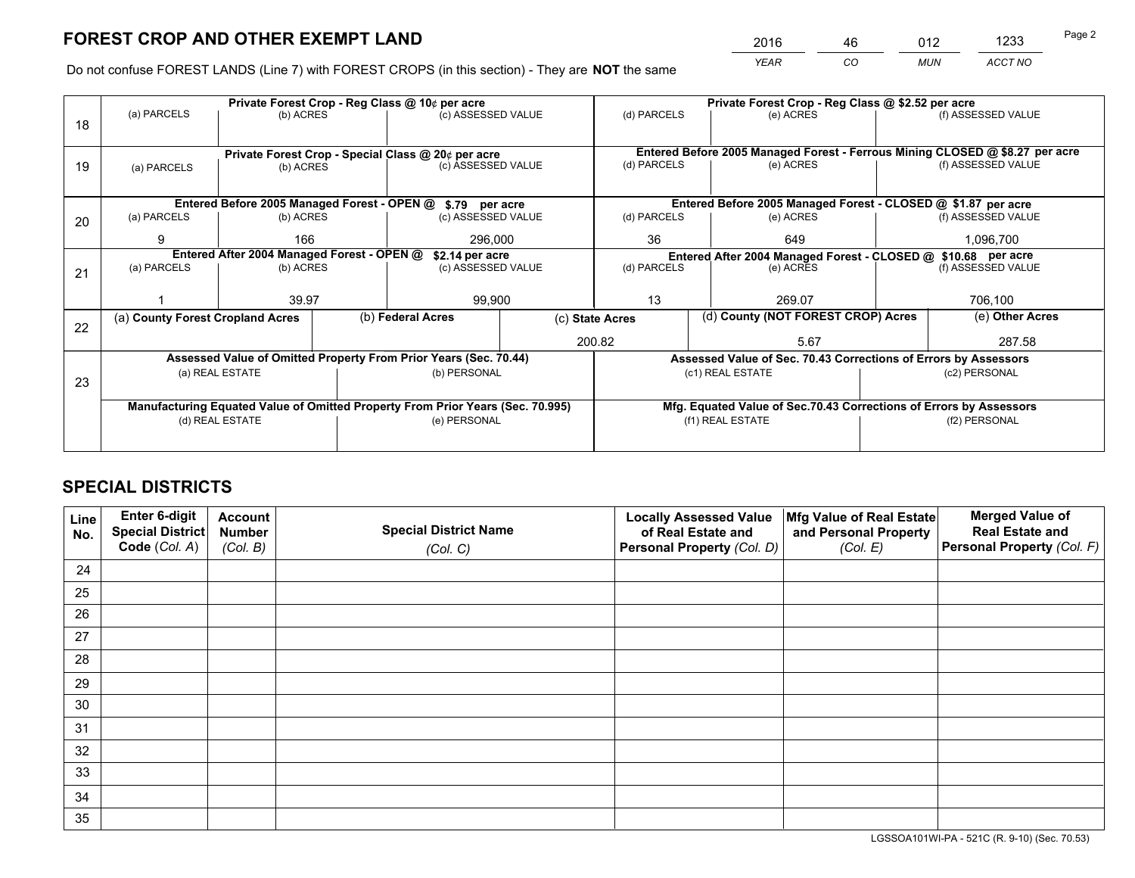*YEAR CO MUN ACCT NO* <sup>2016</sup> <sup>46</sup> <sup>012</sup> <sup>1233</sup>

Do not confuse FOREST LANDS (Line 7) with FOREST CROPS (in this section) - They are **NOT** the same

|    | Private Forest Crop - Reg Class @ 10¢ per acre |                                            |                 |                                                                                |                                                               |                  | Private Forest Crop - Reg Class @ \$2.52 per acre                            |               |                    |  |
|----|------------------------------------------------|--------------------------------------------|-----------------|--------------------------------------------------------------------------------|---------------------------------------------------------------|------------------|------------------------------------------------------------------------------|---------------|--------------------|--|
| 18 | (a) PARCELS<br>(b) ACRES                       |                                            |                 | (c) ASSESSED VALUE                                                             |                                                               | (d) PARCELS      | (e) ACRES                                                                    |               | (f) ASSESSED VALUE |  |
|    |                                                |                                            |                 |                                                                                |                                                               |                  |                                                                              |               |                    |  |
|    |                                                |                                            |                 | Private Forest Crop - Special Class @ 20¢ per acre                             |                                                               |                  | Entered Before 2005 Managed Forest - Ferrous Mining CLOSED @ \$8.27 per acre |               |                    |  |
| 19 | (a) PARCELS                                    | (b) ACRES                                  |                 | (c) ASSESSED VALUE                                                             |                                                               | (d) PARCELS      | (e) ACRES                                                                    |               | (f) ASSESSED VALUE |  |
|    |                                                |                                            |                 |                                                                                |                                                               |                  |                                                                              |               |                    |  |
|    |                                                |                                            |                 | Entered Before 2005 Managed Forest - OPEN @ \$.79 per acre                     |                                                               |                  | Entered Before 2005 Managed Forest - CLOSED @ \$1.87 per acre                |               |                    |  |
| 20 | (a) PARCELS                                    | (b) ACRES                                  |                 | (c) ASSESSED VALUE                                                             |                                                               | (d) PARCELS      | (e) ACRES                                                                    |               | (f) ASSESSED VALUE |  |
|    | 9                                              | 166                                        |                 | 296.000                                                                        |                                                               | 36               | 649                                                                          |               | 1,096,700          |  |
|    |                                                | Entered After 2004 Managed Forest - OPEN @ | \$2.14 per acre |                                                                                | Entered After 2004 Managed Forest - CLOSED @ \$10.68 per acre |                  |                                                                              |               |                    |  |
| 21 | (a) PARCELS                                    | (b) ACRES                                  |                 |                                                                                | (c) ASSESSED VALUE                                            |                  | (e) ACRES                                                                    |               | (f) ASSESSED VALUE |  |
|    |                                                |                                            |                 |                                                                                |                                                               |                  |                                                                              |               |                    |  |
|    |                                                | 39.97                                      |                 | 99,900                                                                         |                                                               | 13               | 269.07                                                                       |               | 706,100            |  |
| 22 |                                                | (a) County Forest Cropland Acres           |                 |                                                                                | (b) Federal Acres<br>(c) State Acres                          |                  | (d) County (NOT FOREST CROP) Acres                                           |               | (e) Other Acres    |  |
|    |                                                |                                            |                 |                                                                                | 200.82                                                        |                  | 5.67                                                                         |               | 287.58             |  |
|    |                                                |                                            |                 | Assessed Value of Omitted Property From Prior Years (Sec. 70.44)               |                                                               |                  | Assessed Value of Sec. 70.43 Corrections of Errors by Assessors              |               |                    |  |
| 23 |                                                | (a) REAL ESTATE                            |                 | (b) PERSONAL                                                                   |                                                               | (c1) REAL ESTATE |                                                                              | (c2) PERSONAL |                    |  |
|    |                                                |                                            |                 |                                                                                |                                                               |                  |                                                                              |               |                    |  |
|    |                                                |                                            |                 | Manufacturing Equated Value of Omitted Property From Prior Years (Sec. 70.995) |                                                               |                  | Mfg. Equated Value of Sec.70.43 Corrections of Errors by Assessors           |               |                    |  |
|    | (d) REAL ESTATE                                |                                            |                 | (e) PERSONAL                                                                   |                                                               |                  | (f1) REAL ESTATE                                                             |               | (f2) PERSONAL      |  |
|    |                                                |                                            |                 |                                                                                |                                                               |                  |                                                                              |               |                    |  |

## **SPECIAL DISTRICTS**

| Line<br>No. | Enter 6-digit<br>Special District<br>Code (Col. A) | <b>Account</b><br><b>Number</b> | <b>Special District Name</b> | <b>Locally Assessed Value</b><br>of Real Estate and | Mfg Value of Real Estate<br>and Personal Property | <b>Merged Value of</b><br><b>Real Estate and</b><br>Personal Property (Col. F) |
|-------------|----------------------------------------------------|---------------------------------|------------------------------|-----------------------------------------------------|---------------------------------------------------|--------------------------------------------------------------------------------|
|             |                                                    | (Col. B)                        | (Col. C)                     | Personal Property (Col. D)                          | (Col. E)                                          |                                                                                |
| 24          |                                                    |                                 |                              |                                                     |                                                   |                                                                                |
| 25          |                                                    |                                 |                              |                                                     |                                                   |                                                                                |
| 26          |                                                    |                                 |                              |                                                     |                                                   |                                                                                |
| 27          |                                                    |                                 |                              |                                                     |                                                   |                                                                                |
| 28          |                                                    |                                 |                              |                                                     |                                                   |                                                                                |
| 29          |                                                    |                                 |                              |                                                     |                                                   |                                                                                |
| 30          |                                                    |                                 |                              |                                                     |                                                   |                                                                                |
| 31          |                                                    |                                 |                              |                                                     |                                                   |                                                                                |
| 32          |                                                    |                                 |                              |                                                     |                                                   |                                                                                |
| 33          |                                                    |                                 |                              |                                                     |                                                   |                                                                                |
| 34          |                                                    |                                 |                              |                                                     |                                                   |                                                                                |
| 35          |                                                    |                                 |                              |                                                     |                                                   |                                                                                |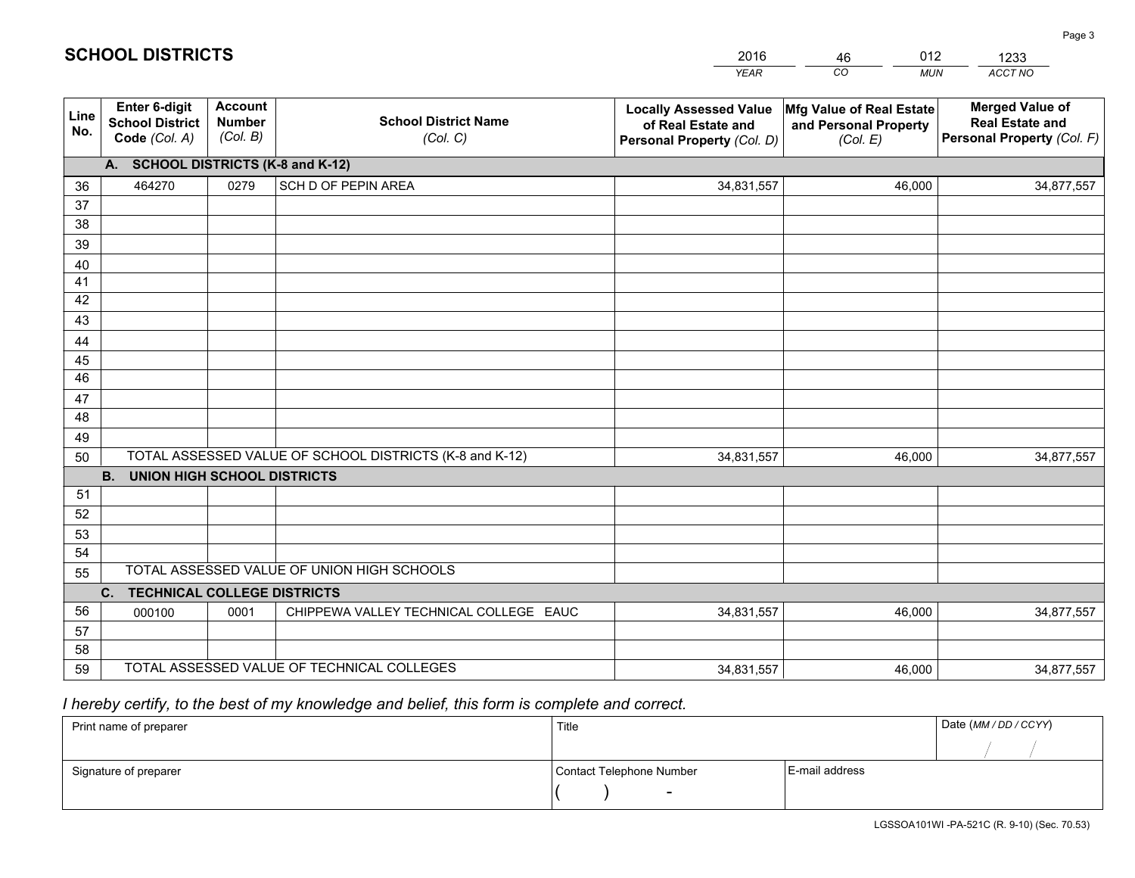|             |                                                                 |                                             |                                                         | <b>YEAR</b>                                                                       | CO<br><b>MUN</b>                                              | ACCT NO                                                                        |  |  |  |  |  |
|-------------|-----------------------------------------------------------------|---------------------------------------------|---------------------------------------------------------|-----------------------------------------------------------------------------------|---------------------------------------------------------------|--------------------------------------------------------------------------------|--|--|--|--|--|
| Line<br>No. | <b>Enter 6-digit</b><br><b>School District</b><br>Code (Col. A) | <b>Account</b><br><b>Number</b><br>(Col. B) | <b>School District Name</b><br>(Col. C)                 | <b>Locally Assessed Value</b><br>of Real Estate and<br>Personal Property (Col. D) | Mfg Value of Real Estate<br>and Personal Property<br>(Col. E) | <b>Merged Value of</b><br><b>Real Estate and</b><br>Personal Property (Col. F) |  |  |  |  |  |
|             | A. SCHOOL DISTRICTS (K-8 and K-12)                              |                                             |                                                         |                                                                                   |                                                               |                                                                                |  |  |  |  |  |
| 36          | 464270                                                          | 0279                                        | SCH D OF PEPIN AREA                                     | 34,831,557                                                                        | 46.000                                                        | 34,877,557                                                                     |  |  |  |  |  |
| 37          |                                                                 |                                             |                                                         |                                                                                   |                                                               |                                                                                |  |  |  |  |  |
| 38          |                                                                 |                                             |                                                         |                                                                                   |                                                               |                                                                                |  |  |  |  |  |
| 39          |                                                                 |                                             |                                                         |                                                                                   |                                                               |                                                                                |  |  |  |  |  |
| 40          |                                                                 |                                             |                                                         |                                                                                   |                                                               |                                                                                |  |  |  |  |  |
| 41<br>42    |                                                                 |                                             |                                                         |                                                                                   |                                                               |                                                                                |  |  |  |  |  |
| 43          |                                                                 |                                             |                                                         |                                                                                   |                                                               |                                                                                |  |  |  |  |  |
|             |                                                                 |                                             |                                                         |                                                                                   |                                                               |                                                                                |  |  |  |  |  |
| 44<br>45    |                                                                 |                                             |                                                         |                                                                                   |                                                               |                                                                                |  |  |  |  |  |
| 46          |                                                                 |                                             |                                                         |                                                                                   |                                                               |                                                                                |  |  |  |  |  |
| 47          |                                                                 |                                             |                                                         |                                                                                   |                                                               |                                                                                |  |  |  |  |  |
| 48          |                                                                 |                                             |                                                         |                                                                                   |                                                               |                                                                                |  |  |  |  |  |
| 49          |                                                                 |                                             |                                                         |                                                                                   |                                                               |                                                                                |  |  |  |  |  |
| 50          |                                                                 |                                             | TOTAL ASSESSED VALUE OF SCHOOL DISTRICTS (K-8 and K-12) | 34,831,557                                                                        | 46,000                                                        | 34,877,557                                                                     |  |  |  |  |  |
|             | <b>B. UNION HIGH SCHOOL DISTRICTS</b>                           |                                             |                                                         |                                                                                   |                                                               |                                                                                |  |  |  |  |  |
| 51          |                                                                 |                                             |                                                         |                                                                                   |                                                               |                                                                                |  |  |  |  |  |
| 52          |                                                                 |                                             |                                                         |                                                                                   |                                                               |                                                                                |  |  |  |  |  |
| 53          |                                                                 |                                             |                                                         |                                                                                   |                                                               |                                                                                |  |  |  |  |  |
| 54          |                                                                 |                                             |                                                         |                                                                                   |                                                               |                                                                                |  |  |  |  |  |
| 55          |                                                                 |                                             | TOTAL ASSESSED VALUE OF UNION HIGH SCHOOLS              |                                                                                   |                                                               |                                                                                |  |  |  |  |  |
|             | C.<br><b>TECHNICAL COLLEGE DISTRICTS</b>                        |                                             |                                                         |                                                                                   |                                                               |                                                                                |  |  |  |  |  |
| 56          | 000100                                                          | 0001                                        | CHIPPEWA VALLEY TECHNICAL COLLEGE EAUC                  | 34,831,557                                                                        | 46,000                                                        | 34,877,557                                                                     |  |  |  |  |  |
| 57<br>58    |                                                                 |                                             |                                                         |                                                                                   |                                                               |                                                                                |  |  |  |  |  |
| 59          |                                                                 |                                             | TOTAL ASSESSED VALUE OF TECHNICAL COLLEGES              | 34,831,557                                                                        | 46,000                                                        | 34,877,557                                                                     |  |  |  |  |  |
|             |                                                                 |                                             |                                                         |                                                                                   |                                                               |                                                                                |  |  |  |  |  |

46

012

 *I hereby certify, to the best of my knowledge and belief, this form is complete and correct.*

**SCHOOL DISTRICTS**

| Print name of preparer | Title                    | Date (MM / DD / CCYY) |  |
|------------------------|--------------------------|-----------------------|--|
|                        |                          |                       |  |
| Signature of preparer  | Contact Telephone Number | E-mail address        |  |
|                        | $\overline{\phantom{a}}$ |                       |  |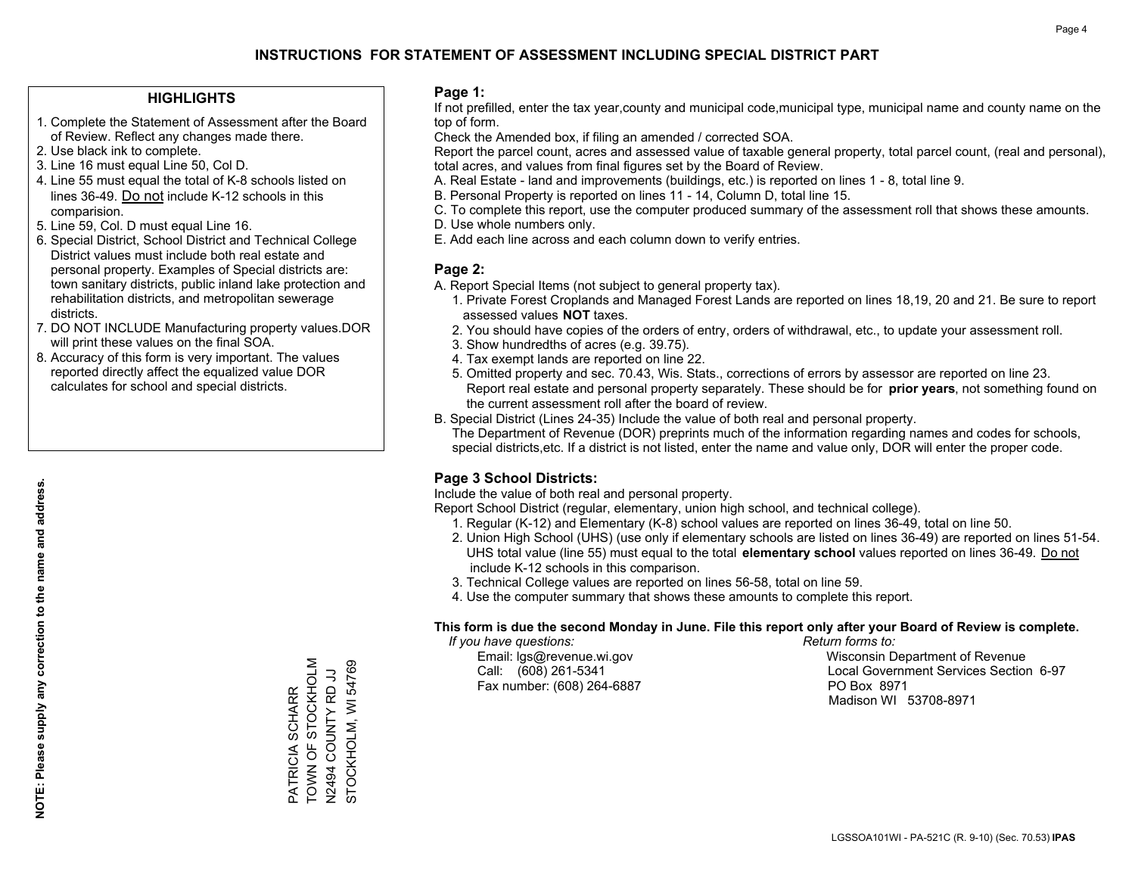## **HIGHLIGHTS**

- 1. Complete the Statement of Assessment after the Board of Review. Reflect any changes made there.
- 2. Use black ink to complete.
- 3. Line 16 must equal Line 50, Col D.
- 4. Line 55 must equal the total of K-8 schools listed on lines 36-49. Do not include K-12 schools in this comparision.
- 5. Line 59, Col. D must equal Line 16.
- 6. Special District, School District and Technical College District values must include both real estate and personal property. Examples of Special districts are: town sanitary districts, public inland lake protection and rehabilitation districts, and metropolitan sewerage districts.
- 7. DO NOT INCLUDE Manufacturing property values.DOR will print these values on the final SOA.

PATRICIA SCHARR TOWN OF STOCKHOLM N2494 COUNTY RD JJ STOCKHOLM, WI 54769

PATRICIA SCHARR<br>TOWN OF STOCKHOLM

STOCKHOLM, WI 54769 LU ON LANDO P6572N<br>PS AJNNO P6572N

 8. Accuracy of this form is very important. The values reported directly affect the equalized value DOR calculates for school and special districts.

### **Page 1:**

 If not prefilled, enter the tax year,county and municipal code,municipal type, municipal name and county name on the top of form.

Check the Amended box, if filing an amended / corrected SOA.

 Report the parcel count, acres and assessed value of taxable general property, total parcel count, (real and personal), total acres, and values from final figures set by the Board of Review.

- A. Real Estate land and improvements (buildings, etc.) is reported on lines 1 8, total line 9.
- B. Personal Property is reported on lines 11 14, Column D, total line 15.
- C. To complete this report, use the computer produced summary of the assessment roll that shows these amounts.
- D. Use whole numbers only.
- E. Add each line across and each column down to verify entries.

### **Page 2:**

- A. Report Special Items (not subject to general property tax).
- 1. Private Forest Croplands and Managed Forest Lands are reported on lines 18,19, 20 and 21. Be sure to report assessed values **NOT** taxes.
- 2. You should have copies of the orders of entry, orders of withdrawal, etc., to update your assessment roll.
	- 3. Show hundredths of acres (e.g. 39.75).
- 4. Tax exempt lands are reported on line 22.
- 5. Omitted property and sec. 70.43, Wis. Stats., corrections of errors by assessor are reported on line 23. Report real estate and personal property separately. These should be for **prior years**, not something found on the current assessment roll after the board of review.
- B. Special District (Lines 24-35) Include the value of both real and personal property.
- The Department of Revenue (DOR) preprints much of the information regarding names and codes for schools, special districts,etc. If a district is not listed, enter the name and value only, DOR will enter the proper code.

## **Page 3 School Districts:**

Include the value of both real and personal property.

Report School District (regular, elementary, union high school, and technical college).

- 1. Regular (K-12) and Elementary (K-8) school values are reported on lines 36-49, total on line 50.
- 2. Union High School (UHS) (use only if elementary schools are listed on lines 36-49) are reported on lines 51-54. UHS total value (line 55) must equal to the total **elementary school** values reported on lines 36-49. Do notinclude K-12 schools in this comparison.
- 3. Technical College values are reported on lines 56-58, total on line 59.
- 4. Use the computer summary that shows these amounts to complete this report.

### **This form is due the second Monday in June. File this report only after your Board of Review is complete.**

 *If you have questions: Return forms to:*

Fax number: (608) 264-6887 PO Box 8971

 Email: lgs@revenue.wi.gov Wisconsin Department of Revenue Call: (608) 261-5341 Local Government Services Section 6-97Madison WI 53708-8971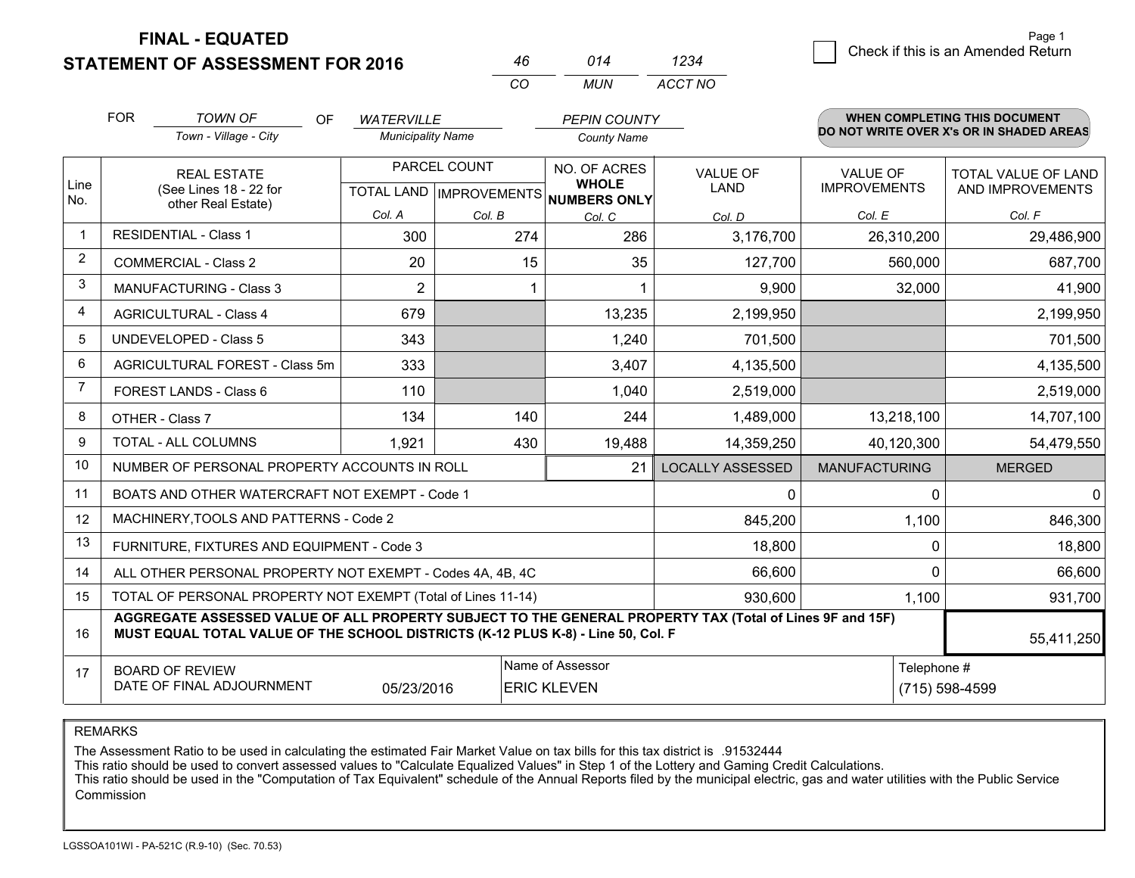**STATEMENT OF ASSESSMENT FOR 2016 FINAL - EQUATED**

|                | <b>FOR</b>                                   | <b>TOWN OF</b><br><b>OF</b>                                                                                                                                                                  | <b>WATERVILLE</b>        |                           | <b>PEPIN COUNTY</b>          |                         |                      | WHEN COMPLETING THIS DOCUMENT            |
|----------------|----------------------------------------------|----------------------------------------------------------------------------------------------------------------------------------------------------------------------------------------------|--------------------------|---------------------------|------------------------------|-------------------------|----------------------|------------------------------------------|
|                |                                              | Town - Village - City                                                                                                                                                                        | <b>Municipality Name</b> |                           | <b>County Name</b>           |                         |                      | DO NOT WRITE OVER X's OR IN SHADED AREAS |
|                |                                              | <b>REAL ESTATE</b>                                                                                                                                                                           |                          | PARCEL COUNT              | NO. OF ACRES<br><b>WHOLE</b> | <b>VALUE OF</b>         | VALUE OF             | TOTAL VALUE OF LAND                      |
| Line<br>No.    | (See Lines 18 - 22 for<br>other Real Estate) |                                                                                                                                                                                              |                          | TOTAL LAND   IMPROVEMENTS | <b>NUMBERS ONLY</b>          | <b>LAND</b>             | <b>IMPROVEMENTS</b>  | AND IMPROVEMENTS                         |
|                |                                              |                                                                                                                                                                                              | Col. A                   | Col. B                    | Col. C                       | Col. D                  | Col. E               | Col. F                                   |
| $\mathbf{1}$   |                                              | <b>RESIDENTIAL - Class 1</b>                                                                                                                                                                 | 300                      | 274                       | 286                          | 3,176,700               | 26,310,200           | 29,486,900                               |
| $\overline{2}$ |                                              | <b>COMMERCIAL - Class 2</b>                                                                                                                                                                  | 20                       | 15                        | 35                           | 127,700                 | 560,000              | 687,700                                  |
| 3              |                                              | <b>MANUFACTURING - Class 3</b>                                                                                                                                                               | $\overline{2}$           |                           |                              | 9,900                   | 32,000               | 41,900                                   |
| 4              |                                              | <b>AGRICULTURAL - Class 4</b>                                                                                                                                                                | 679                      |                           | 13,235                       | 2,199,950               |                      | 2,199,950                                |
| 5              |                                              | <b>UNDEVELOPED - Class 5</b>                                                                                                                                                                 | 343                      |                           | 1,240                        | 701,500                 |                      | 701,500                                  |
| 6              |                                              | AGRICULTURAL FOREST - Class 5m                                                                                                                                                               | 333                      |                           | 3,407                        | 4,135,500               |                      | 4,135,500                                |
| $\overline{7}$ |                                              | FOREST LANDS - Class 6                                                                                                                                                                       | 110                      |                           | 1,040                        | 2,519,000               |                      | 2,519,000                                |
| 8              |                                              | OTHER - Class 7                                                                                                                                                                              | 134                      | 140                       | 244                          | 1,489,000               | 13,218,100           | 14,707,100                               |
| 9              |                                              | <b>TOTAL - ALL COLUMNS</b>                                                                                                                                                                   | 1,921                    | 430                       | 19,488                       | 14,359,250              | 40,120,300           | 54,479,550                               |
| 10             |                                              | NUMBER OF PERSONAL PROPERTY ACCOUNTS IN ROLL                                                                                                                                                 |                          |                           | 21                           | <b>LOCALLY ASSESSED</b> | <b>MANUFACTURING</b> | <b>MERGED</b>                            |
| 11             |                                              | BOATS AND OTHER WATERCRAFT NOT EXEMPT - Code 1                                                                                                                                               |                          |                           |                              | 0                       | 0                    | $\mathbf 0$                              |
| 12             |                                              | MACHINERY, TOOLS AND PATTERNS - Code 2                                                                                                                                                       |                          |                           |                              | 845,200                 | 1,100                | 846,300                                  |
| 13             |                                              | FURNITURE, FIXTURES AND EQUIPMENT - Code 3                                                                                                                                                   |                          |                           |                              | 18,800                  | 0                    | 18,800                                   |
| 14             |                                              | ALL OTHER PERSONAL PROPERTY NOT EXEMPT - Codes 4A, 4B, 4C                                                                                                                                    |                          |                           |                              | 66,600                  | $\Omega$             | 66,600                                   |
| 15             |                                              | TOTAL OF PERSONAL PROPERTY NOT EXEMPT (Total of Lines 11-14)                                                                                                                                 |                          |                           |                              | 930,600                 | 1,100                | 931,700                                  |
| 16             |                                              | AGGREGATE ASSESSED VALUE OF ALL PROPERTY SUBJECT TO THE GENERAL PROPERTY TAX (Total of Lines 9F and 15F)<br>MUST EQUAL TOTAL VALUE OF THE SCHOOL DISTRICTS (K-12 PLUS K-8) - Line 50, Col. F |                          |                           |                              |                         |                      | 55,411,250                               |
| 17             |                                              | <b>BOARD OF REVIEW</b>                                                                                                                                                                       |                          |                           | Name of Assessor             |                         | Telephone #          |                                          |
|                |                                              | DATE OF FINAL ADJOURNMENT                                                                                                                                                                    | 05/23/2016               |                           | <b>ERIC KLEVEN</b>           |                         |                      | (715) 598-4599                           |

*CO*

*MUN*

*ACCT NO1234*

*<sup>46</sup> <sup>014</sup>*

REMARKS

The Assessment Ratio to be used in calculating the estimated Fair Market Value on tax bills for this tax district is .91532444<br>This ratio should be used to convert assessed values to "Calculate Equalized Values" in Step 1 Commission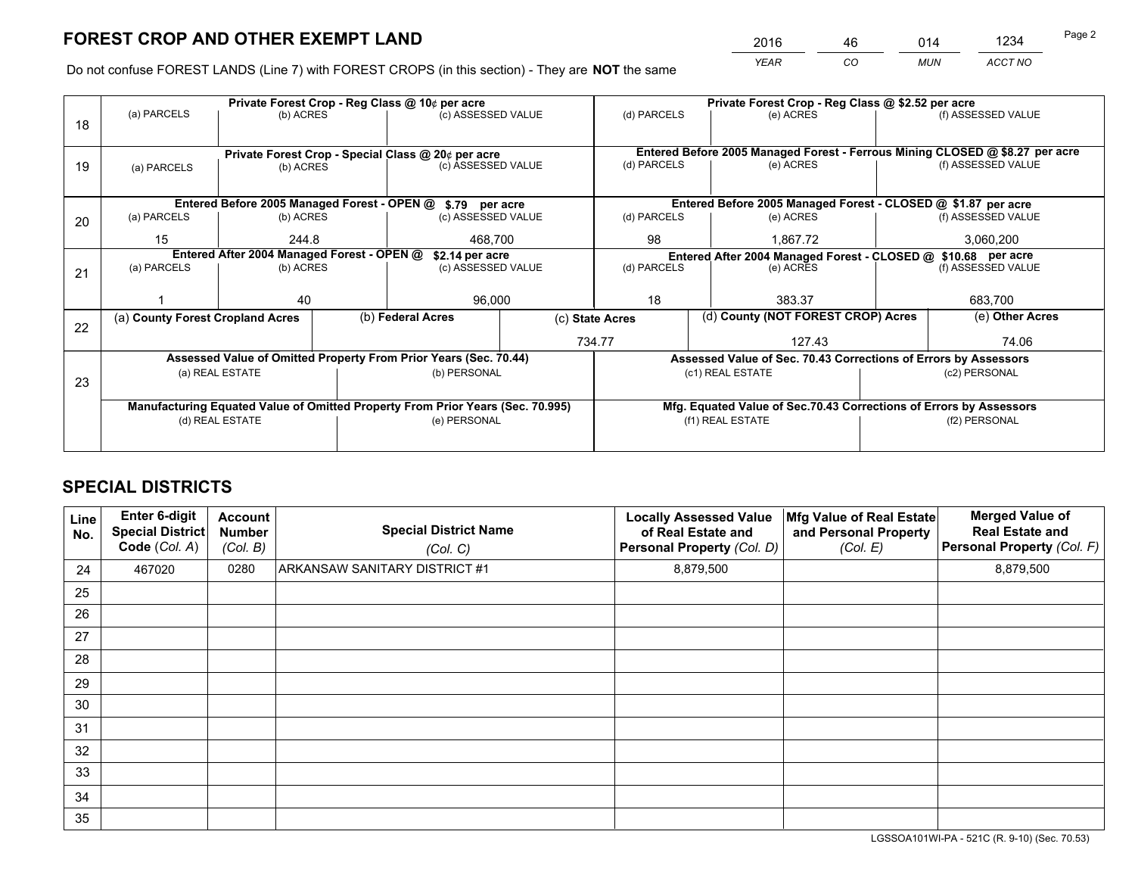*YEAR CO MUN ACCT NO* <sup>2016</sup> <sup>46</sup> <sup>014</sup> <sup>1234</sup>

Do not confuse FOREST LANDS (Line 7) with FOREST CROPS (in this section) - They are **NOT** the same

|    |                                                               |                 |  | Private Forest Crop - Reg Class @ 10¢ per acre                                 |                                   |                  | Private Forest Crop - Reg Class @ \$2.52 per acre                            |  |                    |  |
|----|---------------------------------------------------------------|-----------------|--|--------------------------------------------------------------------------------|-----------------------------------|------------------|------------------------------------------------------------------------------|--|--------------------|--|
| 18 | (a) PARCELS                                                   | (b) ACRES       |  | (c) ASSESSED VALUE                                                             |                                   | (d) PARCELS      | (e) ACRES                                                                    |  | (f) ASSESSED VALUE |  |
|    |                                                               |                 |  | Private Forest Crop - Special Class @ 20¢ per acre                             |                                   |                  | Entered Before 2005 Managed Forest - Ferrous Mining CLOSED @ \$8.27 per acre |  |                    |  |
| 19 | (a) PARCELS                                                   | (b) ACRES       |  | (c) ASSESSED VALUE                                                             |                                   | (d) PARCELS      | (e) ACRES                                                                    |  | (f) ASSESSED VALUE |  |
|    |                                                               |                 |  | Entered Before 2005 Managed Forest - OPEN @ \$.79 per acre                     |                                   |                  | Entered Before 2005 Managed Forest - CLOSED @ \$1.87 per acre                |  |                    |  |
| 20 | (a) PARCELS                                                   | (b) ACRES       |  | (c) ASSESSED VALUE                                                             |                                   | (d) PARCELS      | (e) ACRES                                                                    |  | (f) ASSESSED VALUE |  |
|    | 15                                                            | 244.8           |  | 468.700                                                                        |                                   | 98<br>1.867.72   |                                                                              |  | 3,060,200          |  |
|    | Entered After 2004 Managed Forest - OPEN @<br>\$2.14 per acre |                 |  |                                                                                |                                   |                  | Entered After 2004 Managed Forest - CLOSED @ \$10.68 per acre                |  |                    |  |
| 21 | (a) PARCELS                                                   | (b) ACRES       |  |                                                                                | (d) PARCELS<br>(c) ASSESSED VALUE |                  | (e) ACRES                                                                    |  | (f) ASSESSED VALUE |  |
|    |                                                               |                 |  |                                                                                |                                   |                  |                                                                              |  |                    |  |
|    |                                                               | 40              |  | 96,000                                                                         |                                   | 18<br>383.37     |                                                                              |  | 683,700            |  |
| 22 | (a) County Forest Cropland Acres                              |                 |  | (b) Federal Acres                                                              |                                   | (c) State Acres  | (d) County (NOT FOREST CROP) Acres                                           |  | (e) Other Acres    |  |
|    |                                                               |                 |  |                                                                                |                                   | 734.77           | 127.43                                                                       |  | 74.06              |  |
|    |                                                               |                 |  | Assessed Value of Omitted Property From Prior Years (Sec. 70.44)               |                                   |                  | Assessed Value of Sec. 70.43 Corrections of Errors by Assessors              |  |                    |  |
| 23 |                                                               | (a) REAL ESTATE |  | (b) PERSONAL                                                                   |                                   |                  | (c1) REAL ESTATE                                                             |  | (c2) PERSONAL      |  |
|    |                                                               |                 |  |                                                                                |                                   |                  |                                                                              |  |                    |  |
|    |                                                               |                 |  | Manufacturing Equated Value of Omitted Property From Prior Years (Sec. 70.995) |                                   |                  | Mfg. Equated Value of Sec.70.43 Corrections of Errors by Assessors           |  |                    |  |
|    |                                                               | (d) REAL ESTATE |  | (e) PERSONAL                                                                   |                                   | (f1) REAL ESTATE |                                                                              |  | (f2) PERSONAL      |  |
|    |                                                               |                 |  |                                                                                |                                   |                  |                                                                              |  |                    |  |

## **SPECIAL DISTRICTS**

| Line<br>No. | <b>Enter 6-digit</b><br><b>Special District</b><br>Code (Col. A) | <b>Account</b><br><b>Number</b><br>(Col. B) | <b>Special District Name</b><br>(Col. C) | <b>Locally Assessed Value</b><br>of Real Estate and<br>Personal Property (Col. D) | Mfg Value of Real Estate<br>and Personal Property<br>(Col. E) | <b>Merged Value of</b><br><b>Real Estate and</b><br>Personal Property (Col. F) |
|-------------|------------------------------------------------------------------|---------------------------------------------|------------------------------------------|-----------------------------------------------------------------------------------|---------------------------------------------------------------|--------------------------------------------------------------------------------|
| 24          | 467020                                                           | 0280                                        | ARKANSAW SANITARY DISTRICT #1            | 8,879,500                                                                         |                                                               | 8,879,500                                                                      |
| 25          |                                                                  |                                             |                                          |                                                                                   |                                                               |                                                                                |
| 26          |                                                                  |                                             |                                          |                                                                                   |                                                               |                                                                                |
| 27          |                                                                  |                                             |                                          |                                                                                   |                                                               |                                                                                |
| 28          |                                                                  |                                             |                                          |                                                                                   |                                                               |                                                                                |
| 29          |                                                                  |                                             |                                          |                                                                                   |                                                               |                                                                                |
| 30          |                                                                  |                                             |                                          |                                                                                   |                                                               |                                                                                |
| 31          |                                                                  |                                             |                                          |                                                                                   |                                                               |                                                                                |
| 32          |                                                                  |                                             |                                          |                                                                                   |                                                               |                                                                                |
| 33          |                                                                  |                                             |                                          |                                                                                   |                                                               |                                                                                |
| 34          |                                                                  |                                             |                                          |                                                                                   |                                                               |                                                                                |
| 35          |                                                                  |                                             |                                          |                                                                                   |                                                               |                                                                                |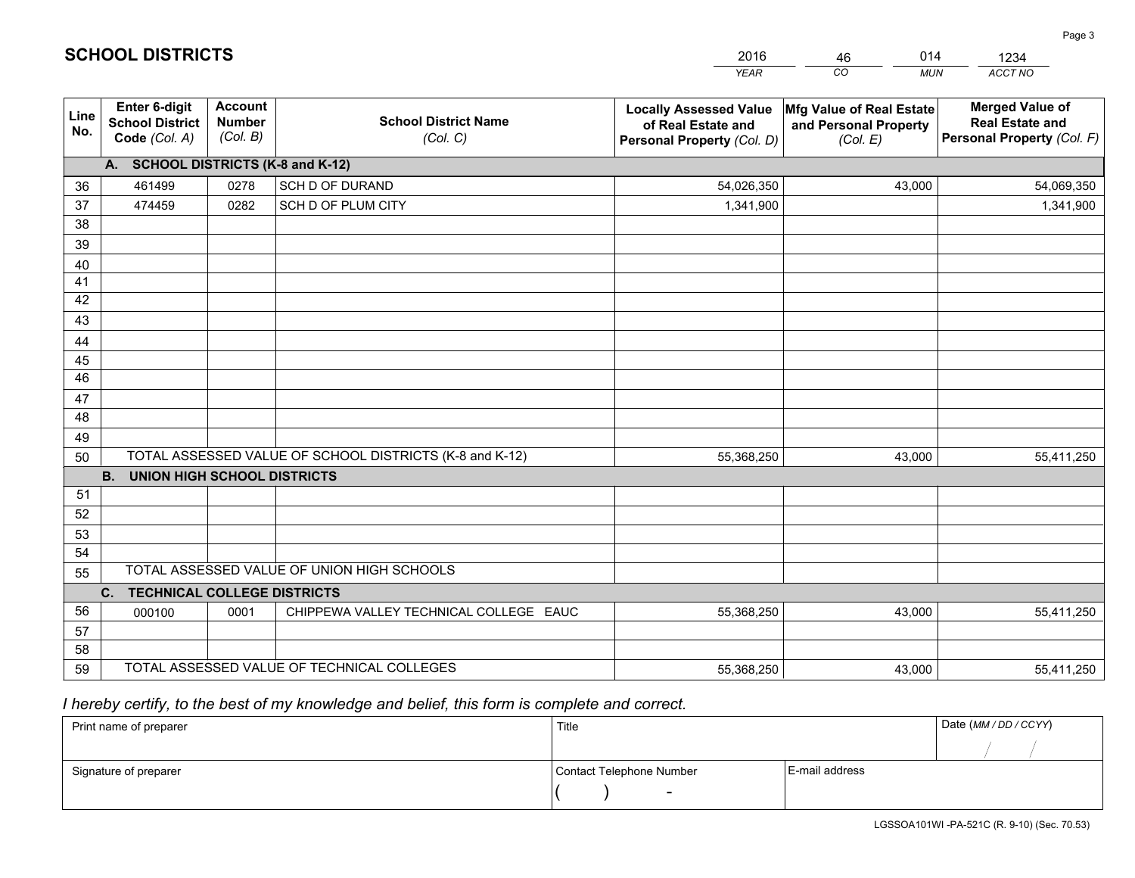|             |                                                                 |                                             |                                                         | <b>YEAR</b>                                                                       | CO<br><b>MUN</b>                                              | ACCT NO                                                                        |
|-------------|-----------------------------------------------------------------|---------------------------------------------|---------------------------------------------------------|-----------------------------------------------------------------------------------|---------------------------------------------------------------|--------------------------------------------------------------------------------|
| Line<br>No. | <b>Enter 6-digit</b><br><b>School District</b><br>Code (Col. A) | <b>Account</b><br><b>Number</b><br>(Col. B) | <b>School District Name</b><br>(Col. C)                 | <b>Locally Assessed Value</b><br>of Real Estate and<br>Personal Property (Col. D) | Mfg Value of Real Estate<br>and Personal Property<br>(Col. E) | <b>Merged Value of</b><br><b>Real Estate and</b><br>Personal Property (Col. F) |
|             | A. SCHOOL DISTRICTS (K-8 and K-12)                              |                                             |                                                         |                                                                                   |                                                               |                                                                                |
| 36          | 461499                                                          | 0278                                        | SCH D OF DURAND                                         | 54,026,350                                                                        | 43,000                                                        | 54,069,350                                                                     |
| 37          | 474459                                                          | 0282                                        | SCH D OF PLUM CITY                                      | 1,341,900                                                                         |                                                               | 1,341,900                                                                      |
| 38          |                                                                 |                                             |                                                         |                                                                                   |                                                               |                                                                                |
| 39          |                                                                 |                                             |                                                         |                                                                                   |                                                               |                                                                                |
| 40          |                                                                 |                                             |                                                         |                                                                                   |                                                               |                                                                                |
| 41          |                                                                 |                                             |                                                         |                                                                                   |                                                               |                                                                                |
| 42          |                                                                 |                                             |                                                         |                                                                                   |                                                               |                                                                                |
| 43          |                                                                 |                                             |                                                         |                                                                                   |                                                               |                                                                                |
| 44          |                                                                 |                                             |                                                         |                                                                                   |                                                               |                                                                                |
| 45<br>46    |                                                                 |                                             |                                                         |                                                                                   |                                                               |                                                                                |
|             |                                                                 |                                             |                                                         |                                                                                   |                                                               |                                                                                |
| 47<br>48    |                                                                 |                                             |                                                         |                                                                                   |                                                               |                                                                                |
| 49          |                                                                 |                                             |                                                         |                                                                                   |                                                               |                                                                                |
| 50          |                                                                 |                                             | TOTAL ASSESSED VALUE OF SCHOOL DISTRICTS (K-8 and K-12) | 55,368,250                                                                        | 43,000                                                        | 55,411,250                                                                     |
|             | <b>B.</b><br><b>UNION HIGH SCHOOL DISTRICTS</b>                 |                                             |                                                         |                                                                                   |                                                               |                                                                                |
| 51          |                                                                 |                                             |                                                         |                                                                                   |                                                               |                                                                                |
| 52          |                                                                 |                                             |                                                         |                                                                                   |                                                               |                                                                                |
| 53          |                                                                 |                                             |                                                         |                                                                                   |                                                               |                                                                                |
| 54          |                                                                 |                                             |                                                         |                                                                                   |                                                               |                                                                                |
| 55          |                                                                 |                                             | TOTAL ASSESSED VALUE OF UNION HIGH SCHOOLS              |                                                                                   |                                                               |                                                                                |
|             | C.<br><b>TECHNICAL COLLEGE DISTRICTS</b>                        |                                             |                                                         |                                                                                   |                                                               |                                                                                |
| 56          | 000100                                                          | 0001                                        | CHIPPEWA VALLEY TECHNICAL COLLEGE EAUC                  | 55,368,250                                                                        | 43,000                                                        | 55,411,250                                                                     |
| 57          |                                                                 |                                             |                                                         |                                                                                   |                                                               |                                                                                |
| 58          |                                                                 |                                             |                                                         |                                                                                   |                                                               |                                                                                |
| 59          |                                                                 |                                             | TOTAL ASSESSED VALUE OF TECHNICAL COLLEGES              | 55,368,250                                                                        | 43,000                                                        | 55,411,250                                                                     |

46

014

 *I hereby certify, to the best of my knowledge and belief, this form is complete and correct.*

**SCHOOL DISTRICTS**

| Print name of preparer | Title                    |                | Date (MM / DD / CCYY) |
|------------------------|--------------------------|----------------|-----------------------|
|                        |                          |                |                       |
| Signature of preparer  | Contact Telephone Number | E-mail address |                       |
|                        | $\sim$                   |                |                       |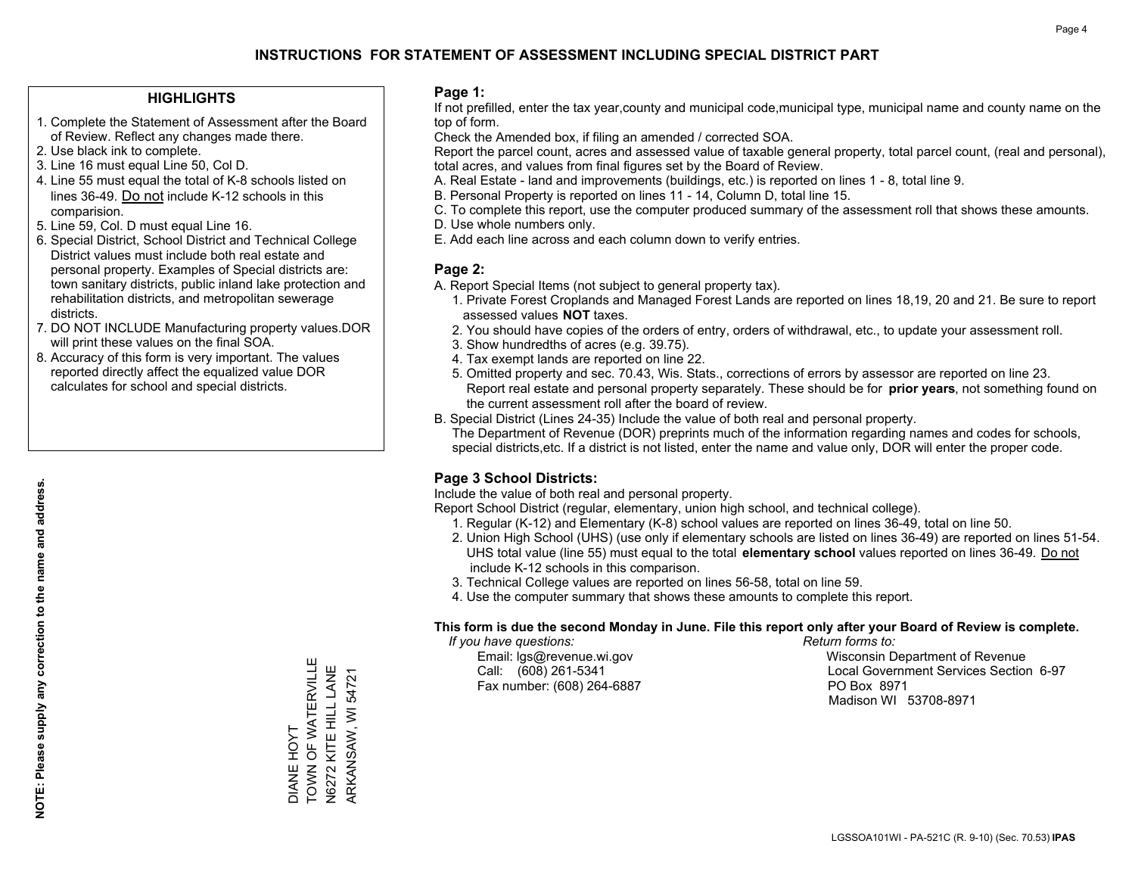## **HIGHLIGHTS**

- 1. Complete the Statement of Assessment after the Board of Review. Reflect any changes made there.
- 2. Use black ink to complete.
- 3. Line 16 must equal Line 50, Col D.
- 4. Line 55 must equal the total of K-8 schools listed on lines 36-49. Do not include K-12 schools in this comparision.
- 5. Line 59, Col. D must equal Line 16.
- 6. Special District, School District and Technical College District values must include both real estate and personal property. Examples of Special districts are: town sanitary districts, public inland lake protection and rehabilitation districts, and metropolitan sewerage districts.
- 7. DO NOT INCLUDE Manufacturing property values.DOR will print these values on the final SOA.

DIANE HOYT

TOWN OF WATERVILLE N6272 KITE HILL LANE ARKANSAW, WI 54721

DIANE HOYT<br>TOWN OF WATERVILLE N6272 KITE HILL LANE ARKANSAW, WI 54721

 8. Accuracy of this form is very important. The values reported directly affect the equalized value DOR calculates for school and special districts.

### **Page 1:**

 If not prefilled, enter the tax year,county and municipal code,municipal type, municipal name and county name on the top of form.

Check the Amended box, if filing an amended / corrected SOA.

 Report the parcel count, acres and assessed value of taxable general property, total parcel count, (real and personal), total acres, and values from final figures set by the Board of Review.

- A. Real Estate land and improvements (buildings, etc.) is reported on lines 1 8, total line 9.
- B. Personal Property is reported on lines 11 14, Column D, total line 15.
- C. To complete this report, use the computer produced summary of the assessment roll that shows these amounts.
- D. Use whole numbers only.
- E. Add each line across and each column down to verify entries.

## **Page 2:**

- A. Report Special Items (not subject to general property tax).
- 1. Private Forest Croplands and Managed Forest Lands are reported on lines 18,19, 20 and 21. Be sure to report assessed values **NOT** taxes.
- 2. You should have copies of the orders of entry, orders of withdrawal, etc., to update your assessment roll.
	- 3. Show hundredths of acres (e.g. 39.75).
- 4. Tax exempt lands are reported on line 22.
- 5. Omitted property and sec. 70.43, Wis. Stats., corrections of errors by assessor are reported on line 23. Report real estate and personal property separately. These should be for **prior years**, not something found on the current assessment roll after the board of review.
- B. Special District (Lines 24-35) Include the value of both real and personal property.

 The Department of Revenue (DOR) preprints much of the information regarding names and codes for schools, special districts,etc. If a district is not listed, enter the name and value only, DOR will enter the proper code.

## **Page 3 School Districts:**

Include the value of both real and personal property.

Report School District (regular, elementary, union high school, and technical college).

- 1. Regular (K-12) and Elementary (K-8) school values are reported on lines 36-49, total on line 50.
- 2. Union High School (UHS) (use only if elementary schools are listed on lines 36-49) are reported on lines 51-54. UHS total value (line 55) must equal to the total **elementary school** values reported on lines 36-49. Do notinclude K-12 schools in this comparison.
- 3. Technical College values are reported on lines 56-58, total on line 59.
- 4. Use the computer summary that shows these amounts to complete this report.

### **This form is due the second Monday in June. File this report only after your Board of Review is complete.**

 *If you have questions: Return forms to:*

Fax number: (608) 264-6887 PO Box 8971

 Email: lgs@revenue.wi.gov Wisconsin Department of Revenue Call: (608) 261-5341 Local Government Services Section 6-97Madison WI 53708-8971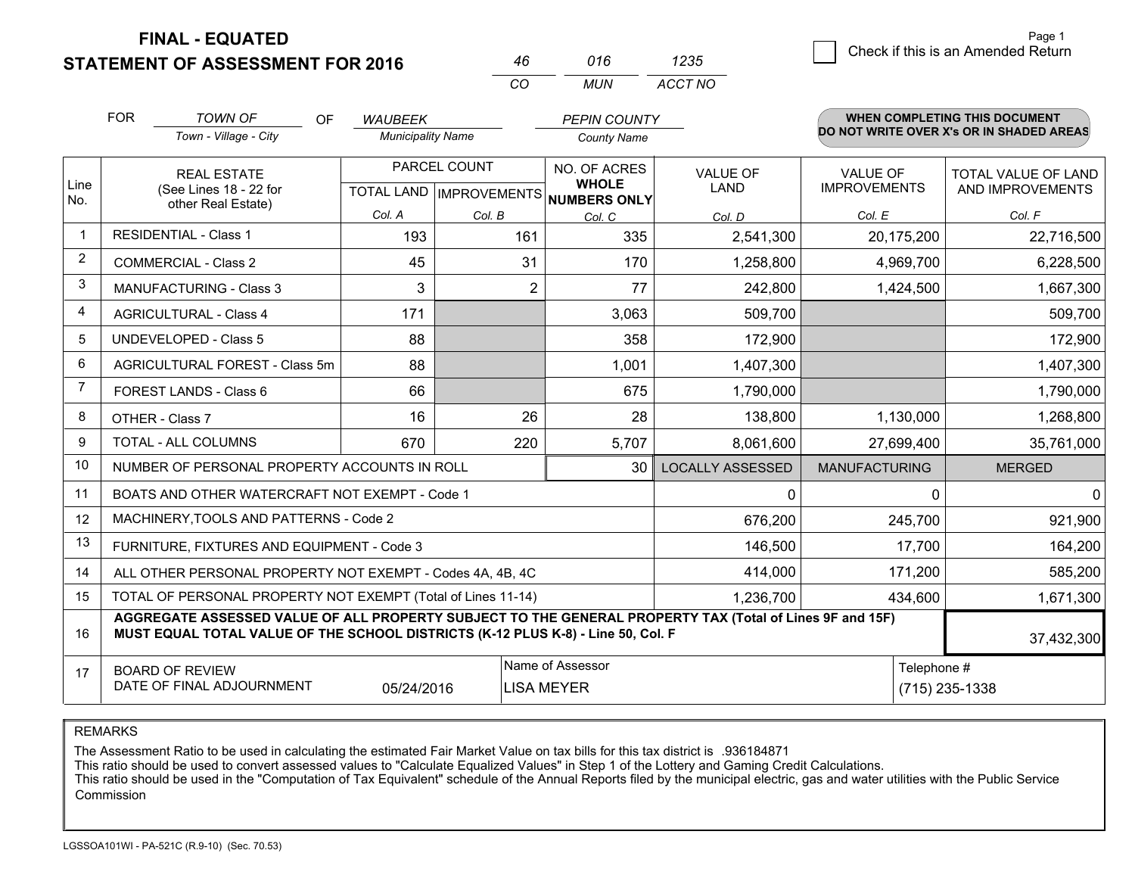**STATEMENT OF ASSESSMENT FOR 2016 FINAL - EQUATED**

 $\overline{5}$  Check if this is an Amended Return Page 1

|                | <b>FOR</b>                                                                                                                | <b>TOWN OF</b><br><b>OF</b><br>Town - Village - City                                                                                                                                         | <b>WAUBEEK</b><br><b>Municipality Name</b> |                                | <b>PEPIN COUNTY</b><br><b>County Name</b> |                                         |                      | WHEN COMPLETING THIS DOCUMENT<br>DO NOT WRITE OVER X's OR IN SHADED AREAS |
|----------------|---------------------------------------------------------------------------------------------------------------------------|----------------------------------------------------------------------------------------------------------------------------------------------------------------------------------------------|--------------------------------------------|--------------------------------|-------------------------------------------|-----------------------------------------|----------------------|---------------------------------------------------------------------------|
| Line<br>No.    | PARCEL COUNT<br><b>REAL ESTATE</b><br>(See Lines 18 - 22 for<br>TOTAL LAND   IMPROVEMENTS   NUMBERS ONLY                  |                                                                                                                                                                                              | NO. OF ACRES<br><b>WHOLE</b>               | <b>VALUE OF</b><br><b>LAND</b> | <b>VALUE OF</b><br><b>IMPROVEMENTS</b>    | TOTAL VALUE OF LAND<br>AND IMPROVEMENTS |                      |                                                                           |
|                |                                                                                                                           | other Real Estate)                                                                                                                                                                           | Col. A                                     | Col. B                         | Col. C                                    | Col. D                                  | Col. E               | Col. F                                                                    |
|                |                                                                                                                           | <b>RESIDENTIAL - Class 1</b>                                                                                                                                                                 | 193                                        | 161                            | 335                                       | 2,541,300                               | 20,175,200           | 22,716,500                                                                |
| $\overline{2}$ |                                                                                                                           | <b>COMMERCIAL - Class 2</b>                                                                                                                                                                  | 45                                         | 31                             | 170                                       | 1,258,800                               | 4,969,700            | 6,228,500                                                                 |
| 3              |                                                                                                                           | <b>MANUFACTURING - Class 3</b>                                                                                                                                                               | 3                                          |                                | $\overline{2}$<br>77                      | 242,800                                 | 1,424,500            | 1,667,300                                                                 |
| 4              |                                                                                                                           | <b>AGRICULTURAL - Class 4</b>                                                                                                                                                                | 171                                        |                                | 3,063                                     | 509,700                                 |                      | 509,700                                                                   |
| 5              |                                                                                                                           | <b>UNDEVELOPED - Class 5</b>                                                                                                                                                                 | 88                                         |                                | 358                                       | 172,900                                 |                      | 172,900                                                                   |
| 6              |                                                                                                                           | AGRICULTURAL FOREST - Class 5m                                                                                                                                                               | 88                                         |                                | 1,001                                     | 1,407,300                               |                      | 1,407,300                                                                 |
| 7              |                                                                                                                           | FOREST LANDS - Class 6                                                                                                                                                                       | 66                                         |                                | 675                                       | 1,790,000                               |                      | 1,790,000                                                                 |
| 8              |                                                                                                                           | OTHER - Class 7                                                                                                                                                                              | 16                                         | 26                             | 28                                        | 138,800                                 | 1,130,000            | 1,268,800                                                                 |
| 9              |                                                                                                                           | TOTAL - ALL COLUMNS                                                                                                                                                                          | 670                                        | 220                            | 5,707                                     | 8,061,600                               | 27,699,400           | 35,761,000                                                                |
| 10             |                                                                                                                           | NUMBER OF PERSONAL PROPERTY ACCOUNTS IN ROLL                                                                                                                                                 |                                            |                                | 30                                        | <b>LOCALLY ASSESSED</b>                 | <b>MANUFACTURING</b> | <b>MERGED</b>                                                             |
| 11             |                                                                                                                           | BOATS AND OTHER WATERCRAFT NOT EXEMPT - Code 1                                                                                                                                               |                                            |                                |                                           | $\Omega$                                | $\Omega$             | $\Omega$                                                                  |
| 12             |                                                                                                                           | MACHINERY, TOOLS AND PATTERNS - Code 2                                                                                                                                                       |                                            |                                |                                           | 676,200                                 | 245,700              | 921,900                                                                   |
| 13             |                                                                                                                           | FURNITURE, FIXTURES AND EQUIPMENT - Code 3                                                                                                                                                   |                                            |                                |                                           | 146,500                                 | 17,700               | 164,200                                                                   |
| 14             |                                                                                                                           | ALL OTHER PERSONAL PROPERTY NOT EXEMPT - Codes 4A, 4B, 4C                                                                                                                                    |                                            |                                |                                           | 414,000                                 | 171,200              | 585,200                                                                   |
| 15             |                                                                                                                           | TOTAL OF PERSONAL PROPERTY NOT EXEMPT (Total of Lines 11-14)                                                                                                                                 |                                            |                                |                                           | 1,236,700                               | 434,600              | 1,671,300                                                                 |
| 16             |                                                                                                                           | AGGREGATE ASSESSED VALUE OF ALL PROPERTY SUBJECT TO THE GENERAL PROPERTY TAX (Total of Lines 9F and 15F)<br>MUST EQUAL TOTAL VALUE OF THE SCHOOL DISTRICTS (K-12 PLUS K-8) - Line 50, Col. F |                                            |                                |                                           |                                         |                      | 37,432,300                                                                |
| 17             | Name of Assessor<br>Telephone #<br><b>BOARD OF REVIEW</b><br>DATE OF FINAL ADJOURNMENT<br>05/24/2016<br><b>LISA MEYER</b> |                                                                                                                                                                                              |                                            |                                |                                           |                                         | (715) 235-1338       |                                                                           |

*CO*

*MUN*

*ACCT NO1235*

*<sup>46</sup> <sup>016</sup>*

REMARKS

The Assessment Ratio to be used in calculating the estimated Fair Market Value on tax bills for this tax district is .936184871<br>This ratio should be used to convert assessed values to "Calculate Equalized Values" in Step 1 Commission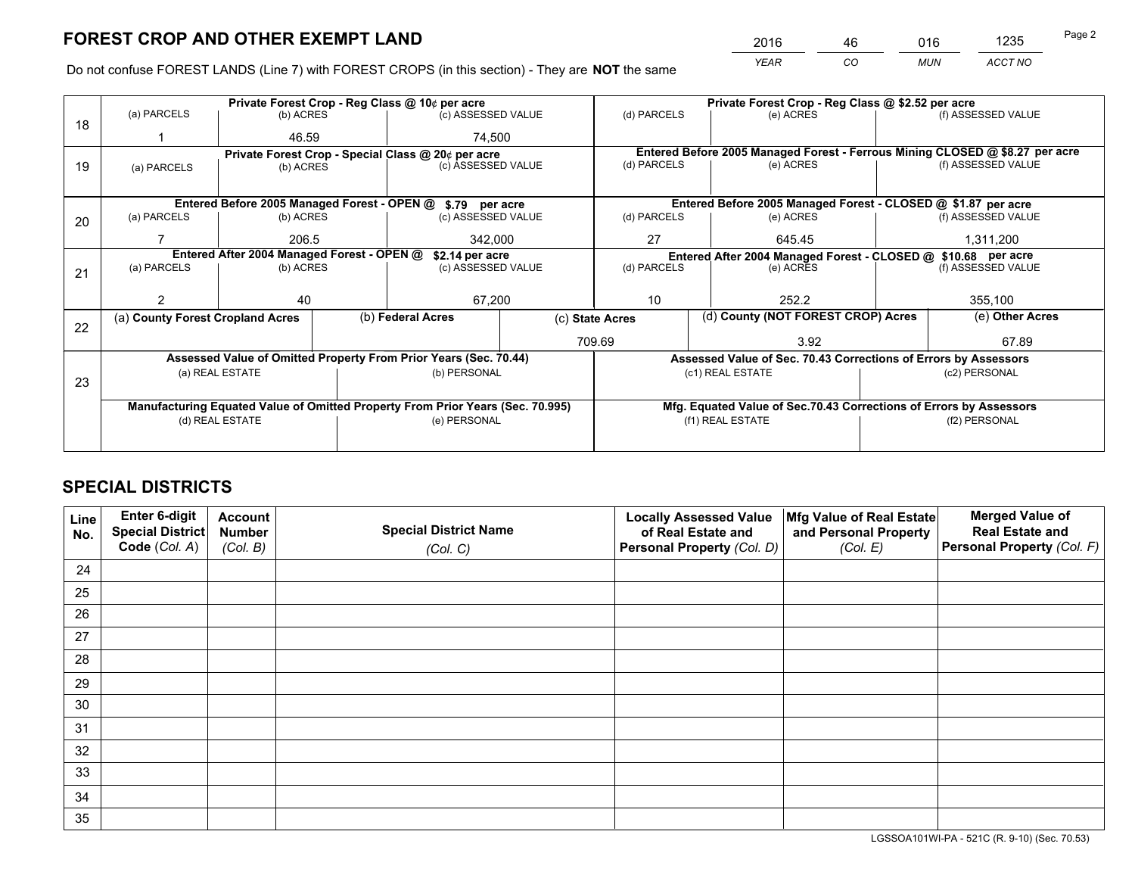*YEAR CO MUN ACCT NO* <sup>2016</sup> <sup>46</sup> <sup>016</sup> <sup>1235</sup>

Do not confuse FOREST LANDS (Line 7) with FOREST CROPS (in this section) - They are **NOT** the same

|    |                                                               |                                 |  | Private Forest Crop - Reg Class @ 10¢ per acre                                 |             |                                                               | Private Forest Crop - Reg Class @ \$2.52 per acre                            |                    |                    |  |
|----|---------------------------------------------------------------|---------------------------------|--|--------------------------------------------------------------------------------|-------------|---------------------------------------------------------------|------------------------------------------------------------------------------|--------------------|--------------------|--|
| 18 | (a) PARCELS                                                   | (b) ACRES                       |  | (c) ASSESSED VALUE                                                             |             | (d) PARCELS                                                   | (e) ACRES                                                                    |                    | (f) ASSESSED VALUE |  |
|    |                                                               | 46.59                           |  | 74.500                                                                         |             |                                                               |                                                                              |                    |                    |  |
|    | Private Forest Crop - Special Class @ 20¢ per acre            |                                 |  |                                                                                |             |                                                               | Entered Before 2005 Managed Forest - Ferrous Mining CLOSED @ \$8.27 per acre |                    |                    |  |
| 19 | (a) PARCELS                                                   | (c) ASSESSED VALUE<br>(b) ACRES |  |                                                                                | (d) PARCELS | (e) ACRES                                                     |                                                                              | (f) ASSESSED VALUE |                    |  |
|    |                                                               |                                 |  |                                                                                |             |                                                               |                                                                              |                    |                    |  |
|    |                                                               |                                 |  | Entered Before 2005 Managed Forest - OPEN @ \$.79 per acre                     |             | Entered Before 2005 Managed Forest - CLOSED @ \$1.87 per acre |                                                                              |                    |                    |  |
| 20 | (a) PARCELS                                                   | (b) ACRES                       |  | (c) ASSESSED VALUE                                                             |             | (d) PARCELS                                                   | (e) ACRES                                                                    |                    | (f) ASSESSED VALUE |  |
|    |                                                               | 206.5                           |  | 342.000                                                                        |             | 27<br>645.45                                                  |                                                                              |                    | 1,311,200          |  |
|    | Entered After 2004 Managed Forest - OPEN @<br>\$2.14 per acre |                                 |  |                                                                                |             |                                                               | Entered After 2004 Managed Forest - CLOSED @ \$10.68 per acre                |                    |                    |  |
| 21 | (a) PARCELS                                                   | (b) ACRES                       |  | (c) ASSESSED VALUE                                                             | (d) PARCELS |                                                               | (e) ACRES                                                                    |                    | (f) ASSESSED VALUE |  |
|    |                                                               |                                 |  |                                                                                |             |                                                               |                                                                              |                    |                    |  |
|    | 2                                                             | 40                              |  | 67,200                                                                         |             | 10                                                            | 252.2                                                                        |                    | 355,100            |  |
| 22 | (a) County Forest Cropland Acres                              |                                 |  | (b) Federal Acres                                                              |             | (d) County (NOT FOREST CROP) Acres<br>(c) State Acres         |                                                                              |                    | (e) Other Acres    |  |
|    |                                                               |                                 |  |                                                                                |             | 709.69                                                        | 3.92                                                                         |                    | 67.89              |  |
|    |                                                               |                                 |  | Assessed Value of Omitted Property From Prior Years (Sec. 70.44)               |             |                                                               | Assessed Value of Sec. 70.43 Corrections of Errors by Assessors              |                    |                    |  |
|    |                                                               | (a) REAL ESTATE                 |  | (b) PERSONAL                                                                   |             |                                                               | (c1) REAL ESTATE                                                             |                    | (c2) PERSONAL      |  |
| 23 |                                                               |                                 |  |                                                                                |             |                                                               |                                                                              |                    |                    |  |
|    |                                                               |                                 |  | Manufacturing Equated Value of Omitted Property From Prior Years (Sec. 70.995) |             |                                                               | Mfg. Equated Value of Sec.70.43 Corrections of Errors by Assessors           |                    |                    |  |
|    |                                                               | (d) REAL ESTATE                 |  | (e) PERSONAL                                                                   |             | (f1) REAL ESTATE                                              |                                                                              | (f2) PERSONAL      |                    |  |
|    |                                                               |                                 |  |                                                                                |             |                                                               |                                                                              |                    |                    |  |

## **SPECIAL DISTRICTS**

| Line<br>No. | Enter 6-digit<br>Special District<br>Code (Col. A) | <b>Account</b><br><b>Number</b> | <b>Special District Name</b> | <b>Locally Assessed Value</b><br>of Real Estate and | Mfg Value of Real Estate<br>and Personal Property | <b>Merged Value of</b><br><b>Real Estate and</b><br>Personal Property (Col. F) |
|-------------|----------------------------------------------------|---------------------------------|------------------------------|-----------------------------------------------------|---------------------------------------------------|--------------------------------------------------------------------------------|
|             |                                                    | (Col. B)                        | (Col. C)                     | Personal Property (Col. D)                          | (Col. E)                                          |                                                                                |
| 24          |                                                    |                                 |                              |                                                     |                                                   |                                                                                |
| 25          |                                                    |                                 |                              |                                                     |                                                   |                                                                                |
| 26          |                                                    |                                 |                              |                                                     |                                                   |                                                                                |
| 27          |                                                    |                                 |                              |                                                     |                                                   |                                                                                |
| 28          |                                                    |                                 |                              |                                                     |                                                   |                                                                                |
| 29          |                                                    |                                 |                              |                                                     |                                                   |                                                                                |
| 30          |                                                    |                                 |                              |                                                     |                                                   |                                                                                |
| 31          |                                                    |                                 |                              |                                                     |                                                   |                                                                                |
| 32          |                                                    |                                 |                              |                                                     |                                                   |                                                                                |
| 33          |                                                    |                                 |                              |                                                     |                                                   |                                                                                |
| 34          |                                                    |                                 |                              |                                                     |                                                   |                                                                                |
| 35          |                                                    |                                 |                              |                                                     |                                                   |                                                                                |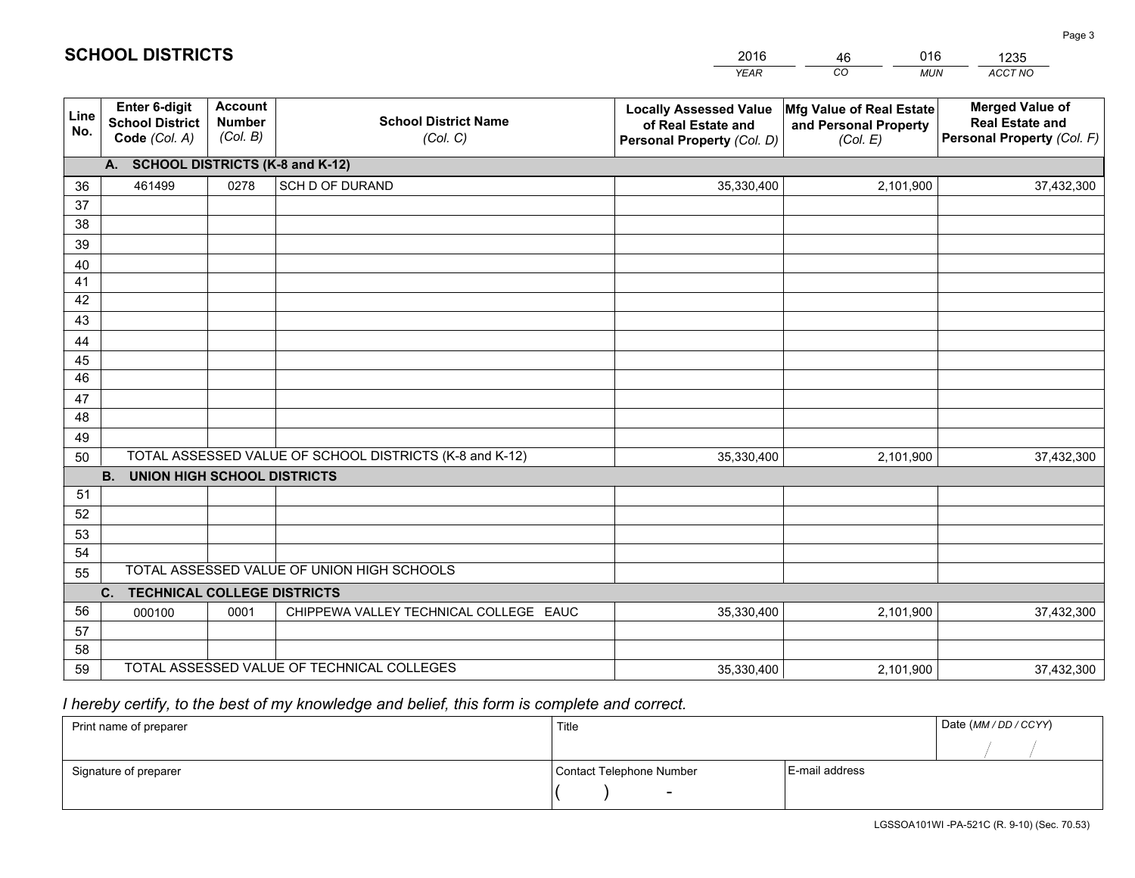|             |                                                                 |                                             |                                                         | <b>YEAR</b>                                                                       | CO<br><b>MUN</b>                                              | ACCT NO                                                                        |  |  |  |  |  |
|-------------|-----------------------------------------------------------------|---------------------------------------------|---------------------------------------------------------|-----------------------------------------------------------------------------------|---------------------------------------------------------------|--------------------------------------------------------------------------------|--|--|--|--|--|
| Line<br>No. | <b>Enter 6-digit</b><br><b>School District</b><br>Code (Col. A) | <b>Account</b><br><b>Number</b><br>(Col. B) | <b>School District Name</b><br>(Col. C)                 | <b>Locally Assessed Value</b><br>of Real Estate and<br>Personal Property (Col. D) | Mfg Value of Real Estate<br>and Personal Property<br>(Col. E) | <b>Merged Value of</b><br><b>Real Estate and</b><br>Personal Property (Col. F) |  |  |  |  |  |
|             | A. SCHOOL DISTRICTS (K-8 and K-12)                              |                                             |                                                         |                                                                                   |                                                               |                                                                                |  |  |  |  |  |
| 36          | 461499                                                          | 0278                                        | SCH D OF DURAND                                         | 35,330,400                                                                        | 2,101,900                                                     | 37,432,300                                                                     |  |  |  |  |  |
| 37          |                                                                 |                                             |                                                         |                                                                                   |                                                               |                                                                                |  |  |  |  |  |
| 38          |                                                                 |                                             |                                                         |                                                                                   |                                                               |                                                                                |  |  |  |  |  |
| 39          |                                                                 |                                             |                                                         |                                                                                   |                                                               |                                                                                |  |  |  |  |  |
| 40          |                                                                 |                                             |                                                         |                                                                                   |                                                               |                                                                                |  |  |  |  |  |
| 41<br>42    |                                                                 |                                             |                                                         |                                                                                   |                                                               |                                                                                |  |  |  |  |  |
| 43          |                                                                 |                                             |                                                         |                                                                                   |                                                               |                                                                                |  |  |  |  |  |
|             |                                                                 |                                             |                                                         |                                                                                   |                                                               |                                                                                |  |  |  |  |  |
| 44<br>45    |                                                                 |                                             |                                                         |                                                                                   |                                                               |                                                                                |  |  |  |  |  |
| 46          |                                                                 |                                             |                                                         |                                                                                   |                                                               |                                                                                |  |  |  |  |  |
| 47          |                                                                 |                                             |                                                         |                                                                                   |                                                               |                                                                                |  |  |  |  |  |
| 48          |                                                                 |                                             |                                                         |                                                                                   |                                                               |                                                                                |  |  |  |  |  |
| 49          |                                                                 |                                             |                                                         |                                                                                   |                                                               |                                                                                |  |  |  |  |  |
| 50          |                                                                 |                                             | TOTAL ASSESSED VALUE OF SCHOOL DISTRICTS (K-8 and K-12) | 35,330,400                                                                        | 2,101,900                                                     | 37,432,300                                                                     |  |  |  |  |  |
|             | <b>B.</b><br>UNION HIGH SCHOOL DISTRICTS                        |                                             |                                                         |                                                                                   |                                                               |                                                                                |  |  |  |  |  |
| 51          |                                                                 |                                             |                                                         |                                                                                   |                                                               |                                                                                |  |  |  |  |  |
| 52          |                                                                 |                                             |                                                         |                                                                                   |                                                               |                                                                                |  |  |  |  |  |
| 53          |                                                                 |                                             |                                                         |                                                                                   |                                                               |                                                                                |  |  |  |  |  |
| 54          |                                                                 |                                             |                                                         |                                                                                   |                                                               |                                                                                |  |  |  |  |  |
| 55          |                                                                 |                                             | TOTAL ASSESSED VALUE OF UNION HIGH SCHOOLS              |                                                                                   |                                                               |                                                                                |  |  |  |  |  |
|             | C.<br><b>TECHNICAL COLLEGE DISTRICTS</b>                        |                                             |                                                         |                                                                                   |                                                               |                                                                                |  |  |  |  |  |
| 56          | 000100                                                          | 0001                                        | CHIPPEWA VALLEY TECHNICAL COLLEGE EAUC                  | 35,330,400                                                                        | 2,101,900                                                     | 37,432,300                                                                     |  |  |  |  |  |
| 57<br>58    |                                                                 |                                             |                                                         |                                                                                   |                                                               |                                                                                |  |  |  |  |  |
| 59          |                                                                 |                                             | TOTAL ASSESSED VALUE OF TECHNICAL COLLEGES              | 35,330,400                                                                        | 2,101,900                                                     | 37,432,300                                                                     |  |  |  |  |  |
|             |                                                                 |                                             |                                                         |                                                                                   |                                                               |                                                                                |  |  |  |  |  |

46

016

 *I hereby certify, to the best of my knowledge and belief, this form is complete and correct.*

**SCHOOL DISTRICTS**

| Print name of preparer | Title                    |                | Date (MM / DD / CCYY) |
|------------------------|--------------------------|----------------|-----------------------|
|                        |                          |                |                       |
| Signature of preparer  | Contact Telephone Number | E-mail address |                       |
|                        | $\overline{\phantom{0}}$ |                |                       |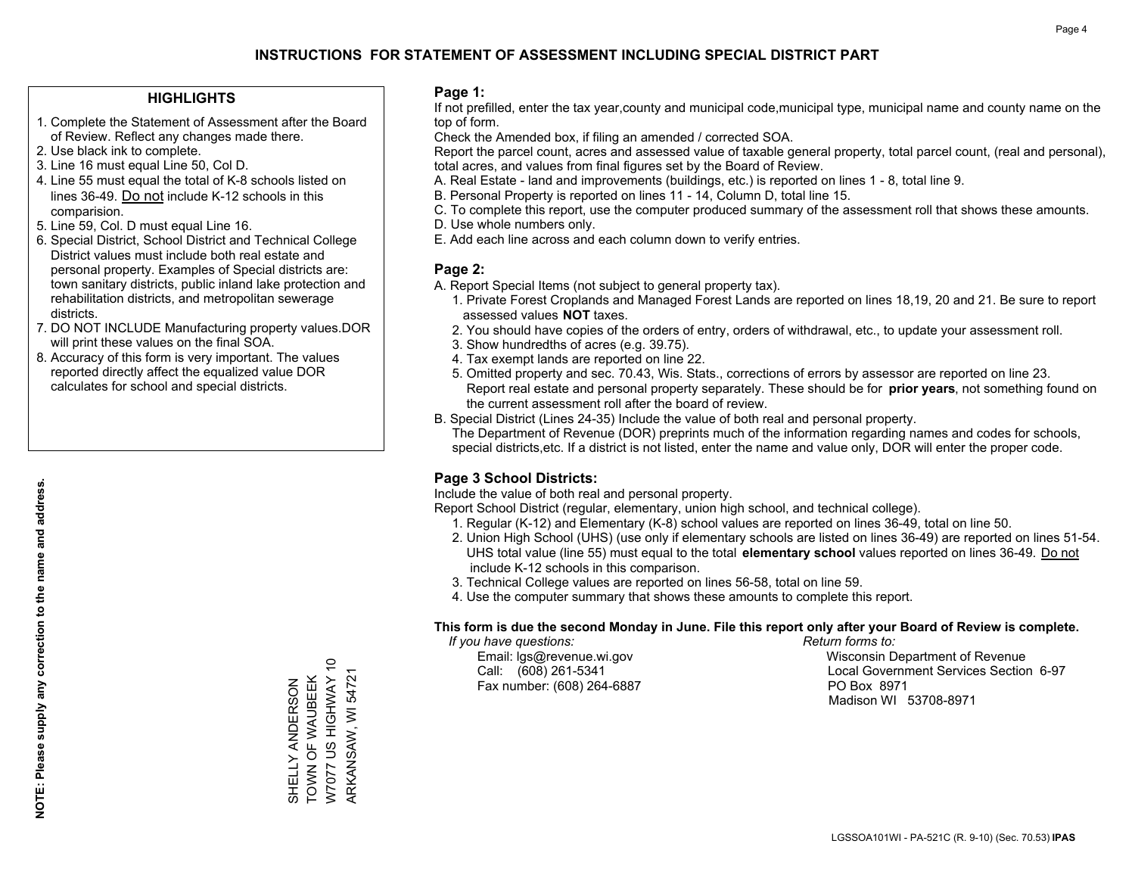## **HIGHLIGHTS**

- 1. Complete the Statement of Assessment after the Board of Review. Reflect any changes made there.
- 2. Use black ink to complete.
- 3. Line 16 must equal Line 50, Col D.
- 4. Line 55 must equal the total of K-8 schools listed on lines 36-49. Do not include K-12 schools in this comparision.
- 5. Line 59, Col. D must equal Line 16.
- 6. Special District, School District and Technical College District values must include both real estate and personal property. Examples of Special districts are: town sanitary districts, public inland lake protection and rehabilitation districts, and metropolitan sewerage districts.
- 7. DO NOT INCLUDE Manufacturing property values.DOR will print these values on the final SOA.

SHELLY ANDERSON TOWN OF WAUBEEK W7077 US HIGHWAY 10 ARKANSAW, WI 54721

SHELLY ANDERSON<br>TOWN OF WAUBEEK<br>W7077 US HIGHWAY 10

ARKANSAW, WI 54721

 8. Accuracy of this form is very important. The values reported directly affect the equalized value DOR calculates for school and special districts.

### **Page 1:**

 If not prefilled, enter the tax year,county and municipal code,municipal type, municipal name and county name on the top of form.

Check the Amended box, if filing an amended / corrected SOA.

 Report the parcel count, acres and assessed value of taxable general property, total parcel count, (real and personal), total acres, and values from final figures set by the Board of Review.

- A. Real Estate land and improvements (buildings, etc.) is reported on lines 1 8, total line 9.
- B. Personal Property is reported on lines 11 14, Column D, total line 15.
- C. To complete this report, use the computer produced summary of the assessment roll that shows these amounts.
- D. Use whole numbers only.
- E. Add each line across and each column down to verify entries.

## **Page 2:**

- A. Report Special Items (not subject to general property tax).
- 1. Private Forest Croplands and Managed Forest Lands are reported on lines 18,19, 20 and 21. Be sure to report assessed values **NOT** taxes.
- 2. You should have copies of the orders of entry, orders of withdrawal, etc., to update your assessment roll.
	- 3. Show hundredths of acres (e.g. 39.75).
- 4. Tax exempt lands are reported on line 22.
- 5. Omitted property and sec. 70.43, Wis. Stats., corrections of errors by assessor are reported on line 23. Report real estate and personal property separately. These should be for **prior years**, not something found on the current assessment roll after the board of review.
- B. Special District (Lines 24-35) Include the value of both real and personal property.
- The Department of Revenue (DOR) preprints much of the information regarding names and codes for schools, special districts,etc. If a district is not listed, enter the name and value only, DOR will enter the proper code.

## **Page 3 School Districts:**

Include the value of both real and personal property.

Report School District (regular, elementary, union high school, and technical college).

- 1. Regular (K-12) and Elementary (K-8) school values are reported on lines 36-49, total on line 50.
- 2. Union High School (UHS) (use only if elementary schools are listed on lines 36-49) are reported on lines 51-54. UHS total value (line 55) must equal to the total **elementary school** values reported on lines 36-49. Do notinclude K-12 schools in this comparison.
- 3. Technical College values are reported on lines 56-58, total on line 59.
- 4. Use the computer summary that shows these amounts to complete this report.

### **This form is due the second Monday in June. File this report only after your Board of Review is complete.**

 *If you have questions: Return forms to:*

Fax number: (608) 264-6887 PO Box 8971

 Email: lgs@revenue.wi.gov Wisconsin Department of Revenue Call: (608) 261-5341 Local Government Services Section 6-97Madison WI 53708-8971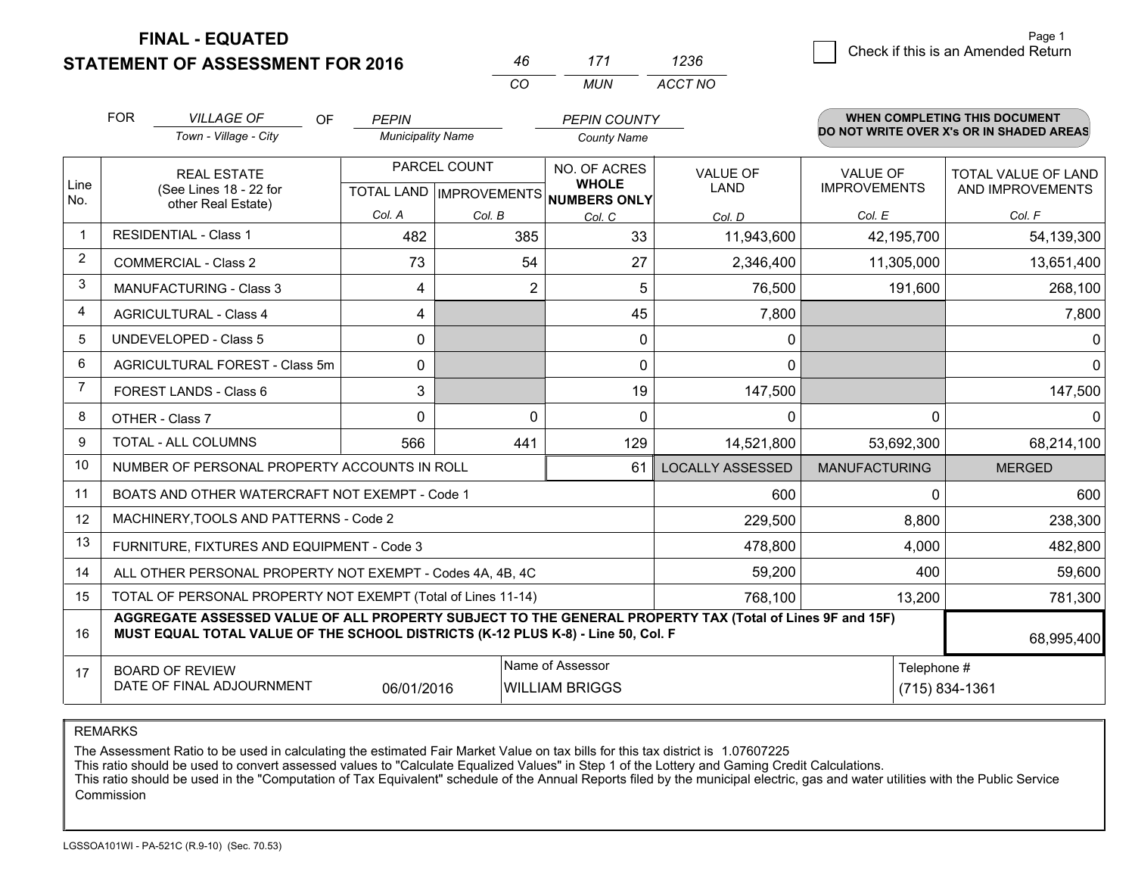**STATEMENT OF ASSESSMENT FOR 2016** 

**FINAL - EQUATED**

 $\overline{6}$  Check if this is an Amended Return Page 1

|                | <b>FOR</b>                                                                         | <b>VILLAGE OF</b><br><b>OF</b>                                                                                                                                                               | <b>PEPIN</b>             |              | <b>PEPIN COUNTY</b>                                  |                         |                      | WHEN COMPLETING THIS DOCUMENT            |
|----------------|------------------------------------------------------------------------------------|----------------------------------------------------------------------------------------------------------------------------------------------------------------------------------------------|--------------------------|--------------|------------------------------------------------------|-------------------------|----------------------|------------------------------------------|
|                |                                                                                    | Town - Village - City                                                                                                                                                                        | <b>Municipality Name</b> |              | <b>County Name</b>                                   |                         |                      | DO NOT WRITE OVER X's OR IN SHADED AREAS |
|                |                                                                                    | <b>REAL ESTATE</b>                                                                                                                                                                           |                          | PARCEL COUNT | NO. OF ACRES                                         | <b>VALUE OF</b>         | <b>VALUE OF</b>      | TOTAL VALUE OF LAND                      |
| Line<br>No.    |                                                                                    | (See Lines 18 - 22 for<br>other Real Estate)                                                                                                                                                 |                          |              | <b>WHOLE</b><br>TOTAL LAND IMPROVEMENTS NUMBERS ONLY | <b>LAND</b>             | <b>IMPROVEMENTS</b>  | AND IMPROVEMENTS                         |
|                |                                                                                    |                                                                                                                                                                                              | Col. A                   | Col. B       | Col. C                                               | Col. D                  | Col. E               | Col. F                                   |
| $\mathbf 1$    |                                                                                    | <b>RESIDENTIAL - Class 1</b>                                                                                                                                                                 | 482                      | 385          | 33                                                   | 11,943,600              | 42,195,700           | 54,139,300                               |
| $\overline{2}$ |                                                                                    | <b>COMMERCIAL - Class 2</b>                                                                                                                                                                  | 73                       | 54           | 27                                                   | 2,346,400               | 11,305,000           | 13,651,400                               |
| 3              |                                                                                    | <b>MANUFACTURING - Class 3</b>                                                                                                                                                               | 4                        |              | $\overline{2}$<br>5                                  | 76,500                  | 191,600              | 268,100                                  |
| 4              |                                                                                    | <b>AGRICULTURAL - Class 4</b>                                                                                                                                                                | 4                        |              | 45                                                   | 7,800                   |                      | 7,800                                    |
| 5              |                                                                                    | <b>UNDEVELOPED - Class 5</b>                                                                                                                                                                 | 0                        |              | 0                                                    | 0                       |                      | 0                                        |
| 6              |                                                                                    | AGRICULTURAL FOREST - Class 5m                                                                                                                                                               | 0                        |              | 0                                                    | 0                       |                      | 0                                        |
| $\overline{7}$ |                                                                                    | FOREST LANDS - Class 6                                                                                                                                                                       | 3                        |              | 19                                                   | 147,500                 |                      | 147,500                                  |
| 8              |                                                                                    | OTHER - Class 7                                                                                                                                                                              | $\Omega$                 |              | 0<br>0                                               | $\Omega$                | $\Omega$             |                                          |
| 9              |                                                                                    | TOTAL - ALL COLUMNS                                                                                                                                                                          | 566                      | 441          | 129                                                  | 14,521,800              | 53,692,300           | 68,214,100                               |
| 10             |                                                                                    | NUMBER OF PERSONAL PROPERTY ACCOUNTS IN ROLL                                                                                                                                                 |                          |              | 61                                                   | <b>LOCALLY ASSESSED</b> | <b>MANUFACTURING</b> | <b>MERGED</b>                            |
| 11             |                                                                                    | BOATS AND OTHER WATERCRAFT NOT EXEMPT - Code 1                                                                                                                                               |                          |              |                                                      | 600                     | $\Omega$             | 600                                      |
| 12             |                                                                                    | MACHINERY, TOOLS AND PATTERNS - Code 2                                                                                                                                                       |                          |              |                                                      | 229,500                 | 8,800                | 238,300                                  |
| 13             |                                                                                    | FURNITURE, FIXTURES AND EQUIPMENT - Code 3                                                                                                                                                   |                          |              |                                                      | 478,800                 | 4,000                | 482,800                                  |
| 14             |                                                                                    | ALL OTHER PERSONAL PROPERTY NOT EXEMPT - Codes 4A, 4B, 4C                                                                                                                                    |                          |              |                                                      | 59,200                  | 400                  | 59,600                                   |
| 15             |                                                                                    | TOTAL OF PERSONAL PROPERTY NOT EXEMPT (Total of Lines 11-14)                                                                                                                                 |                          |              |                                                      | 768,100                 | 13,200               | 781,300                                  |
| 16             |                                                                                    | AGGREGATE ASSESSED VALUE OF ALL PROPERTY SUBJECT TO THE GENERAL PROPERTY TAX (Total of Lines 9F and 15F)<br>MUST EQUAL TOTAL VALUE OF THE SCHOOL DISTRICTS (K-12 PLUS K-8) - Line 50, Col. F |                          |              |                                                      |                         |                      | 68,995,400                               |
| 17             |                                                                                    | <b>BOARD OF REVIEW</b>                                                                                                                                                                       |                          |              | Name of Assessor                                     | Telephone #             |                      |                                          |
|                | DATE OF FINAL ADJOURNMENT<br><b>WILLIAM BRIGGS</b><br>(715) 834-1361<br>06/01/2016 |                                                                                                                                                                                              |                          |              |                                                      |                         |                      |                                          |

*CO*

*MUN*

*ACCT NO1236*

*<sup>46</sup> <sup>171</sup>*

REMARKS

The Assessment Ratio to be used in calculating the estimated Fair Market Value on tax bills for this tax district is 1.07607225<br>This ratio should be used to convert assessed values to "Calculate Equalized Values" in Step 1 Commission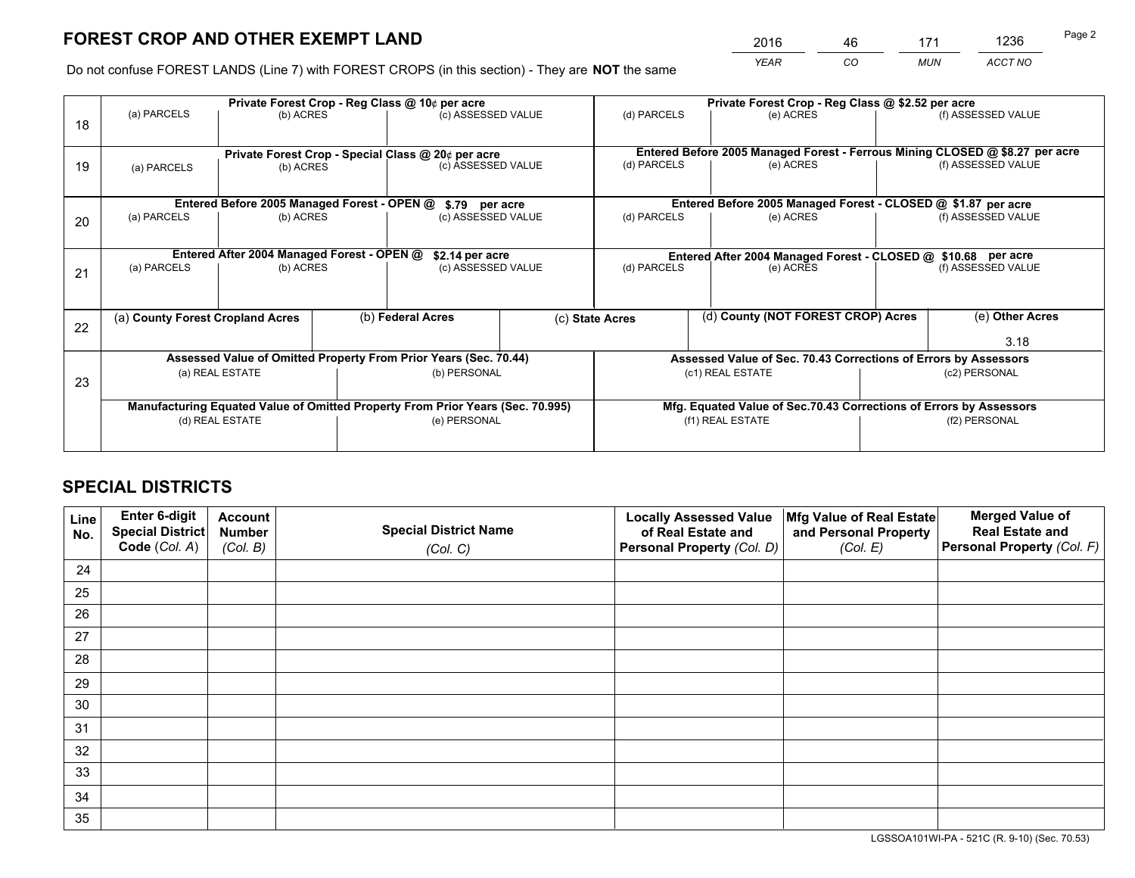*YEAR CO MUN ACCT NO* <sup>2016</sup> <sup>46</sup> <sup>171</sup> <sup>1236</sup>

Do not confuse FOREST LANDS (Line 7) with FOREST CROPS (in this section) - They are **NOT** the same

|    |                                                                        | Private Forest Crop - Reg Class @ 10¢ per acre                                 |  |                                                    |                    | Private Forest Crop - Reg Class @ \$2.52 per acre                            |                                                                            |  |                    |  |
|----|------------------------------------------------------------------------|--------------------------------------------------------------------------------|--|----------------------------------------------------|--------------------|------------------------------------------------------------------------------|----------------------------------------------------------------------------|--|--------------------|--|
| 18 | (a) PARCELS                                                            | (b) ACRES                                                                      |  | (c) ASSESSED VALUE                                 |                    | (d) PARCELS                                                                  | (e) ACRES                                                                  |  | (f) ASSESSED VALUE |  |
|    |                                                                        |                                                                                |  | Private Forest Crop - Special Class @ 20¢ per acre |                    | Entered Before 2005 Managed Forest - Ferrous Mining CLOSED @ \$8.27 per acre |                                                                            |  |                    |  |
| 19 | (a) PARCELS                                                            | (b) ACRES                                                                      |  |                                                    | (c) ASSESSED VALUE |                                                                              | (e) ACRES                                                                  |  | (f) ASSESSED VALUE |  |
|    |                                                                        | Entered Before 2005 Managed Forest - OPEN @                                    |  |                                                    |                    |                                                                              | Entered Before 2005 Managed Forest - CLOSED @ \$1.87 per acre              |  |                    |  |
| 20 | (a) PARCELS<br>(b) ACRES                                               |                                                                                |  | \$.79 per acre<br>(c) ASSESSED VALUE               |                    | (d) PARCELS<br>(e) ACRES                                                     |                                                                            |  | (f) ASSESSED VALUE |  |
|    |                                                                        |                                                                                |  | \$2.14 per acre                                    |                    |                                                                              |                                                                            |  |                    |  |
| 21 | Entered After 2004 Managed Forest - OPEN @<br>(a) PARCELS<br>(b) ACRES |                                                                                |  | (c) ASSESSED VALUE                                 |                    | (d) PARCELS                                                                  | Entered After 2004 Managed Forest - CLOSED @ \$10.68 per acre<br>(e) ACRES |  |                    |  |
|    |                                                                        |                                                                                |  |                                                    |                    |                                                                              |                                                                            |  |                    |  |
| 22 |                                                                        | (a) County Forest Cropland Acres                                               |  | (b) Federal Acres                                  |                    | (d) County (NOT FOREST CROP) Acres<br>(c) State Acres                        |                                                                            |  | (e) Other Acres    |  |
|    |                                                                        |                                                                                |  |                                                    |                    |                                                                              |                                                                            |  | 3.18               |  |
|    |                                                                        | Assessed Value of Omitted Property From Prior Years (Sec. 70.44)               |  |                                                    |                    |                                                                              | Assessed Value of Sec. 70.43 Corrections of Errors by Assessors            |  |                    |  |
| 23 |                                                                        | (a) REAL ESTATE                                                                |  | (b) PERSONAL                                       |                    | (c1) REAL ESTATE                                                             |                                                                            |  | (c2) PERSONAL      |  |
|    |                                                                        | Manufacturing Equated Value of Omitted Property From Prior Years (Sec. 70.995) |  |                                                    |                    |                                                                              | Mfg. Equated Value of Sec.70.43 Corrections of Errors by Assessors         |  |                    |  |
|    |                                                                        | (d) REAL ESTATE                                                                |  | (e) PERSONAL                                       |                    |                                                                              | (f1) REAL ESTATE                                                           |  | (f2) PERSONAL      |  |
|    |                                                                        |                                                                                |  |                                                    |                    |                                                                              |                                                                            |  |                    |  |

## **SPECIAL DISTRICTS**

| Line<br>No. | Enter 6-digit<br><b>Special District</b> | <b>Account</b><br><b>Number</b> | <b>Special District Name</b> | <b>Locally Assessed Value</b><br>of Real Estate and | Mfg Value of Real Estate<br>and Personal Property | <b>Merged Value of</b><br><b>Real Estate and</b> |
|-------------|------------------------------------------|---------------------------------|------------------------------|-----------------------------------------------------|---------------------------------------------------|--------------------------------------------------|
|             | Code (Col. A)                            | (Col. B)                        | (Col. C)                     | Personal Property (Col. D)                          | (Col. E)                                          | Personal Property (Col. F)                       |
| 24          |                                          |                                 |                              |                                                     |                                                   |                                                  |
| 25          |                                          |                                 |                              |                                                     |                                                   |                                                  |
| 26          |                                          |                                 |                              |                                                     |                                                   |                                                  |
| 27          |                                          |                                 |                              |                                                     |                                                   |                                                  |
| 28          |                                          |                                 |                              |                                                     |                                                   |                                                  |
| 29          |                                          |                                 |                              |                                                     |                                                   |                                                  |
| 30          |                                          |                                 |                              |                                                     |                                                   |                                                  |
| 31          |                                          |                                 |                              |                                                     |                                                   |                                                  |
| 32          |                                          |                                 |                              |                                                     |                                                   |                                                  |
| 33          |                                          |                                 |                              |                                                     |                                                   |                                                  |
| 34          |                                          |                                 |                              |                                                     |                                                   |                                                  |
| 35          |                                          |                                 |                              |                                                     |                                                   |                                                  |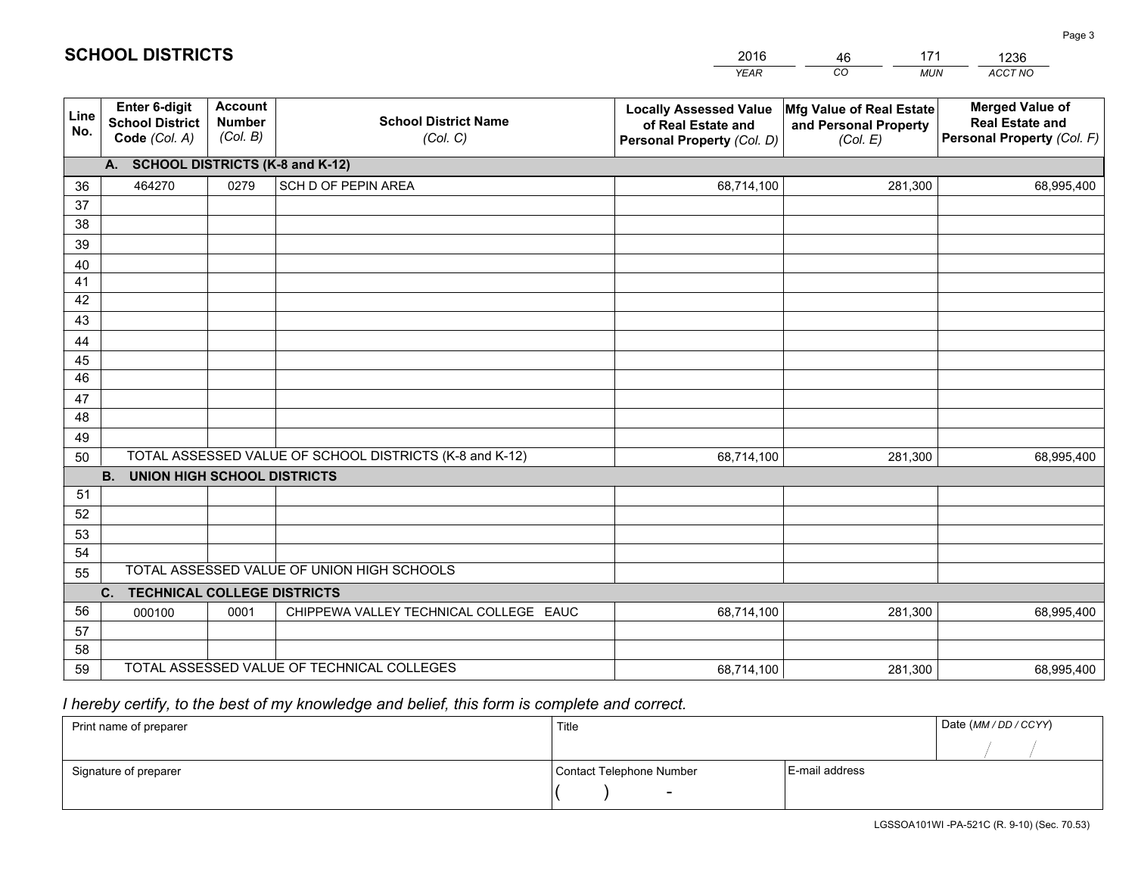|             |                                                                 |                                             |                                                         | <b>YEAR</b>                                                                       | CO<br><b>MUN</b>                                              | ACCT NO                                                                        |
|-------------|-----------------------------------------------------------------|---------------------------------------------|---------------------------------------------------------|-----------------------------------------------------------------------------------|---------------------------------------------------------------|--------------------------------------------------------------------------------|
| Line<br>No. | <b>Enter 6-digit</b><br><b>School District</b><br>Code (Col. A) | <b>Account</b><br><b>Number</b><br>(Col. B) | <b>School District Name</b><br>(Col. C)                 | <b>Locally Assessed Value</b><br>of Real Estate and<br>Personal Property (Col. D) | Mfg Value of Real Estate<br>and Personal Property<br>(Col. E) | <b>Merged Value of</b><br><b>Real Estate and</b><br>Personal Property (Col. F) |
|             | A. SCHOOL DISTRICTS (K-8 and K-12)                              |                                             |                                                         |                                                                                   |                                                               |                                                                                |
| 36          | 464270                                                          | 0279                                        | SCH D OF PEPIN AREA                                     | 68,714,100                                                                        | 281,300                                                       | 68,995,400                                                                     |
| 37          |                                                                 |                                             |                                                         |                                                                                   |                                                               |                                                                                |
| 38          |                                                                 |                                             |                                                         |                                                                                   |                                                               |                                                                                |
| 39          |                                                                 |                                             |                                                         |                                                                                   |                                                               |                                                                                |
| 40          |                                                                 |                                             |                                                         |                                                                                   |                                                               |                                                                                |
| 41<br>42    |                                                                 |                                             |                                                         |                                                                                   |                                                               |                                                                                |
| 43          |                                                                 |                                             |                                                         |                                                                                   |                                                               |                                                                                |
| 44          |                                                                 |                                             |                                                         |                                                                                   |                                                               |                                                                                |
| 45          |                                                                 |                                             |                                                         |                                                                                   |                                                               |                                                                                |
| 46          |                                                                 |                                             |                                                         |                                                                                   |                                                               |                                                                                |
| 47          |                                                                 |                                             |                                                         |                                                                                   |                                                               |                                                                                |
| 48          |                                                                 |                                             |                                                         |                                                                                   |                                                               |                                                                                |
| 49          |                                                                 |                                             |                                                         |                                                                                   |                                                               |                                                                                |
| 50          |                                                                 |                                             | TOTAL ASSESSED VALUE OF SCHOOL DISTRICTS (K-8 and K-12) | 68,714,100                                                                        | 281,300                                                       | 68,995,400                                                                     |
|             | <b>B. UNION HIGH SCHOOL DISTRICTS</b>                           |                                             |                                                         |                                                                                   |                                                               |                                                                                |
| 51          |                                                                 |                                             |                                                         |                                                                                   |                                                               |                                                                                |
| 52          |                                                                 |                                             |                                                         |                                                                                   |                                                               |                                                                                |
| 53<br>54    |                                                                 |                                             |                                                         |                                                                                   |                                                               |                                                                                |
| 55          |                                                                 |                                             | TOTAL ASSESSED VALUE OF UNION HIGH SCHOOLS              |                                                                                   |                                                               |                                                                                |
|             | C.<br><b>TECHNICAL COLLEGE DISTRICTS</b>                        |                                             |                                                         |                                                                                   |                                                               |                                                                                |
| 56          | 000100                                                          | 0001                                        | CHIPPEWA VALLEY TECHNICAL COLLEGE EAUC                  | 68,714,100                                                                        | 281,300                                                       | 68,995,400                                                                     |
| 57          |                                                                 |                                             |                                                         |                                                                                   |                                                               |                                                                                |
| 58          |                                                                 |                                             |                                                         |                                                                                   |                                                               |                                                                                |
| 59          |                                                                 |                                             | TOTAL ASSESSED VALUE OF TECHNICAL COLLEGES              | 68,714,100                                                                        | 281,300                                                       | 68,995,400                                                                     |

46

171

 *I hereby certify, to the best of my knowledge and belief, this form is complete and correct.*

**SCHOOL DISTRICTS**

| Print name of preparer | Title                    |                | Date (MM / DD / CCYY) |
|------------------------|--------------------------|----------------|-----------------------|
|                        |                          |                |                       |
| Signature of preparer  | Contact Telephone Number | E-mail address |                       |
|                        | $\sim$                   |                |                       |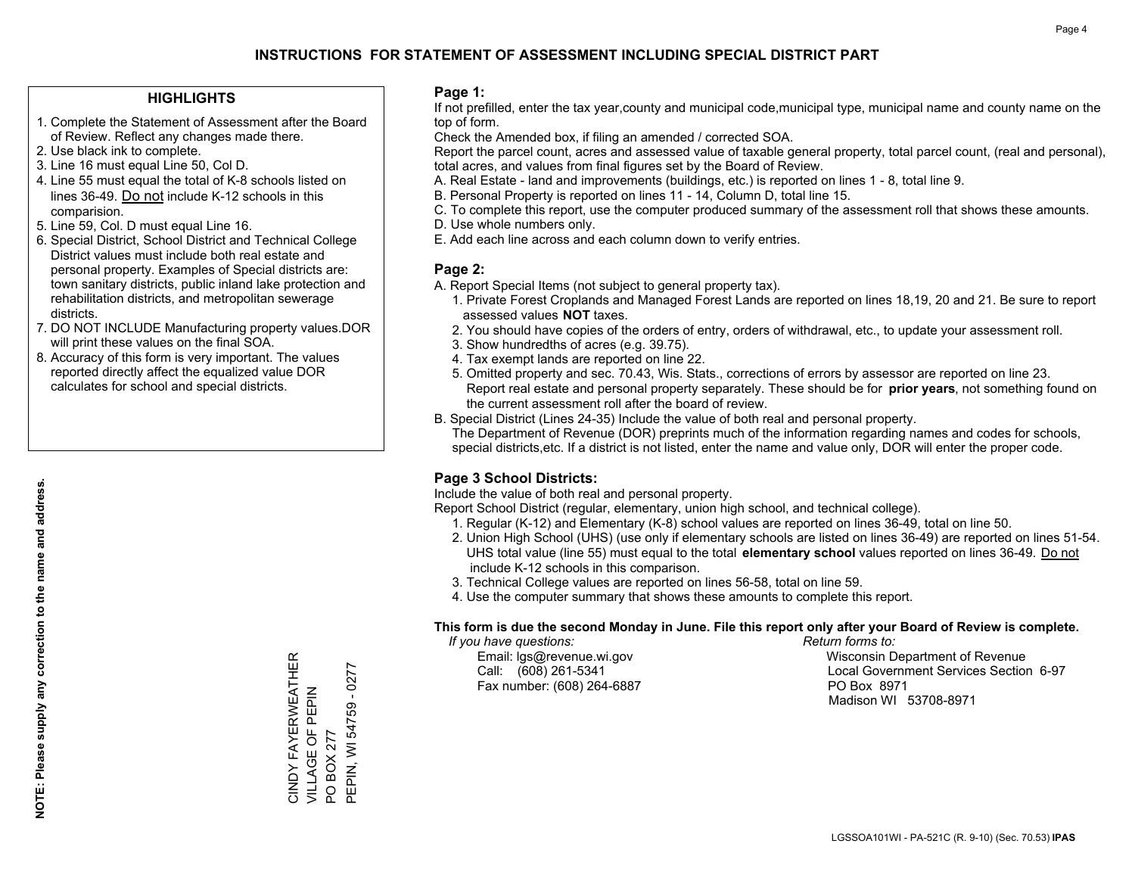## **HIGHLIGHTS**

- 1. Complete the Statement of Assessment after the Board of Review. Reflect any changes made there.
- 2. Use black ink to complete.
- 3. Line 16 must equal Line 50, Col D.
- 4. Line 55 must equal the total of K-8 schools listed on lines 36-49. Do not include K-12 schools in this comparision.
- 5. Line 59, Col. D must equal Line 16.
- 6. Special District, School District and Technical College District values must include both real estate and personal property. Examples of Special districts are: town sanitary districts, public inland lake protection and rehabilitation districts, and metropolitan sewerage districts.
- 7. DO NOT INCLUDE Manufacturing property values.DOR will print these values on the final SOA.

CINDY FAYERWEATHER VILLAGE OF PEPIN

CINDY FAYERWEATHER<br>VILLAGE OF PEPIN

PO BOX 277

PO BOX 277

PEPIN, WI 54759 - 0277

PEPIN, WI 54759 - 0277

 8. Accuracy of this form is very important. The values reported directly affect the equalized value DOR calculates for school and special districts.

### **Page 1:**

 If not prefilled, enter the tax year,county and municipal code,municipal type, municipal name and county name on the top of form.

Check the Amended box, if filing an amended / corrected SOA.

 Report the parcel count, acres and assessed value of taxable general property, total parcel count, (real and personal), total acres, and values from final figures set by the Board of Review.

- A. Real Estate land and improvements (buildings, etc.) is reported on lines 1 8, total line 9.
- B. Personal Property is reported on lines 11 14, Column D, total line 15.
- C. To complete this report, use the computer produced summary of the assessment roll that shows these amounts.
- D. Use whole numbers only.
- E. Add each line across and each column down to verify entries.

### **Page 2:**

- A. Report Special Items (not subject to general property tax).
- 1. Private Forest Croplands and Managed Forest Lands are reported on lines 18,19, 20 and 21. Be sure to report assessed values **NOT** taxes.
- 2. You should have copies of the orders of entry, orders of withdrawal, etc., to update your assessment roll.
	- 3. Show hundredths of acres (e.g. 39.75).
- 4. Tax exempt lands are reported on line 22.
- 5. Omitted property and sec. 70.43, Wis. Stats., corrections of errors by assessor are reported on line 23. Report real estate and personal property separately. These should be for **prior years**, not something found on the current assessment roll after the board of review.
- B. Special District (Lines 24-35) Include the value of both real and personal property.
- The Department of Revenue (DOR) preprints much of the information regarding names and codes for schools, special districts,etc. If a district is not listed, enter the name and value only, DOR will enter the proper code.

## **Page 3 School Districts:**

Include the value of both real and personal property.

Report School District (regular, elementary, union high school, and technical college).

- 1. Regular (K-12) and Elementary (K-8) school values are reported on lines 36-49, total on line 50.
- 2. Union High School (UHS) (use only if elementary schools are listed on lines 36-49) are reported on lines 51-54. UHS total value (line 55) must equal to the total **elementary school** values reported on lines 36-49. Do notinclude K-12 schools in this comparison.
- 3. Technical College values are reported on lines 56-58, total on line 59.
- 4. Use the computer summary that shows these amounts to complete this report.

### **This form is due the second Monday in June. File this report only after your Board of Review is complete.**

 *If you have questions: Return forms to:*

Fax number: (608) 264-6887 PO Box 8971

 Email: lgs@revenue.wi.gov Wisconsin Department of Revenue Call: (608) 261-5341 Local Government Services Section 6-97Madison WI 53708-8971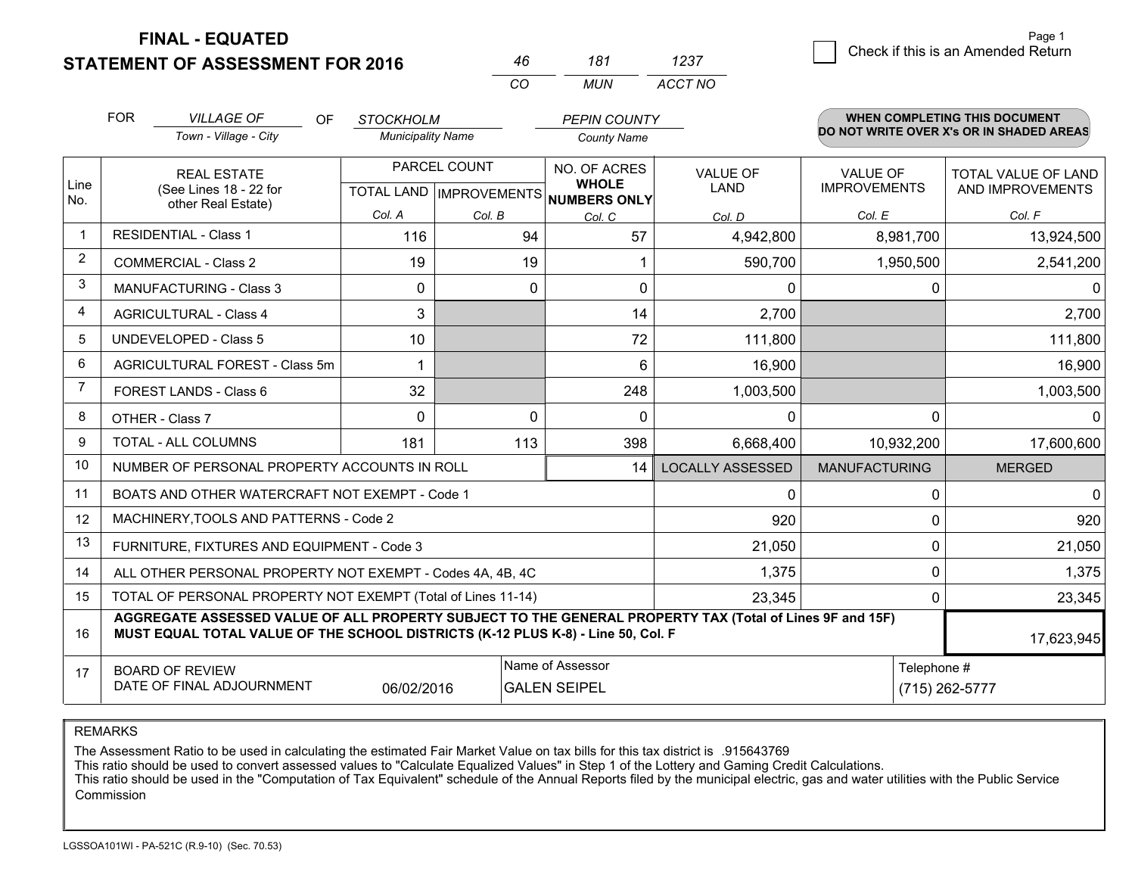**STATEMENT OF ASSESSMENT FOR 2016** 

**FINAL - EQUATED**

|                | <b>FOR</b>                     | <b>VILLAGE OF</b><br>OF.                                                                                                                                                                     | <b>STOCKHOLM</b>         |              | <b>PEPIN COUNTY</b>                                  |                         |                      | WHEN COMPLETING THIS DOCUMENT            |  |
|----------------|--------------------------------|----------------------------------------------------------------------------------------------------------------------------------------------------------------------------------------------|--------------------------|--------------|------------------------------------------------------|-------------------------|----------------------|------------------------------------------|--|
|                |                                | Town - Village - City                                                                                                                                                                        | <b>Municipality Name</b> |              | <b>County Name</b>                                   |                         |                      | DO NOT WRITE OVER X's OR IN SHADED AREAS |  |
|                |                                | <b>REAL ESTATE</b>                                                                                                                                                                           |                          | PARCEL COUNT | NO. OF ACRES                                         | <b>VALUE OF</b>         | <b>VALUE OF</b>      | <b>TOTAL VALUE OF LAND</b>               |  |
| Line<br>No.    |                                | (See Lines 18 - 22 for<br>other Real Estate)                                                                                                                                                 |                          |              | <b>WHOLE</b><br>TOTAL LAND IMPROVEMENTS NUMBERS ONLY | LAND                    | <b>IMPROVEMENTS</b>  | AND IMPROVEMENTS                         |  |
|                |                                |                                                                                                                                                                                              | Col. A                   | Col. B       | Col. C                                               | Col. D                  | Col. E               | Col. F                                   |  |
| $\mathbf 1$    |                                | <b>RESIDENTIAL - Class 1</b>                                                                                                                                                                 | 116                      | 94           | 57                                                   | 4,942,800               | 8,981,700            | 13,924,500                               |  |
| 2              | <b>COMMERCIAL - Class 2</b>    |                                                                                                                                                                                              | 19                       | 19           | 1                                                    | 590,700                 | 1,950,500            | 2,541,200                                |  |
| 3              | <b>MANUFACTURING - Class 3</b> |                                                                                                                                                                                              | 0                        | 0            | 0                                                    | 0                       | 0                    | $\Omega$                                 |  |
| 4              | <b>AGRICULTURAL - Class 4</b>  |                                                                                                                                                                                              | 3                        |              | 14                                                   | 2,700                   |                      | 2,700                                    |  |
| 5              | <b>UNDEVELOPED - Class 5</b>   |                                                                                                                                                                                              | 10                       |              | 72                                                   | 111,800                 |                      | 111,800                                  |  |
| 6              | AGRICULTURAL FOREST - Class 5m |                                                                                                                                                                                              | 1                        |              | 6                                                    | 16,900                  |                      | 16,900                                   |  |
| $\overline{7}$ | FOREST LANDS - Class 6         |                                                                                                                                                                                              | 32                       |              | 248                                                  | 1,003,500               |                      | 1,003,500                                |  |
| 8              |                                | OTHER - Class 7                                                                                                                                                                              | $\Omega$                 | 0            | $\mathbf 0$                                          | 0                       | $\Omega$             | $\Omega$                                 |  |
| 9              |                                | TOTAL - ALL COLUMNS                                                                                                                                                                          | 181                      | 113          | 398                                                  | 6,668,400               | 10,932,200           | 17,600,600                               |  |
| 10             |                                | NUMBER OF PERSONAL PROPERTY ACCOUNTS IN ROLL                                                                                                                                                 |                          |              | 14                                                   | <b>LOCALLY ASSESSED</b> | <b>MANUFACTURING</b> | <b>MERGED</b>                            |  |
| 11             |                                | BOATS AND OTHER WATERCRAFT NOT EXEMPT - Code 1                                                                                                                                               |                          |              |                                                      | $\Omega$                | $\Omega$             | $\Omega$                                 |  |
| 12             |                                | MACHINERY, TOOLS AND PATTERNS - Code 2                                                                                                                                                       |                          |              |                                                      | 920                     | 0                    | 920                                      |  |
| 13             |                                | FURNITURE, FIXTURES AND EQUIPMENT - Code 3                                                                                                                                                   |                          |              |                                                      | 21,050                  | $\Omega$             | 21,050                                   |  |
| 14             |                                | ALL OTHER PERSONAL PROPERTY NOT EXEMPT - Codes 4A, 4B, 4C                                                                                                                                    |                          |              |                                                      | 1,375                   | 0                    | 1,375                                    |  |
| 15             |                                | TOTAL OF PERSONAL PROPERTY NOT EXEMPT (Total of Lines 11-14)                                                                                                                                 |                          |              |                                                      | 23,345                  | 0                    | 23,345                                   |  |
| 16             |                                | AGGREGATE ASSESSED VALUE OF ALL PROPERTY SUBJECT TO THE GENERAL PROPERTY TAX (Total of Lines 9F and 15F)<br>MUST EQUAL TOTAL VALUE OF THE SCHOOL DISTRICTS (K-12 PLUS K-8) - Line 50, Col. F |                          |              |                                                      |                         |                      | 17,623,945                               |  |
| 17             |                                | <b>BOARD OF REVIEW</b>                                                                                                                                                                       |                          |              | Name of Assessor                                     |                         | Telephone #          |                                          |  |
|                |                                | DATE OF FINAL ADJOURNMENT                                                                                                                                                                    | 06/02/2016               |              | <b>GALEN SEIPEL</b>                                  |                         |                      | (715) 262-5777                           |  |

*CO*

*MUN*

*ACCT NO1237*

*<sup>46</sup> <sup>181</sup>*

REMARKS

The Assessment Ratio to be used in calculating the estimated Fair Market Value on tax bills for this tax district is .915643769<br>This ratio should be used to convert assessed values to "Calculate Equalized Values" in Step 1 Commission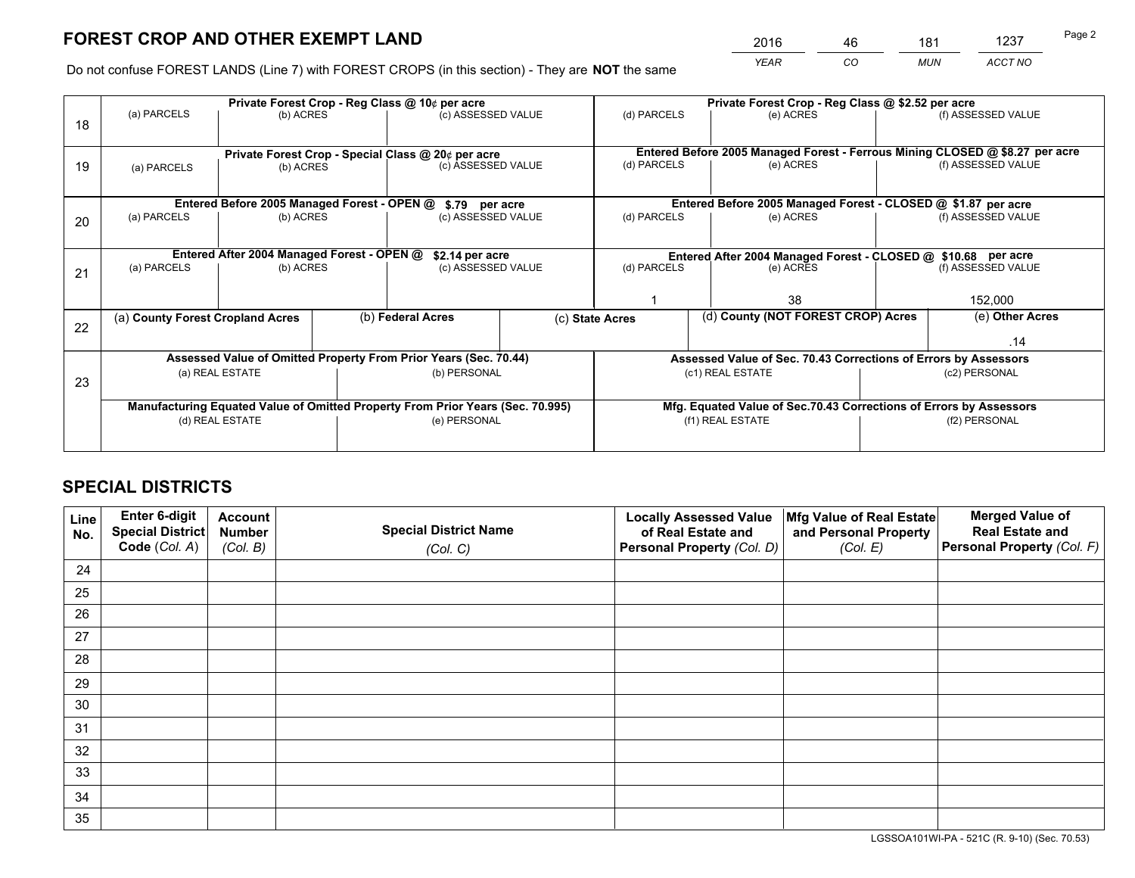*YEAR CO MUN ACCT NO* <sup>2016</sup> <sup>46</sup> <sup>181</sup> <sup>1237</sup>

Do not confuse FOREST LANDS (Line 7) with FOREST CROPS (in this section) - They are **NOT** the same

|    |                                                                         |                                            |  | Private Forest Crop - Reg Class @ 10¢ per acre                                 |                                                                                 |                          | Private Forest Crop - Reg Class @ \$2.52 per acre                            |  |                                                                 |  |
|----|-------------------------------------------------------------------------|--------------------------------------------|--|--------------------------------------------------------------------------------|---------------------------------------------------------------------------------|--------------------------|------------------------------------------------------------------------------|--|-----------------------------------------------------------------|--|
| 18 | (a) PARCELS                                                             | (b) ACRES                                  |  | (c) ASSESSED VALUE                                                             |                                                                                 | (d) PARCELS              | (e) ACRES                                                                    |  | (f) ASSESSED VALUE                                              |  |
|    |                                                                         |                                            |  |                                                                                |                                                                                 |                          | Entered Before 2005 Managed Forest - Ferrous Mining CLOSED @ \$8.27 per acre |  |                                                                 |  |
| 19 | (a) PARCELS                                                             | (b) ACRES                                  |  | Private Forest Crop - Special Class @ 20¢ per acre<br>(c) ASSESSED VALUE       |                                                                                 | (d) PARCELS              | (e) ACRES                                                                    |  | (f) ASSESSED VALUE                                              |  |
|    |                                                                         |                                            |  |                                                                                | Entered Before 2005 Managed Forest - CLOSED @ \$1.87 per acre<br>\$.79 per acre |                          |                                                                              |  |                                                                 |  |
|    | Entered Before 2005 Managed Forest - OPEN @<br>(a) PARCELS<br>(b) ACRES |                                            |  |                                                                                |                                                                                 | (d) PARCELS              | (e) ACRES                                                                    |  | (f) ASSESSED VALUE                                              |  |
| 20 |                                                                         |                                            |  | (c) ASSESSED VALUE                                                             |                                                                                 |                          |                                                                              |  |                                                                 |  |
|    |                                                                         | Entered After 2004 Managed Forest - OPEN @ |  | \$2.14 per acre                                                                |                                                                                 |                          | Entered After 2004 Managed Forest - CLOSED @ \$10.68 per acre                |  |                                                                 |  |
| 21 | (a) PARCELS                                                             | (b) ACRES                                  |  | (c) ASSESSED VALUE                                                             |                                                                                 | (d) PARCELS<br>(e) ACRES |                                                                              |  | (f) ASSESSED VALUE                                              |  |
|    |                                                                         |                                            |  |                                                                                |                                                                                 |                          |                                                                              |  |                                                                 |  |
|    |                                                                         |                                            |  |                                                                                |                                                                                 |                          | 38                                                                           |  | 152,000                                                         |  |
|    | (a) County Forest Cropland Acres                                        |                                            |  | (b) Federal Acres<br>(c) State Acres                                           |                                                                                 |                          | (d) County (NOT FOREST CROP) Acres                                           |  | (e) Other Acres                                                 |  |
| 22 |                                                                         |                                            |  |                                                                                |                                                                                 |                          |                                                                              |  |                                                                 |  |
|    |                                                                         |                                            |  |                                                                                |                                                                                 |                          |                                                                              |  | .14                                                             |  |
|    |                                                                         |                                            |  | Assessed Value of Omitted Property From Prior Years (Sec. 70.44)               |                                                                                 |                          |                                                                              |  | Assessed Value of Sec. 70.43 Corrections of Errors by Assessors |  |
| 23 |                                                                         | (a) REAL ESTATE                            |  | (b) PERSONAL                                                                   |                                                                                 |                          | (c1) REAL ESTATE                                                             |  | (c2) PERSONAL                                                   |  |
|    |                                                                         |                                            |  |                                                                                |                                                                                 |                          |                                                                              |  |                                                                 |  |
|    |                                                                         |                                            |  | Manufacturing Equated Value of Omitted Property From Prior Years (Sec. 70.995) |                                                                                 |                          | Mfg. Equated Value of Sec.70.43 Corrections of Errors by Assessors           |  |                                                                 |  |
|    |                                                                         | (d) REAL ESTATE                            |  | (e) PERSONAL                                                                   |                                                                                 |                          | (f1) REAL ESTATE                                                             |  | (f2) PERSONAL                                                   |  |
|    |                                                                         |                                            |  |                                                                                |                                                                                 |                          |                                                                              |  |                                                                 |  |
|    |                                                                         |                                            |  |                                                                                |                                                                                 |                          |                                                                              |  |                                                                 |  |

## **SPECIAL DISTRICTS**

| Line<br>No. | Enter 6-digit<br>Special District<br>Code (Col. A) | <b>Account</b><br><b>Number</b> | <b>Special District Name</b> | <b>Locally Assessed Value</b><br>of Real Estate and | Mfg Value of Real Estate<br>and Personal Property | <b>Merged Value of</b><br><b>Real Estate and</b><br>Personal Property (Col. F) |
|-------------|----------------------------------------------------|---------------------------------|------------------------------|-----------------------------------------------------|---------------------------------------------------|--------------------------------------------------------------------------------|
|             |                                                    | (Col. B)                        | (Col. C)                     | Personal Property (Col. D)                          | (Col. E)                                          |                                                                                |
| 24          |                                                    |                                 |                              |                                                     |                                                   |                                                                                |
| 25          |                                                    |                                 |                              |                                                     |                                                   |                                                                                |
| 26          |                                                    |                                 |                              |                                                     |                                                   |                                                                                |
| 27          |                                                    |                                 |                              |                                                     |                                                   |                                                                                |
| 28          |                                                    |                                 |                              |                                                     |                                                   |                                                                                |
| 29          |                                                    |                                 |                              |                                                     |                                                   |                                                                                |
| 30          |                                                    |                                 |                              |                                                     |                                                   |                                                                                |
| 31          |                                                    |                                 |                              |                                                     |                                                   |                                                                                |
| 32          |                                                    |                                 |                              |                                                     |                                                   |                                                                                |
| 33          |                                                    |                                 |                              |                                                     |                                                   |                                                                                |
| 34          |                                                    |                                 |                              |                                                     |                                                   |                                                                                |
| 35          |                                                    |                                 |                              |                                                     |                                                   |                                                                                |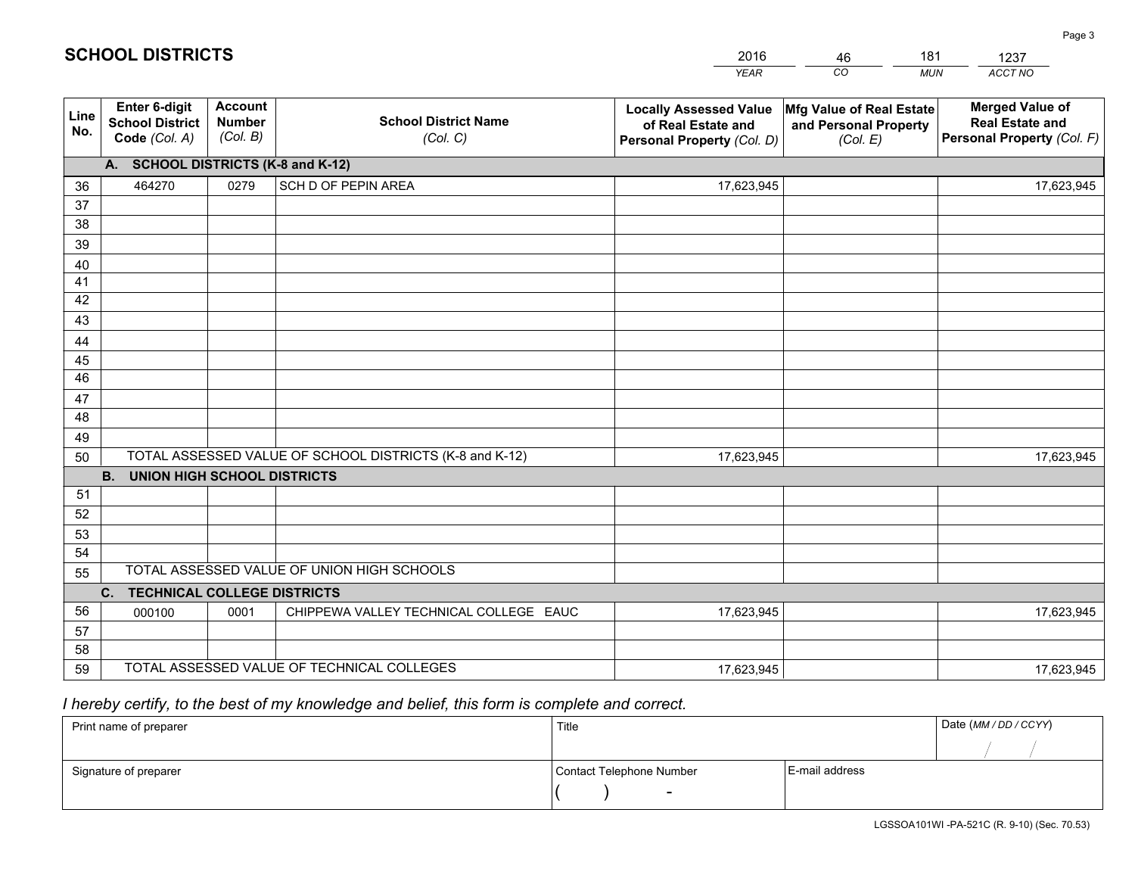|             |                                                          |                                             |                                                         | <b>YEAR</b>                                                                       | CO<br><b>MUN</b>                                              | ACCT NO                                                                        |  |  |  |  |
|-------------|----------------------------------------------------------|---------------------------------------------|---------------------------------------------------------|-----------------------------------------------------------------------------------|---------------------------------------------------------------|--------------------------------------------------------------------------------|--|--|--|--|
| Line<br>No. | Enter 6-digit<br><b>School District</b><br>Code (Col. A) | <b>Account</b><br><b>Number</b><br>(Col. B) | <b>School District Name</b><br>(Col. C)                 | <b>Locally Assessed Value</b><br>of Real Estate and<br>Personal Property (Col. D) | Mfg Value of Real Estate<br>and Personal Property<br>(Col. E) | <b>Merged Value of</b><br><b>Real Estate and</b><br>Personal Property (Col. F) |  |  |  |  |
|             | A. SCHOOL DISTRICTS (K-8 and K-12)                       |                                             |                                                         |                                                                                   |                                                               |                                                                                |  |  |  |  |
| 36          | 464270                                                   | 0279                                        | SCH D OF PEPIN AREA                                     | 17,623,945                                                                        |                                                               | 17,623,945                                                                     |  |  |  |  |
| 37          |                                                          |                                             |                                                         |                                                                                   |                                                               |                                                                                |  |  |  |  |
| 38          |                                                          |                                             |                                                         |                                                                                   |                                                               |                                                                                |  |  |  |  |
| 39          |                                                          |                                             |                                                         |                                                                                   |                                                               |                                                                                |  |  |  |  |
| 40          |                                                          |                                             |                                                         |                                                                                   |                                                               |                                                                                |  |  |  |  |
| 41          |                                                          |                                             |                                                         |                                                                                   |                                                               |                                                                                |  |  |  |  |
| 42<br>43    |                                                          |                                             |                                                         |                                                                                   |                                                               |                                                                                |  |  |  |  |
|             |                                                          |                                             |                                                         |                                                                                   |                                                               |                                                                                |  |  |  |  |
| 44<br>45    |                                                          |                                             |                                                         |                                                                                   |                                                               |                                                                                |  |  |  |  |
| 46          |                                                          |                                             |                                                         |                                                                                   |                                                               |                                                                                |  |  |  |  |
| 47          |                                                          |                                             |                                                         |                                                                                   |                                                               |                                                                                |  |  |  |  |
| 48          |                                                          |                                             |                                                         |                                                                                   |                                                               |                                                                                |  |  |  |  |
| 49          |                                                          |                                             |                                                         |                                                                                   |                                                               |                                                                                |  |  |  |  |
| 50          |                                                          |                                             | TOTAL ASSESSED VALUE OF SCHOOL DISTRICTS (K-8 and K-12) | 17,623,945                                                                        |                                                               | 17,623,945                                                                     |  |  |  |  |
|             | <b>B.</b><br><b>UNION HIGH SCHOOL DISTRICTS</b>          |                                             |                                                         |                                                                                   |                                                               |                                                                                |  |  |  |  |
| 51          |                                                          |                                             |                                                         |                                                                                   |                                                               |                                                                                |  |  |  |  |
| 52          |                                                          |                                             |                                                         |                                                                                   |                                                               |                                                                                |  |  |  |  |
| 53          |                                                          |                                             |                                                         |                                                                                   |                                                               |                                                                                |  |  |  |  |
| 54          |                                                          |                                             |                                                         |                                                                                   |                                                               |                                                                                |  |  |  |  |
| 55          |                                                          |                                             | TOTAL ASSESSED VALUE OF UNION HIGH SCHOOLS              |                                                                                   |                                                               |                                                                                |  |  |  |  |
|             | C.<br><b>TECHNICAL COLLEGE DISTRICTS</b>                 |                                             |                                                         |                                                                                   |                                                               |                                                                                |  |  |  |  |
| 56          | 000100                                                   | 0001                                        | CHIPPEWA VALLEY TECHNICAL COLLEGE EAUC                  | 17,623,945                                                                        |                                                               | 17,623,945                                                                     |  |  |  |  |
| 57          |                                                          |                                             |                                                         |                                                                                   |                                                               |                                                                                |  |  |  |  |
| 58          |                                                          |                                             |                                                         |                                                                                   |                                                               |                                                                                |  |  |  |  |
| 59          |                                                          |                                             | TOTAL ASSESSED VALUE OF TECHNICAL COLLEGES              | 17,623,945                                                                        |                                                               | 17,623,945                                                                     |  |  |  |  |

46

181

 *I hereby certify, to the best of my knowledge and belief, this form is complete and correct.*

**SCHOOL DISTRICTS**

| Print name of preparer | Title                    | Date (MM / DD / CCYY) |  |
|------------------------|--------------------------|-----------------------|--|
|                        |                          |                       |  |
| Signature of preparer  | Contact Telephone Number | E-mail address        |  |
|                        | $\overline{\phantom{0}}$ |                       |  |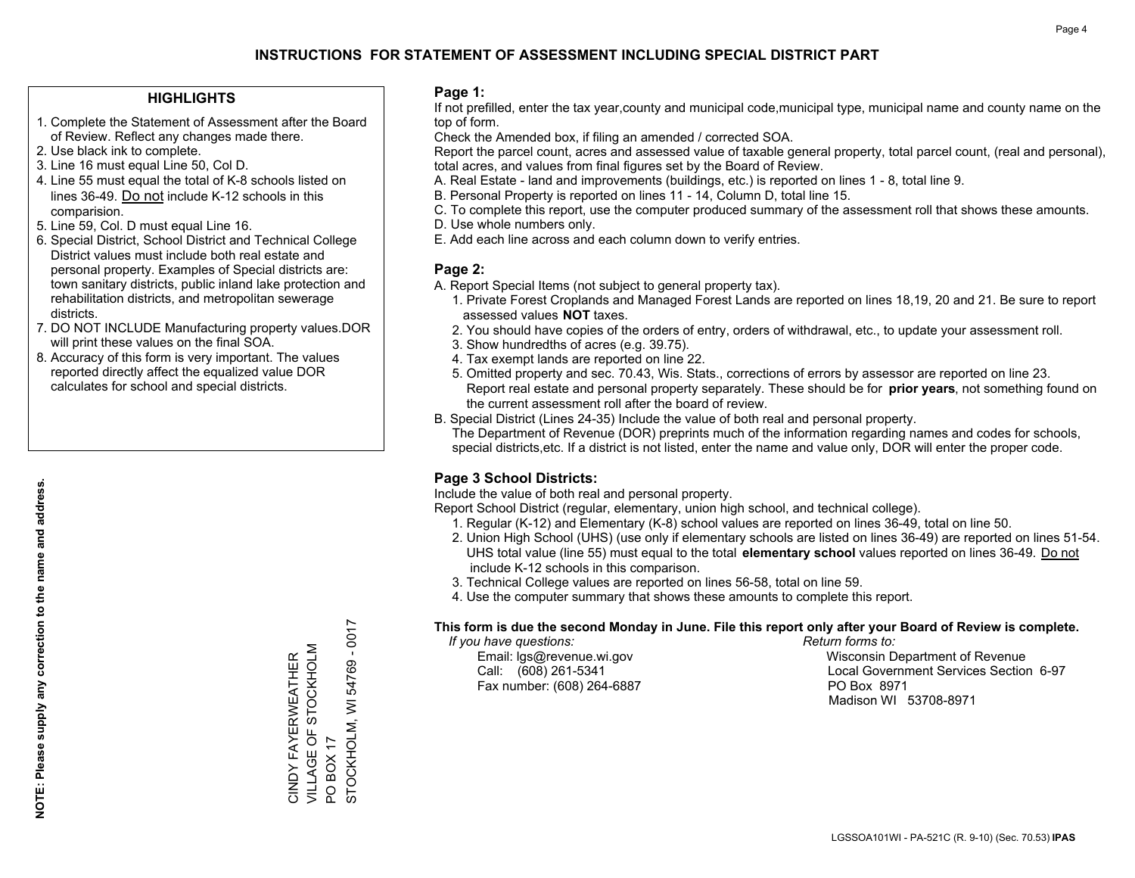### **HIGHLIGHTS**

- 1. Complete the Statement of Assessment after the Board of Review. Reflect any changes made there.
- 2. Use black ink to complete.
- 3. Line 16 must equal Line 50, Col D.
- 4. Line 55 must equal the total of K-8 schools listed on lines 36-49. Do not include K-12 schools in this comparision.
- 5. Line 59, Col. D must equal Line 16.
- 6. Special District, School District and Technical College District values must include both real estate and personal property. Examples of Special districts are: town sanitary districts, public inland lake protection and rehabilitation districts, and metropolitan sewerage districts.
- 7. DO NOT INCLUDE Manufacturing property values.DOR will print these values on the final SOA.
- 8. Accuracy of this form is very important. The values reported directly affect the equalized value DOR calculates for school and special districts.

### **Page 1:**

 If not prefilled, enter the tax year,county and municipal code,municipal type, municipal name and county name on the top of form.

Check the Amended box, if filing an amended / corrected SOA.

 Report the parcel count, acres and assessed value of taxable general property, total parcel count, (real and personal), total acres, and values from final figures set by the Board of Review.

- A. Real Estate land and improvements (buildings, etc.) is reported on lines 1 8, total line 9.
- B. Personal Property is reported on lines 11 14, Column D, total line 15.
- C. To complete this report, use the computer produced summary of the assessment roll that shows these amounts.
- D. Use whole numbers only.
- E. Add each line across and each column down to verify entries.

## **Page 2:**

- A. Report Special Items (not subject to general property tax).
- 1. Private Forest Croplands and Managed Forest Lands are reported on lines 18,19, 20 and 21. Be sure to report assessed values **NOT** taxes.
- 2. You should have copies of the orders of entry, orders of withdrawal, etc., to update your assessment roll.
	- 3. Show hundredths of acres (e.g. 39.75).
- 4. Tax exempt lands are reported on line 22.
- 5. Omitted property and sec. 70.43, Wis. Stats., corrections of errors by assessor are reported on line 23. Report real estate and personal property separately. These should be for **prior years**, not something found on the current assessment roll after the board of review.
- B. Special District (Lines 24-35) Include the value of both real and personal property.
- The Department of Revenue (DOR) preprints much of the information regarding names and codes for schools, special districts,etc. If a district is not listed, enter the name and value only, DOR will enter the proper code.

## **Page 3 School Districts:**

Include the value of both real and personal property.

Report School District (regular, elementary, union high school, and technical college).

- 1. Regular (K-12) and Elementary (K-8) school values are reported on lines 36-49, total on line 50.
- 2. Union High School (UHS) (use only if elementary schools are listed on lines 36-49) are reported on lines 51-54. UHS total value (line 55) must equal to the total **elementary school** values reported on lines 36-49. Do notinclude K-12 schools in this comparison.
- 3. Technical College values are reported on lines 56-58, total on line 59.
- 4. Use the computer summary that shows these amounts to complete this report.

### **This form is due the second Monday in June. File this report only after your Board of Review is complete.**

 *If you have questions: Return forms to:*

Fax number: (608) 264-6887 PO Box 8971

 Email: lgs@revenue.wi.gov Wisconsin Department of Revenue Call: (608) 261-5341 Local Government Services Section 6-97Madison WI 53708-8971

STOCKHOLM, WI 54769 - 0017 STOCKHOLM, WI 54769 - 0017 VILLAGE OF STOCKHOLM CINDY FAYERWEATHER<br>VILLAGE OF STOCKHOLM CINDY FAYERWEATHER **BOX 17** PO BOX 17  $\overline{S}$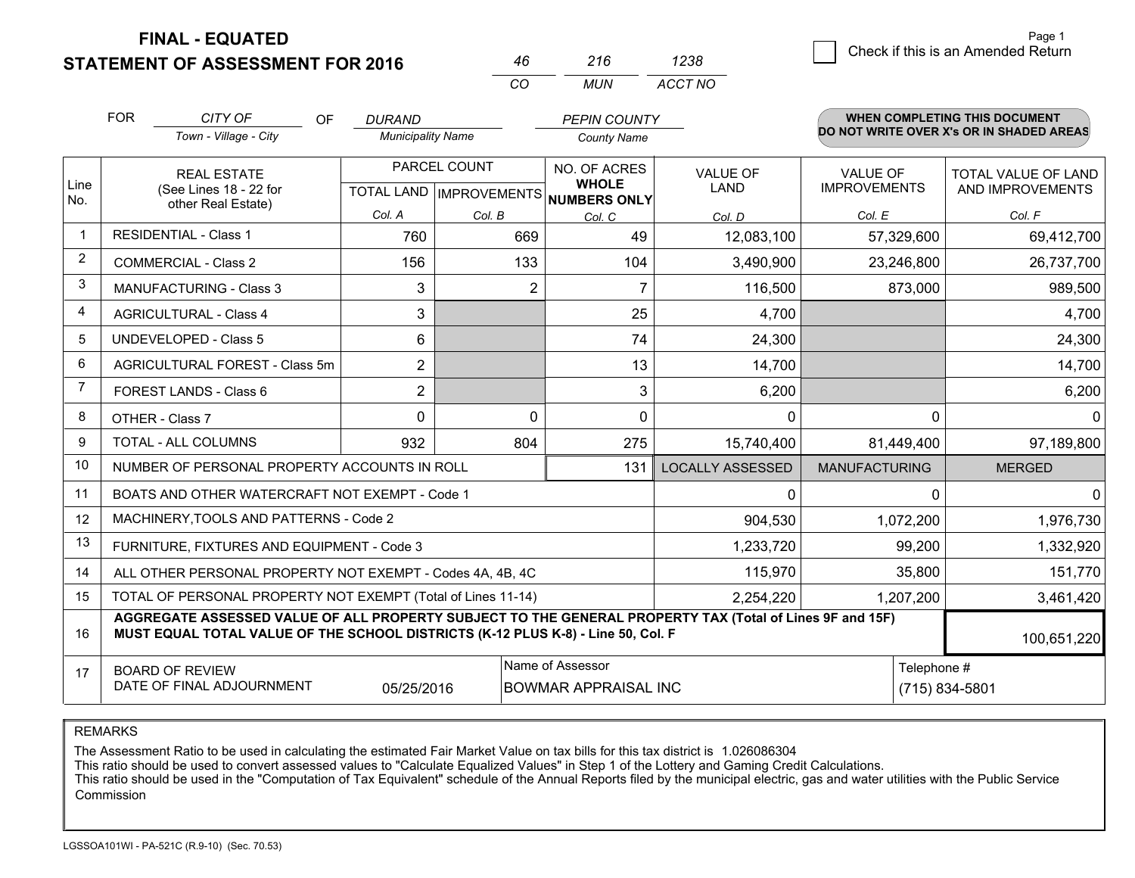**FINAL - EQUATED**

**STATEMENT OF ASSESSMENT FOR 2016** 

| 46 | 216 | 1238    |
|----|-----|---------|
| rn | MUN | ACCT NO |

|              | <b>FOR</b> | CITY OF<br>OF                                                                                                                                                                                | <b>DURAND</b>            |              | <b>PEPIN COUNTY</b>                                 |                         |                      | <b>WHEN COMPLETING THIS DOCUMENT</b>     |
|--------------|------------|----------------------------------------------------------------------------------------------------------------------------------------------------------------------------------------------|--------------------------|--------------|-----------------------------------------------------|-------------------------|----------------------|------------------------------------------|
|              |            | Town - Village - City                                                                                                                                                                        | <b>Municipality Name</b> |              | <b>County Name</b>                                  |                         |                      | DO NOT WRITE OVER X's OR IN SHADED AREAS |
|              |            | <b>REAL ESTATE</b>                                                                                                                                                                           |                          | PARCEL COUNT | NO. OF ACRES                                        | VALUE OF                | <b>VALUE OF</b>      | TOTAL VALUE OF LAND                      |
| Line<br>No.  |            | (See Lines 18 - 22 for<br>other Real Estate)                                                                                                                                                 |                          |              | <b>WHOLE</b><br>TOTAL LAND MPROVEMENTS NUMBERS ONLY | LAND                    | <b>IMPROVEMENTS</b>  | AND IMPROVEMENTS                         |
|              |            |                                                                                                                                                                                              | Col. A                   | Col. B       | Col. C                                              | Col. D                  | Col. E               | Col. F                                   |
| $\mathbf{1}$ |            | <b>RESIDENTIAL - Class 1</b>                                                                                                                                                                 | 760                      | 669          | 49                                                  | 12,083,100              | 57,329,600           | 69,412,700                               |
| 2            |            | <b>COMMERCIAL - Class 2</b>                                                                                                                                                                  | 156                      | 133          | 104                                                 | 3,490,900               | 23,246,800           | 26,737,700                               |
| 3            |            | MANUFACTURING - Class 3                                                                                                                                                                      | 3                        | 2            | 7                                                   | 116,500                 | 873,000              | 989,500                                  |
| 4            |            | <b>AGRICULTURAL - Class 4</b>                                                                                                                                                                | 3                        |              | 25                                                  | 4,700                   |                      | 4,700                                    |
| 5            |            | <b>UNDEVELOPED - Class 5</b>                                                                                                                                                                 | 6                        |              | 74                                                  | 24,300                  |                      | 24,300                                   |
| 6            |            | AGRICULTURAL FOREST - Class 5m                                                                                                                                                               | $\overline{2}$           |              | 13                                                  | 14,700                  |                      | 14,700                                   |
| 7            |            | FOREST LANDS - Class 6                                                                                                                                                                       | $\overline{2}$           |              | 3                                                   | 6,200                   |                      | 6,200                                    |
| 8            |            | OTHER - Class 7                                                                                                                                                                              | $\Omega$                 | $\Omega$     | $\Omega$                                            | $\Omega$                | $\Omega$             | $\Omega$                                 |
| 9            |            | TOTAL - ALL COLUMNS                                                                                                                                                                          | 932                      | 804          | 275                                                 | 15,740,400              | 81,449,400           | 97,189,800                               |
| 10           |            | NUMBER OF PERSONAL PROPERTY ACCOUNTS IN ROLL                                                                                                                                                 |                          |              | 131                                                 | <b>LOCALLY ASSESSED</b> | <b>MANUFACTURING</b> | <b>MERGED</b>                            |
| 11           |            | BOATS AND OTHER WATERCRAFT NOT EXEMPT - Code 1                                                                                                                                               |                          |              |                                                     | 0                       | $\Omega$             | $\Omega$                                 |
| 12           |            | MACHINERY, TOOLS AND PATTERNS - Code 2                                                                                                                                                       |                          |              |                                                     | 904,530                 | 1,072,200            | 1,976,730                                |
| 13           |            | FURNITURE, FIXTURES AND EQUIPMENT - Code 3                                                                                                                                                   |                          |              |                                                     | 1,233,720               | 99,200               | 1,332,920                                |
| 14           |            | ALL OTHER PERSONAL PROPERTY NOT EXEMPT - Codes 4A, 4B, 4C                                                                                                                                    |                          |              |                                                     | 115,970                 | 35,800               | 151,770                                  |
| 15           |            | TOTAL OF PERSONAL PROPERTY NOT EXEMPT (Total of Lines 11-14)                                                                                                                                 |                          |              |                                                     | 2,254,220               | 1,207,200            | 3,461,420                                |
| 16           |            | AGGREGATE ASSESSED VALUE OF ALL PROPERTY SUBJECT TO THE GENERAL PROPERTY TAX (Total of Lines 9F and 15F)<br>MUST EQUAL TOTAL VALUE OF THE SCHOOL DISTRICTS (K-12 PLUS K-8) - Line 50, Col. F |                          |              |                                                     |                         |                      | 100,651,220                              |
| 17           |            | <b>BOARD OF REVIEW</b>                                                                                                                                                                       |                          |              | Name of Assessor                                    |                         | Telephone #          |                                          |
|              |            | DATE OF FINAL ADJOURNMENT                                                                                                                                                                    | 05/25/2016               |              | <b>BOWMAR APPRAISAL INC</b>                         |                         |                      | (715) 834-5801                           |

REMARKS

The Assessment Ratio to be used in calculating the estimated Fair Market Value on tax bills for this tax district is 1.026086304<br>This ratio should be used to convert assessed values to "Calculate Equalized Values" in Step Commission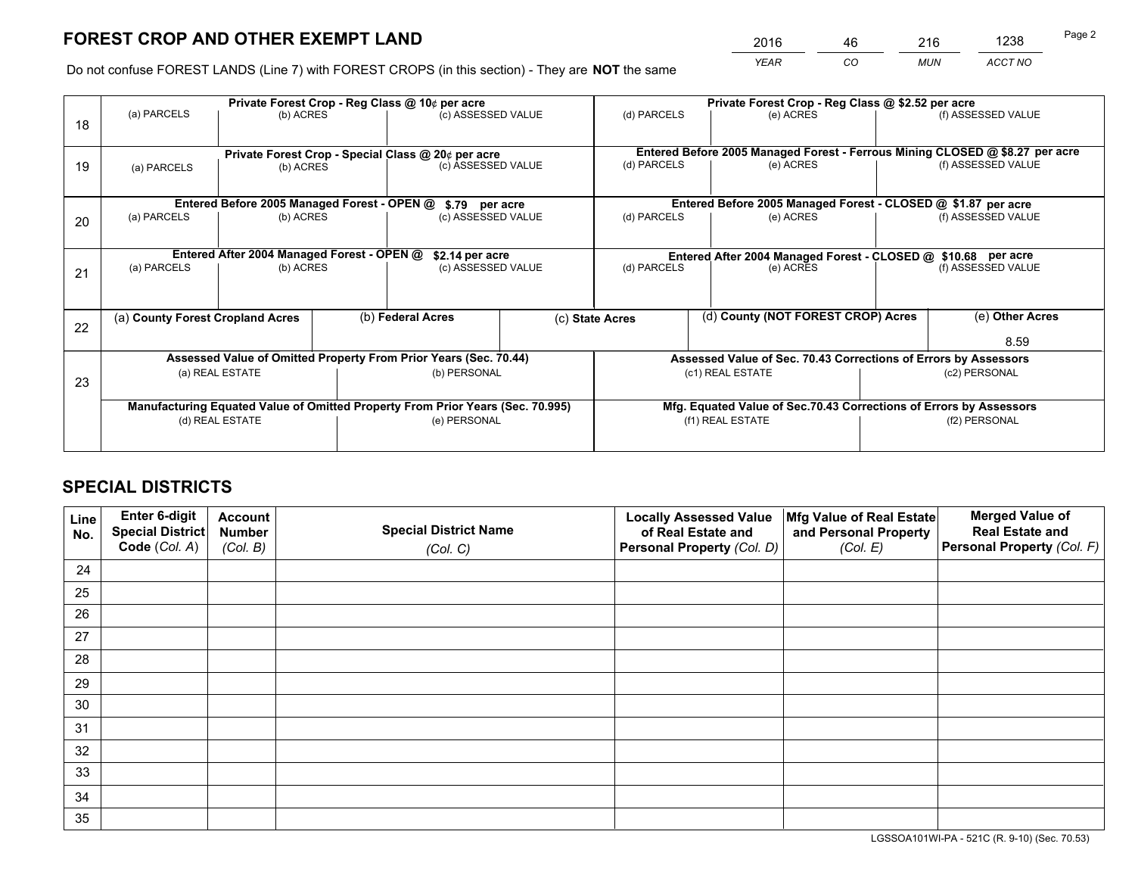*YEAR CO MUN ACCT NO* <sup>2016</sup> <sup>46</sup> <sup>216</sup> <sup>1238</sup>

Do not confuse FOREST LANDS (Line 7) with FOREST CROPS (in this section) - They are **NOT** the same

|    | Private Forest Crop - Reg Class @ 10¢ per acre                                 |                                                                 |  |                                      |                                                                    | Private Forest Crop - Reg Class @ \$2.52 per acre                            |           |  |                    |  |
|----|--------------------------------------------------------------------------------|-----------------------------------------------------------------|--|--------------------------------------|--------------------------------------------------------------------|------------------------------------------------------------------------------|-----------|--|--------------------|--|
| 18 | (a) PARCELS                                                                    | (b) ACRES                                                       |  | (c) ASSESSED VALUE                   |                                                                    | (d) PARCELS                                                                  | (e) ACRES |  | (f) ASSESSED VALUE |  |
|    |                                                                                |                                                                 |  |                                      |                                                                    | Entered Before 2005 Managed Forest - Ferrous Mining CLOSED @ \$8.27 per acre |           |  |                    |  |
| 19 | (a) PARCELS                                                                    | Private Forest Crop - Special Class @ 20¢ per acre<br>(b) ACRES |  | (c) ASSESSED VALUE                   |                                                                    | (d) PARCELS                                                                  | (e) ACRES |  | (f) ASSESSED VALUE |  |
|    | Entered Before 2005 Managed Forest - OPEN @                                    |                                                                 |  |                                      |                                                                    | Entered Before 2005 Managed Forest - CLOSED @ \$1.87 per acre                |           |  |                    |  |
|    | (a) PARCELS                                                                    | (b) ACRES                                                       |  | \$.79 per acre<br>(c) ASSESSED VALUE |                                                                    | (d) PARCELS<br>(e) ACRES                                                     |           |  | (f) ASSESSED VALUE |  |
| 20 |                                                                                |                                                                 |  |                                      |                                                                    |                                                                              |           |  |                    |  |
|    | Entered After 2004 Managed Forest - OPEN @<br>\$2.14 per acre                  |                                                                 |  |                                      | Entered After 2004 Managed Forest - CLOSED @ \$10.68 per acre      |                                                                              |           |  |                    |  |
| 21 | (a) PARCELS                                                                    | (b) ACRES                                                       |  | (c) ASSESSED VALUE                   |                                                                    | (d) PARCELS<br>(e) ACRES                                                     |           |  | (f) ASSESSED VALUE |  |
|    |                                                                                |                                                                 |  |                                      |                                                                    |                                                                              |           |  |                    |  |
|    | (a) County Forest Cropland Acres                                               |                                                                 |  | (b) Federal Acres                    |                                                                    | (d) County (NOT FOREST CROP) Acres<br>(c) State Acres                        |           |  | (e) Other Acres    |  |
| 22 |                                                                                |                                                                 |  |                                      |                                                                    |                                                                              |           |  |                    |  |
|    |                                                                                |                                                                 |  |                                      |                                                                    |                                                                              |           |  | 8.59               |  |
|    | Assessed Value of Omitted Property From Prior Years (Sec. 70.44)               |                                                                 |  |                                      | Assessed Value of Sec. 70.43 Corrections of Errors by Assessors    |                                                                              |           |  |                    |  |
| 23 | (a) REAL ESTATE                                                                |                                                                 |  | (b) PERSONAL                         |                                                                    | (c1) REAL ESTATE                                                             |           |  | (c2) PERSONAL      |  |
|    |                                                                                |                                                                 |  |                                      |                                                                    |                                                                              |           |  |                    |  |
|    | Manufacturing Equated Value of Omitted Property From Prior Years (Sec. 70.995) |                                                                 |  |                                      | Mfg. Equated Value of Sec.70.43 Corrections of Errors by Assessors |                                                                              |           |  |                    |  |
|    | (d) REAL ESTATE                                                                |                                                                 |  | (e) PERSONAL                         |                                                                    | (f1) REAL ESTATE                                                             |           |  | (f2) PERSONAL      |  |
|    |                                                                                |                                                                 |  |                                      |                                                                    |                                                                              |           |  |                    |  |
|    |                                                                                |                                                                 |  |                                      |                                                                    |                                                                              |           |  |                    |  |

## **SPECIAL DISTRICTS**

| Line<br>No. | Enter 6-digit<br>Special District<br>Code (Col. A) | <b>Account</b><br><b>Number</b> | <b>Special District Name</b> | <b>Locally Assessed Value</b><br>of Real Estate and | Mfg Value of Real Estate<br>and Personal Property | <b>Merged Value of</b><br><b>Real Estate and</b><br>Personal Property (Col. F) |
|-------------|----------------------------------------------------|---------------------------------|------------------------------|-----------------------------------------------------|---------------------------------------------------|--------------------------------------------------------------------------------|
|             |                                                    | (Col. B)                        | (Col. C)                     | Personal Property (Col. D)                          | (Col. E)                                          |                                                                                |
| 24          |                                                    |                                 |                              |                                                     |                                                   |                                                                                |
| 25          |                                                    |                                 |                              |                                                     |                                                   |                                                                                |
| 26          |                                                    |                                 |                              |                                                     |                                                   |                                                                                |
| 27          |                                                    |                                 |                              |                                                     |                                                   |                                                                                |
| 28          |                                                    |                                 |                              |                                                     |                                                   |                                                                                |
| 29          |                                                    |                                 |                              |                                                     |                                                   |                                                                                |
| 30          |                                                    |                                 |                              |                                                     |                                                   |                                                                                |
| 31          |                                                    |                                 |                              |                                                     |                                                   |                                                                                |
| 32          |                                                    |                                 |                              |                                                     |                                                   |                                                                                |
| 33          |                                                    |                                 |                              |                                                     |                                                   |                                                                                |
| 34          |                                                    |                                 |                              |                                                     |                                                   |                                                                                |
| 35          |                                                    |                                 |                              |                                                     |                                                   |                                                                                |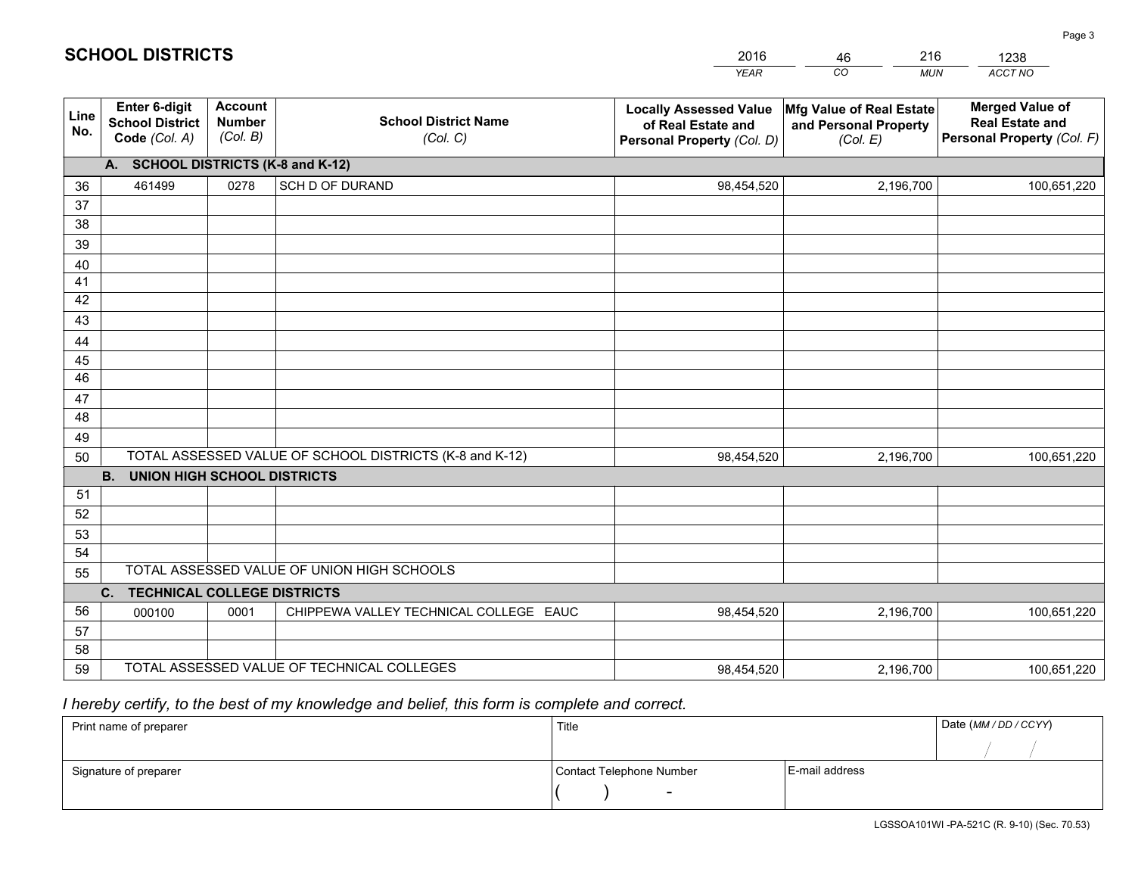|             |                                                                                                   |                                             |                                            | <b>YEAR</b>                                                                       | CO<br><b>MUN</b>                                              | <b>ACCT NO</b>                                                                 |  |
|-------------|---------------------------------------------------------------------------------------------------|---------------------------------------------|--------------------------------------------|-----------------------------------------------------------------------------------|---------------------------------------------------------------|--------------------------------------------------------------------------------|--|
| Line<br>No. | <b>Enter 6-digit</b><br><b>School District</b><br>Code (Col. A)                                   | <b>Account</b><br><b>Number</b><br>(Col. B) | <b>School District Name</b><br>(Col. C)    | <b>Locally Assessed Value</b><br>of Real Estate and<br>Personal Property (Col. D) | Mfg Value of Real Estate<br>and Personal Property<br>(Col. E) | <b>Merged Value of</b><br><b>Real Estate and</b><br>Personal Property (Col. F) |  |
|             | A. SCHOOL DISTRICTS (K-8 and K-12)                                                                |                                             |                                            |                                                                                   |                                                               |                                                                                |  |
| 36          | 461499                                                                                            | 0278                                        | SCH D OF DURAND                            | 98,454,520                                                                        | 2,196,700                                                     | 100,651,220                                                                    |  |
| 37          |                                                                                                   |                                             |                                            |                                                                                   |                                                               |                                                                                |  |
| 38          |                                                                                                   |                                             |                                            |                                                                                   |                                                               |                                                                                |  |
| 39          |                                                                                                   |                                             |                                            |                                                                                   |                                                               |                                                                                |  |
| 40          |                                                                                                   |                                             |                                            |                                                                                   |                                                               |                                                                                |  |
| 41<br>42    |                                                                                                   |                                             |                                            |                                                                                   |                                                               |                                                                                |  |
| 43          |                                                                                                   |                                             |                                            |                                                                                   |                                                               |                                                                                |  |
|             |                                                                                                   |                                             |                                            |                                                                                   |                                                               |                                                                                |  |
| 44<br>45    |                                                                                                   |                                             |                                            |                                                                                   |                                                               |                                                                                |  |
| 46          |                                                                                                   |                                             |                                            |                                                                                   |                                                               |                                                                                |  |
| 47          |                                                                                                   |                                             |                                            |                                                                                   |                                                               |                                                                                |  |
| 48          |                                                                                                   |                                             |                                            |                                                                                   |                                                               |                                                                                |  |
| 49          |                                                                                                   |                                             |                                            |                                                                                   |                                                               |                                                                                |  |
| 50          | TOTAL ASSESSED VALUE OF SCHOOL DISTRICTS (K-8 and K-12)<br>98,454,520<br>2,196,700<br>100,651,220 |                                             |                                            |                                                                                   |                                                               |                                                                                |  |
|             | <b>B.</b><br><b>UNION HIGH SCHOOL DISTRICTS</b>                                                   |                                             |                                            |                                                                                   |                                                               |                                                                                |  |
| 51          |                                                                                                   |                                             |                                            |                                                                                   |                                                               |                                                                                |  |
| 52          |                                                                                                   |                                             |                                            |                                                                                   |                                                               |                                                                                |  |
| 53          |                                                                                                   |                                             |                                            |                                                                                   |                                                               |                                                                                |  |
| 54          |                                                                                                   |                                             |                                            |                                                                                   |                                                               |                                                                                |  |
| 55          | TOTAL ASSESSED VALUE OF UNION HIGH SCHOOLS                                                        |                                             |                                            |                                                                                   |                                                               |                                                                                |  |
|             | C.<br><b>TECHNICAL COLLEGE DISTRICTS</b>                                                          |                                             |                                            |                                                                                   |                                                               |                                                                                |  |
| 56          | 000100                                                                                            | 0001                                        | CHIPPEWA VALLEY TECHNICAL COLLEGE EAUC     | 98,454,520                                                                        | 2,196,700                                                     | 100,651,220                                                                    |  |
| 57<br>58    |                                                                                                   |                                             |                                            |                                                                                   |                                                               |                                                                                |  |
| 59          |                                                                                                   |                                             | TOTAL ASSESSED VALUE OF TECHNICAL COLLEGES | 98,454,520                                                                        | 2,196,700                                                     | 100,651,220                                                                    |  |
|             |                                                                                                   |                                             |                                            |                                                                                   |                                                               |                                                                                |  |

46

216

# *I hereby certify, to the best of my knowledge and belief, this form is complete and correct.*

**SCHOOL DISTRICTS**

| Print name of preparer | Title                    |                | Date (MM / DD / CCYY) |
|------------------------|--------------------------|----------------|-----------------------|
|                        |                          |                |                       |
| Signature of preparer  | Contact Telephone Number | E-mail address |                       |
|                        | $\overline{\phantom{0}}$ |                |                       |